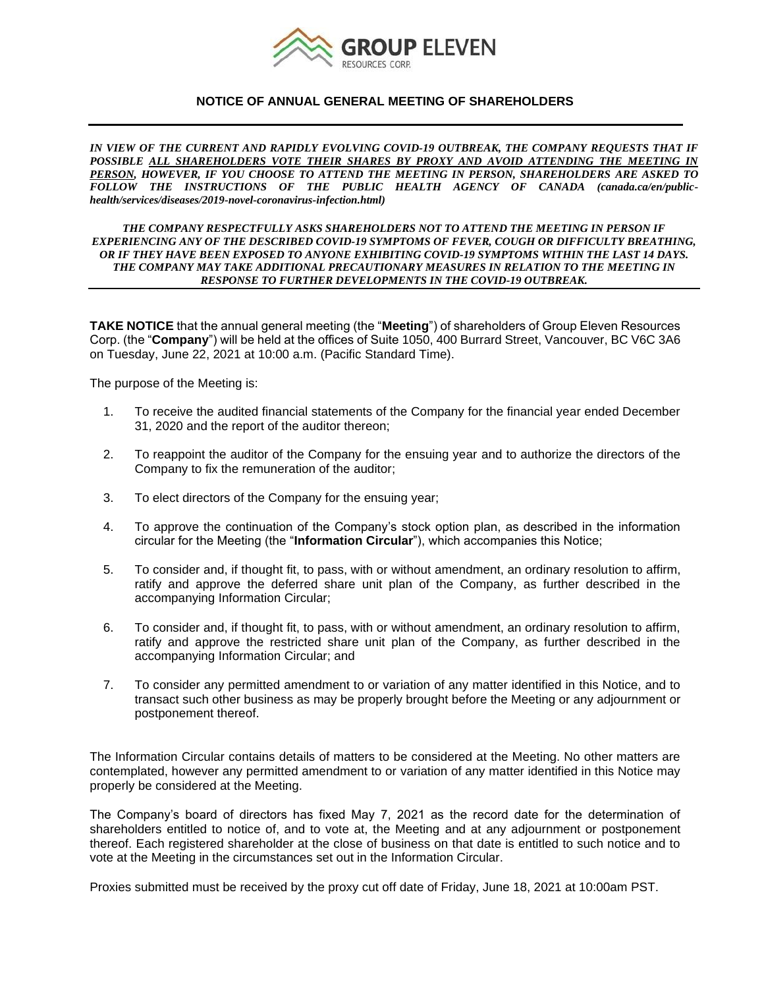

### **NOTICE OF ANNUAL GENERAL MEETING OF SHAREHOLDERS**

*IN VIEW OF THE CURRENT AND RAPIDLY EVOLVING COVID-19 OUTBREAK, THE COMPANY REQUESTS THAT IF*  POSSIBLE ALL SHAREHOLDERS VOTE THEIR SHARES BY PROXY AND AVOID ATTENDING THE MEETING IN *PERSON, HOWEVER, IF YOU CHOOSE TO ATTEND THE MEETING IN PERSON, SHAREHOLDERS ARE ASKED TO FOLLOW THE INSTRUCTIONS OF THE PUBLIC HEALTH AGENCY OF CANADA (canada.ca/en/publichealth/services/diseases/2019-novel-coronavirus-infection.html)*

#### *THE COMPANY RESPECTFULLY ASKS SHAREHOLDERS NOT TO ATTEND THE MEETING IN PERSON IF EXPERIENCING ANY OF THE DESCRIBED COVID-19 SYMPTOMS OF FEVER, COUGH OR DIFFICULTY BREATHING, OR IF THEY HAVE BEEN EXPOSED TO ANYONE EXHIBITING COVID-19 SYMPTOMS WITHIN THE LAST 14 DAYS. THE COMPANY MAY TAKE ADDITIONAL PRECAUTIONARY MEASURES IN RELATION TO THE MEETING IN RESPONSE TO FURTHER DEVELOPMENTS IN THE COVID-19 OUTBREAK.*

**TAKE NOTICE** that the annual general meeting (the "**Meeting**") of shareholders of Group Eleven Resources Corp. (the "**Company**") will be held at the offices of Suite 1050, 400 Burrard Street, Vancouver, BC V6C 3A6 on Tuesday, June 22, 2021 at 10:00 a.m. (Pacific Standard Time).

The purpose of the Meeting is:

- 1. To receive the audited financial statements of the Company for the financial year ended December 31, 2020 and the report of the auditor thereon;
- 2. To reappoint the auditor of the Company for the ensuing year and to authorize the directors of the Company to fix the remuneration of the auditor;
- 3. To elect directors of the Company for the ensuing year;
- 4. To approve the continuation of the Company's stock option plan, as described in the information circular for the Meeting (the "**Information Circular**"), which accompanies this Notice;
- 5. To consider and, if thought fit, to pass, with or without amendment, an ordinary resolution to affirm, ratify and approve the deferred share unit plan of the Company, as further described in the accompanying Information Circular;
- 6. To consider and, if thought fit, to pass, with or without amendment, an ordinary resolution to affirm, ratify and approve the restricted share unit plan of the Company, as further described in the accompanying Information Circular; and
- 7. To consider any permitted amendment to or variation of any matter identified in this Notice, and to transact such other business as may be properly brought before the Meeting or any adjournment or postponement thereof.

The Information Circular contains details of matters to be considered at the Meeting. No other matters are contemplated, however any permitted amendment to or variation of any matter identified in this Notice may properly be considered at the Meeting.

The Company's board of directors has fixed May 7, 2021 as the record date for the determination of shareholders entitled to notice of, and to vote at, the Meeting and at any adjournment or postponement thereof. Each registered shareholder at the close of business on that date is entitled to such notice and to vote at the Meeting in the circumstances set out in the Information Circular.

Proxies submitted must be received by the proxy cut off date of Friday, June 18, 2021 at 10:00am PST.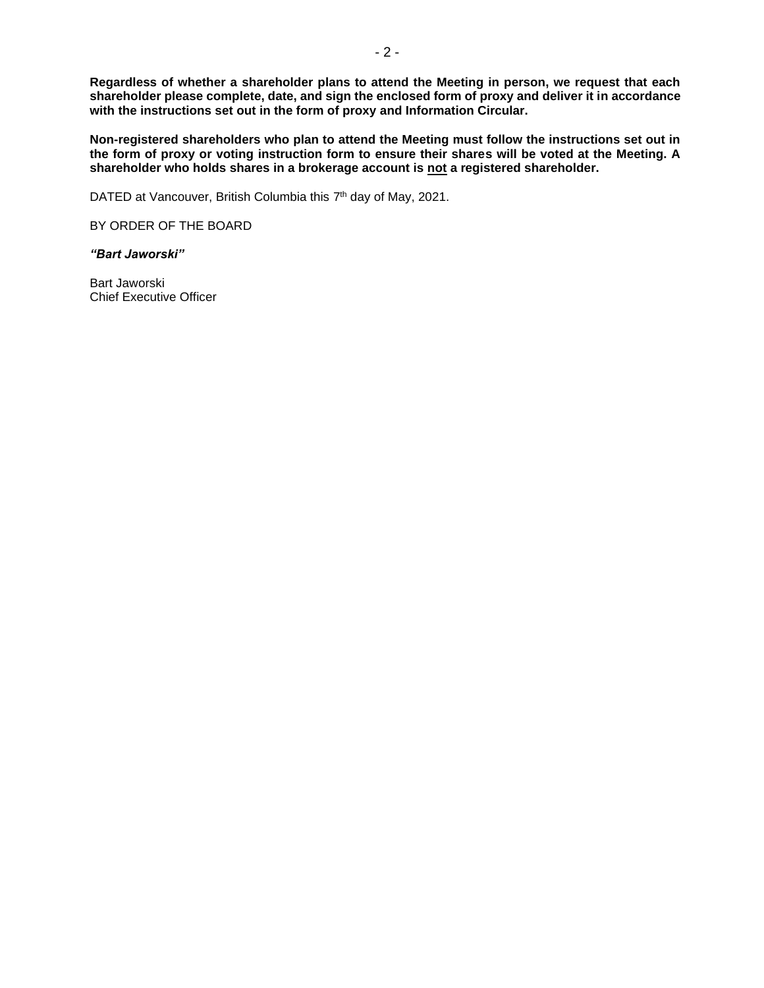**Regardless of whether a shareholder plans to attend the Meeting in person, we request that each shareholder please complete, date, and sign the enclosed form of proxy and deliver it in accordance with the instructions set out in the form of proxy and Information Circular.**

**Non-registered shareholders who plan to attend the Meeting must follow the instructions set out in the form of proxy or voting instruction form to ensure their shares will be voted at the Meeting. A shareholder who holds shares in a brokerage account is not a registered shareholder.**

DATED at Vancouver, British Columbia this 7<sup>th</sup> day of May, 2021.

BY ORDER OF THE BOARD

*"Bart Jaworski"*

Bart Jaworski Chief Executive Officer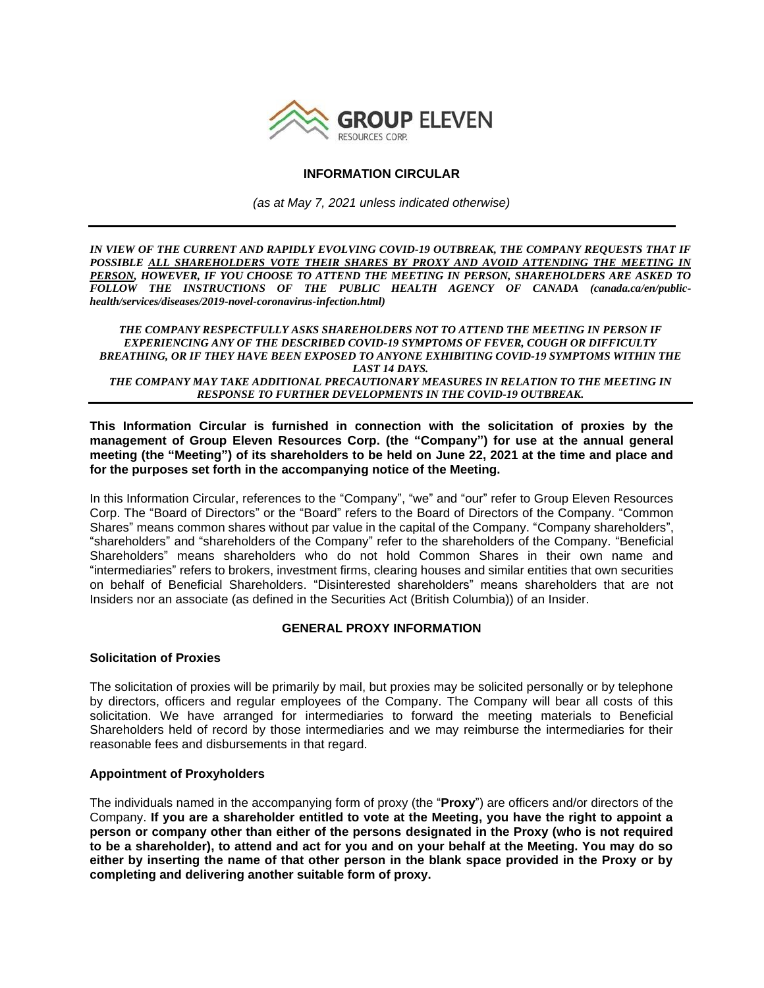

## **INFORMATION CIRCULAR**

*(as at May 7, 2021 unless indicated otherwise)*

*IN VIEW OF THE CURRENT AND RAPIDLY EVOLVING COVID-19 OUTBREAK, THE COMPANY REQUESTS THAT IF*  POSSIBLE ALL SHAREHOLDERS VOTE THEIR SHARES BY PROXY AND AVOID ATTENDING THE MEETING IN *PERSON, HOWEVER, IF YOU CHOOSE TO ATTEND THE MEETING IN PERSON, SHAREHOLDERS ARE ASKED TO FOLLOW THE INSTRUCTIONS OF THE PUBLIC HEALTH AGENCY OF CANADA (canada.ca/en/publichealth/services/diseases/2019-novel-coronavirus-infection.html)*

*THE COMPANY RESPECTFULLY ASKS SHAREHOLDERS NOT TO ATTEND THE MEETING IN PERSON IF EXPERIENCING ANY OF THE DESCRIBED COVID-19 SYMPTOMS OF FEVER, COUGH OR DIFFICULTY BREATHING, OR IF THEY HAVE BEEN EXPOSED TO ANYONE EXHIBITING COVID-19 SYMPTOMS WITHIN THE LAST 14 DAYS. THE COMPANY MAY TAKE ADDITIONAL PRECAUTIONARY MEASURES IN RELATION TO THE MEETING IN RESPONSE TO FURTHER DEVELOPMENTS IN THE COVID-19 OUTBREAK.*

**This Information Circular is furnished in connection with the solicitation of proxies by the management of Group Eleven Resources Corp. (the "Company") for use at the annual general meeting (the "Meeting") of its shareholders to be held on June 22, 2021 at the time and place and for the purposes set forth in the accompanying notice of the Meeting.**

In this Information Circular, references to the "Company", "we" and "our" refer to Group Eleven Resources Corp. The "Board of Directors" or the "Board" refers to the Board of Directors of the Company. "Common Shares" means common shares without par value in the capital of the Company. "Company shareholders", "shareholders" and "shareholders of the Company" refer to the shareholders of the Company. "Beneficial Shareholders" means shareholders who do not hold Common Shares in their own name and "intermediaries" refers to brokers, investment firms, clearing houses and similar entities that own securities on behalf of Beneficial Shareholders. "Disinterested shareholders" means shareholders that are not Insiders nor an associate (as defined in the Securities Act (British Columbia)) of an Insider.

### **GENERAL PROXY INFORMATION**

### **Solicitation of Proxies**

The solicitation of proxies will be primarily by mail, but proxies may be solicited personally or by telephone by directors, officers and regular employees of the Company. The Company will bear all costs of this solicitation. We have arranged for intermediaries to forward the meeting materials to Beneficial Shareholders held of record by those intermediaries and we may reimburse the intermediaries for their reasonable fees and disbursements in that regard.

### **Appointment of Proxyholders**

The individuals named in the accompanying form of proxy (the "**Proxy**") are officers and/or directors of the Company. **If you are a shareholder entitled to vote at the Meeting, you have the right to appoint a person or company other than either of the persons designated in the Proxy (who is not required to be a shareholder), to attend and act for you and on your behalf at the Meeting. You may do so either by inserting the name of that other person in the blank space provided in the Proxy or by completing and delivering another suitable form of proxy.**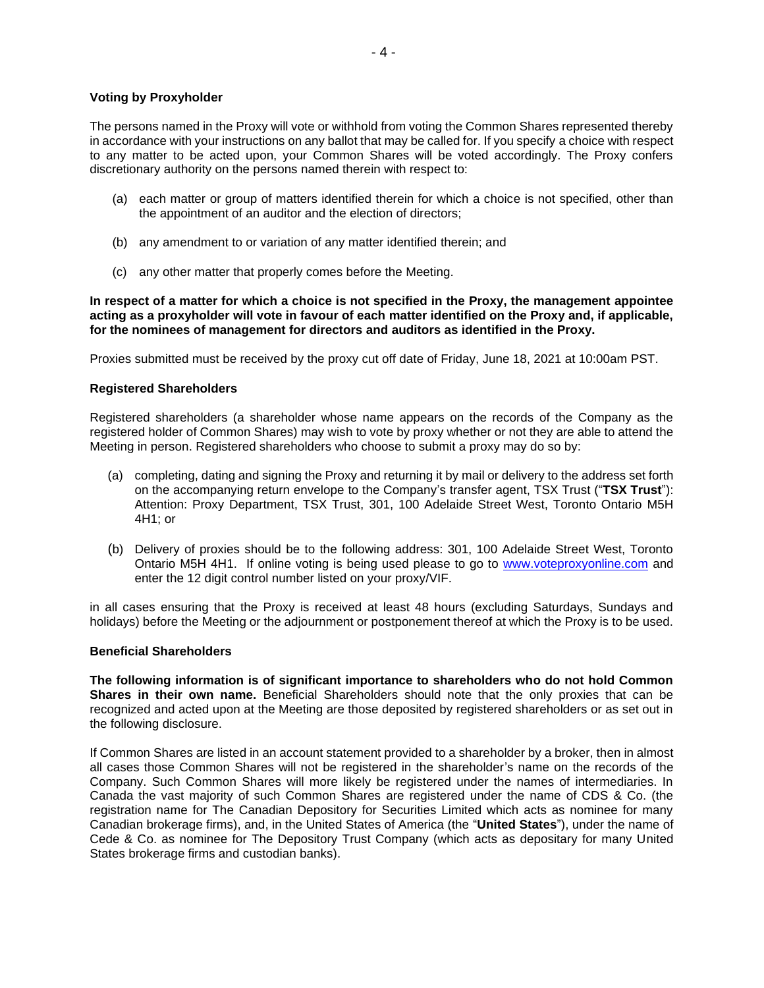## **Voting by Proxyholder**

The persons named in the Proxy will vote or withhold from voting the Common Shares represented thereby in accordance with your instructions on any ballot that may be called for. If you specify a choice with respect to any matter to be acted upon, your Common Shares will be voted accordingly. The Proxy confers discretionary authority on the persons named therein with respect to:

- (a) each matter or group of matters identified therein for which a choice is not specified, other than the appointment of an auditor and the election of directors;
- (b) any amendment to or variation of any matter identified therein; and
- (c) any other matter that properly comes before the Meeting.

**In respect of a matter for which a choice is not specified in the Proxy, the management appointee acting as a proxyholder will vote in favour of each matter identified on the Proxy and, if applicable, for the nominees of management for directors and auditors as identified in the Proxy.**

Proxies submitted must be received by the proxy cut off date of Friday, June 18, 2021 at 10:00am PST.

# **Registered Shareholders**

Registered shareholders (a shareholder whose name appears on the records of the Company as the registered holder of Common Shares) may wish to vote by proxy whether or not they are able to attend the Meeting in person. Registered shareholders who choose to submit a proxy may do so by:

- (a) completing, dating and signing the Proxy and returning it by mail or delivery to the address set forth on the accompanying return envelope to the Company's transfer agent, TSX Trust ("**TSX Trust**"): Attention: Proxy Department, TSX Trust, 301, 100 Adelaide Street West, Toronto Ontario M5H 4H1; or
- (b) Delivery of proxies should be to the following address: 301, 100 Adelaide Street West, Toronto Ontario M5H 4H1. If online voting is being used please to go to [www.voteproxyonline.com](http://www.voteproxyonline.com/) and enter the 12 digit control number listed on your proxy/VIF.

in all cases ensuring that the Proxy is received at least 48 hours (excluding Saturdays, Sundays and holidays) before the Meeting or the adjournment or postponement thereof at which the Proxy is to be used.

### **Beneficial Shareholders**

**The following information is of significant importance to shareholders who do not hold Common Shares in their own name.** Beneficial Shareholders should note that the only proxies that can be recognized and acted upon at the Meeting are those deposited by registered shareholders or as set out in the following disclosure.

If Common Shares are listed in an account statement provided to a shareholder by a broker, then in almost all cases those Common Shares will not be registered in the shareholder's name on the records of the Company. Such Common Shares will more likely be registered under the names of intermediaries. In Canada the vast majority of such Common Shares are registered under the name of CDS & Co. (the registration name for The Canadian Depository for Securities Limited which acts as nominee for many Canadian brokerage firms), and, in the United States of America (the "**United States**"), under the name of Cede & Co. as nominee for The Depository Trust Company (which acts as depositary for many United States brokerage firms and custodian banks).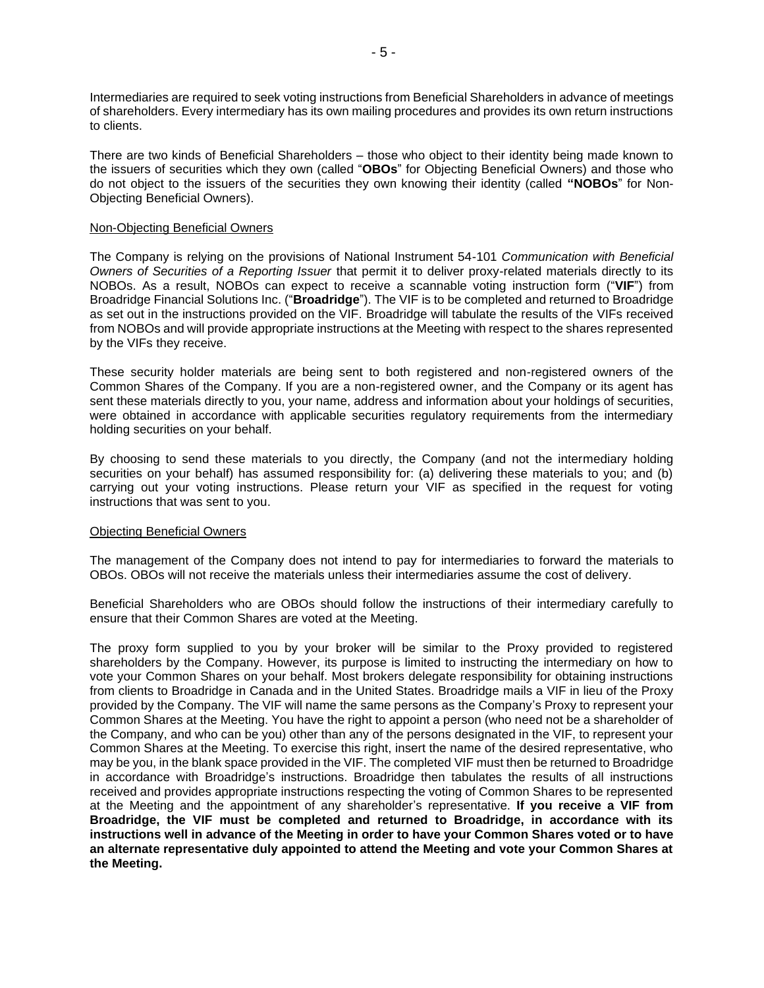Intermediaries are required to seek voting instructions from Beneficial Shareholders in advance of meetings of shareholders. Every intermediary has its own mailing procedures and provides its own return instructions to clients.

There are two kinds of Beneficial Shareholders – those who object to their identity being made known to the issuers of securities which they own (called "**OBOs**" for Objecting Beneficial Owners) and those who do not object to the issuers of the securities they own knowing their identity (called **"NOBOs**" for Non-Objecting Beneficial Owners).

#### Non-Objecting Beneficial Owners

The Company is relying on the provisions of National Instrument 54-101 *Communication with Beneficial Owners of Securities of a Reporting Issuer* that permit it to deliver proxy-related materials directly to its NOBOs. As a result, NOBOs can expect to receive a scannable voting instruction form ("**VIF**") from Broadridge Financial Solutions Inc. ("**Broadridge**"). The VIF is to be completed and returned to Broadridge as set out in the instructions provided on the VIF. Broadridge will tabulate the results of the VIFs received from NOBOs and will provide appropriate instructions at the Meeting with respect to the shares represented by the VIFs they receive.

These security holder materials are being sent to both registered and non-registered owners of the Common Shares of the Company. If you are a non-registered owner, and the Company or its agent has sent these materials directly to you, your name, address and information about your holdings of securities, were obtained in accordance with applicable securities regulatory requirements from the intermediary holding securities on your behalf.

By choosing to send these materials to you directly, the Company (and not the intermediary holding securities on your behalf) has assumed responsibility for: (a) delivering these materials to you; and (b) carrying out your voting instructions. Please return your VIF as specified in the request for voting instructions that was sent to you.

### Objecting Beneficial Owners

The management of the Company does not intend to pay for intermediaries to forward the materials to OBOs. OBOs will not receive the materials unless their intermediaries assume the cost of delivery.

Beneficial Shareholders who are OBOs should follow the instructions of their intermediary carefully to ensure that their Common Shares are voted at the Meeting.

The proxy form supplied to you by your broker will be similar to the Proxy provided to registered shareholders by the Company. However, its purpose is limited to instructing the intermediary on how to vote your Common Shares on your behalf. Most brokers delegate responsibility for obtaining instructions from clients to Broadridge in Canada and in the United States. Broadridge mails a VIF in lieu of the Proxy provided by the Company. The VIF will name the same persons as the Company's Proxy to represent your Common Shares at the Meeting. You have the right to appoint a person (who need not be a shareholder of the Company, and who can be you) other than any of the persons designated in the VIF, to represent your Common Shares at the Meeting. To exercise this right, insert the name of the desired representative, who may be you, in the blank space provided in the VIF. The completed VIF must then be returned to Broadridge in accordance with Broadridge's instructions. Broadridge then tabulates the results of all instructions received and provides appropriate instructions respecting the voting of Common Shares to be represented at the Meeting and the appointment of any shareholder's representative. **If you receive a VIF from Broadridge, the VIF must be completed and returned to Broadridge, in accordance with its instructions well in advance of the Meeting in order to have your Common Shares voted or to have an alternate representative duly appointed to attend the Meeting and vote your Common Shares at the Meeting.**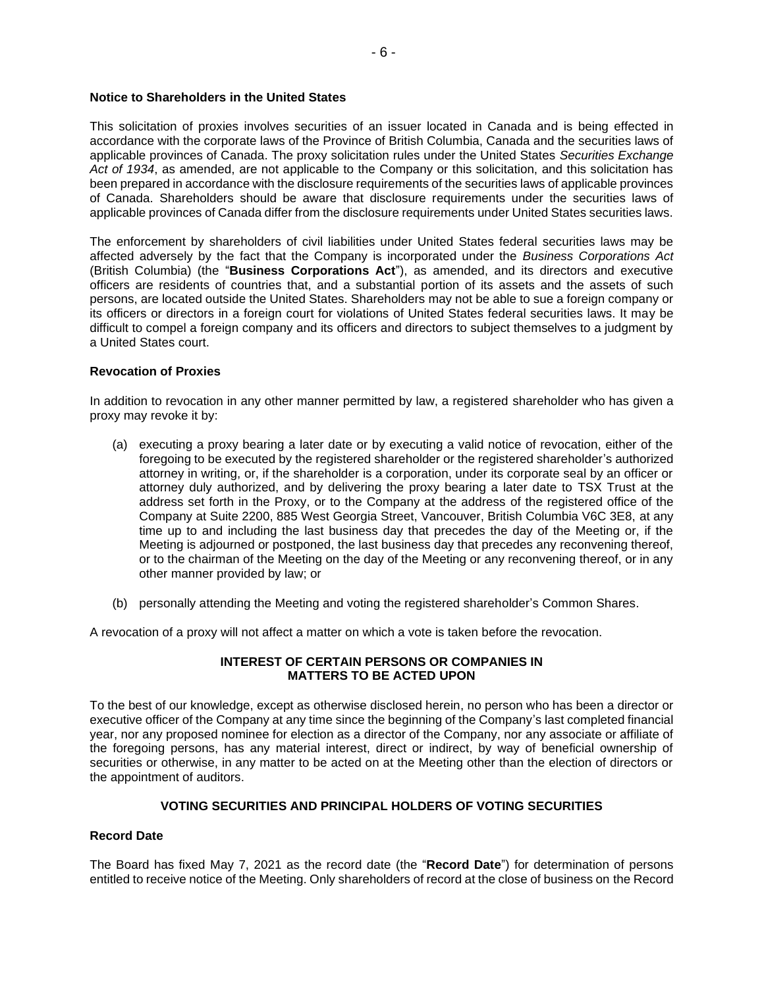## **Notice to Shareholders in the United States**

This solicitation of proxies involves securities of an issuer located in Canada and is being effected in accordance with the corporate laws of the Province of British Columbia, Canada and the securities laws of applicable provinces of Canada. The proxy solicitation rules under the United States *Securities Exchange Act of 1934*, as amended, are not applicable to the Company or this solicitation, and this solicitation has been prepared in accordance with the disclosure requirements of the securities laws of applicable provinces of Canada. Shareholders should be aware that disclosure requirements under the securities laws of applicable provinces of Canada differ from the disclosure requirements under United States securities laws.

The enforcement by shareholders of civil liabilities under United States federal securities laws may be affected adversely by the fact that the Company is incorporated under the *Business Corporations Act* (British Columbia) (the "**Business Corporations Act**"), as amended, and its directors and executive officers are residents of countries that, and a substantial portion of its assets and the assets of such persons, are located outside the United States. Shareholders may not be able to sue a foreign company or its officers or directors in a foreign court for violations of United States federal securities laws. It may be difficult to compel a foreign company and its officers and directors to subject themselves to a judgment by a United States court.

#### **Revocation of Proxies**

In addition to revocation in any other manner permitted by law, a registered shareholder who has given a proxy may revoke it by:

- (a) executing a proxy bearing a later date or by executing a valid notice of revocation, either of the foregoing to be executed by the registered shareholder or the registered shareholder's authorized attorney in writing, or, if the shareholder is a corporation, under its corporate seal by an officer or attorney duly authorized, and by delivering the proxy bearing a later date to TSX Trust at the address set forth in the Proxy, or to the Company at the address of the registered office of the Company at Suite 2200, 885 West Georgia Street, Vancouver, British Columbia V6C 3E8, at any time up to and including the last business day that precedes the day of the Meeting or, if the Meeting is adjourned or postponed, the last business day that precedes any reconvening thereof, or to the chairman of the Meeting on the day of the Meeting or any reconvening thereof, or in any other manner provided by law; or
- (b) personally attending the Meeting and voting the registered shareholder's Common Shares.

A revocation of a proxy will not affect a matter on which a vote is taken before the revocation.

### **INTEREST OF CERTAIN PERSONS OR COMPANIES IN MATTERS TO BE ACTED UPON**

To the best of our knowledge, except as otherwise disclosed herein, no person who has been a director or executive officer of the Company at any time since the beginning of the Company's last completed financial year, nor any proposed nominee for election as a director of the Company, nor any associate or affiliate of the foregoing persons, has any material interest, direct or indirect, by way of beneficial ownership of securities or otherwise, in any matter to be acted on at the Meeting other than the election of directors or the appointment of auditors.

### **VOTING SECURITIES AND PRINCIPAL HOLDERS OF VOTING SECURITIES**

#### **Record Date**

The Board has fixed May 7, 2021 as the record date (the "**Record Date**") for determination of persons entitled to receive notice of the Meeting. Only shareholders of record at the close of business on the Record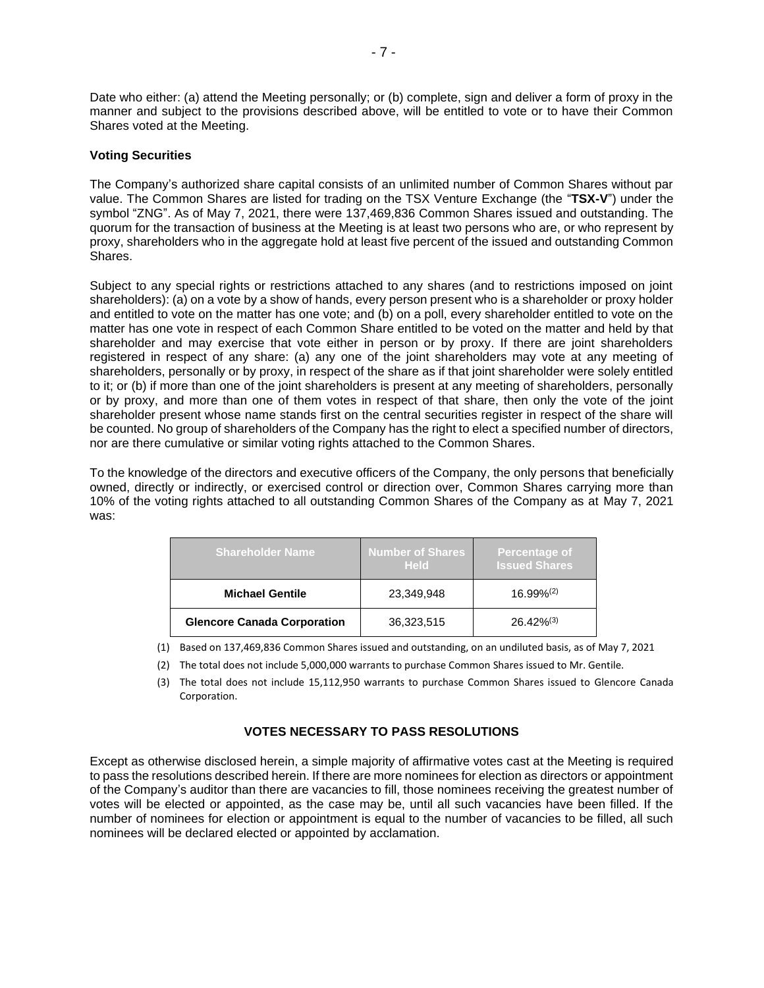Date who either: (a) attend the Meeting personally; or (b) complete, sign and deliver a form of proxy in the manner and subject to the provisions described above, will be entitled to vote or to have their Common Shares voted at the Meeting.

# **Voting Securities**

The Company's authorized share capital consists of an unlimited number of Common Shares without par value. The Common Shares are listed for trading on the TSX Venture Exchange (the "**TSX-V**") under the symbol "ZNG". As of May 7, 2021, there were 137,469,836 Common Shares issued and outstanding. The quorum for the transaction of business at the Meeting is at least two persons who are, or who represent by proxy, shareholders who in the aggregate hold at least five percent of the issued and outstanding Common Shares.

Subject to any special rights or restrictions attached to any shares (and to restrictions imposed on joint shareholders): (a) on a vote by a show of hands, every person present who is a shareholder or proxy holder and entitled to vote on the matter has one vote; and (b) on a poll, every shareholder entitled to vote on the matter has one vote in respect of each Common Share entitled to be voted on the matter and held by that shareholder and may exercise that vote either in person or by proxy. If there are joint shareholders registered in respect of any share: (a) any one of the joint shareholders may vote at any meeting of shareholders, personally or by proxy, in respect of the share as if that joint shareholder were solely entitled to it; or (b) if more than one of the joint shareholders is present at any meeting of shareholders, personally or by proxy, and more than one of them votes in respect of that share, then only the vote of the joint shareholder present whose name stands first on the central securities register in respect of the share will be counted. No group of shareholders of the Company has the right to elect a specified number of directors, nor are there cumulative or similar voting rights attached to the Common Shares.

To the knowledge of the directors and executive officers of the Company, the only persons that beneficially owned, directly or indirectly, or exercised control or direction over, Common Shares carrying more than 10% of the voting rights attached to all outstanding Common Shares of the Company as at May 7, 2021 was:

| <b>Shareholder Name</b>            | <b>Number of Shares</b><br><b>Held</b> | Percentage of<br><b>Issued Shares</b> |
|------------------------------------|----------------------------------------|---------------------------------------|
| <b>Michael Gentile</b>             | 23,349,948                             | 16.99%(2)                             |
| <b>Glencore Canada Corporation</b> | 36,323,515                             | $26.42\%^{(3)}$                       |

(1) Based on 137,469,836 Common Shares issued and outstanding, on an undiluted basis, as of May 7, 2021

- (2) The total does not include 5,000,000 warrants to purchase Common Shares issued to Mr. Gentile.
- (3) The total does not include 15,112,950 warrants to purchase Common Shares issued to Glencore Canada Corporation.

# **VOTES NECESSARY TO PASS RESOLUTIONS**

Except as otherwise disclosed herein, a simple majority of affirmative votes cast at the Meeting is required to pass the resolutions described herein. If there are more nominees for election as directors or appointment of the Company's auditor than there are vacancies to fill, those nominees receiving the greatest number of votes will be elected or appointed, as the case may be, until all such vacancies have been filled. If the number of nominees for election or appointment is equal to the number of vacancies to be filled, all such nominees will be declared elected or appointed by acclamation.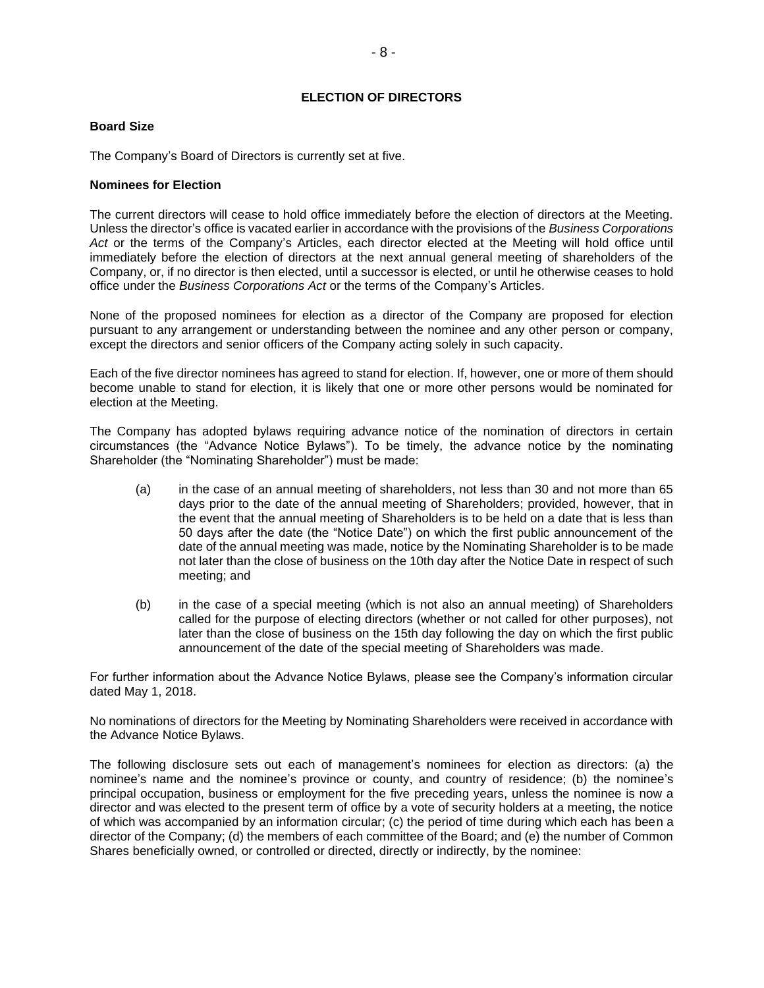# **ELECTION OF DIRECTORS**

#### **Board Size**

The Company's Board of Directors is currently set at five.

#### **Nominees for Election**

The current directors will cease to hold office immediately before the election of directors at the Meeting. Unless the director's office is vacated earlier in accordance with the provisions of the *Business Corporations Act* or the terms of the Company's Articles, each director elected at the Meeting will hold office until immediately before the election of directors at the next annual general meeting of shareholders of the Company, or, if no director is then elected, until a successor is elected, or until he otherwise ceases to hold office under the *Business Corporations Act* or the terms of the Company's Articles.

None of the proposed nominees for election as a director of the Company are proposed for election pursuant to any arrangement or understanding between the nominee and any other person or company, except the directors and senior officers of the Company acting solely in such capacity.

Each of the five director nominees has agreed to stand for election. If, however, one or more of them should become unable to stand for election, it is likely that one or more other persons would be nominated for election at the Meeting.

The Company has adopted bylaws requiring advance notice of the nomination of directors in certain circumstances (the "Advance Notice Bylaws"). To be timely, the advance notice by the nominating Shareholder (the "Nominating Shareholder") must be made:

- (a) in the case of an annual meeting of shareholders, not less than 30 and not more than 65 days prior to the date of the annual meeting of Shareholders; provided, however, that in the event that the annual meeting of Shareholders is to be held on a date that is less than 50 days after the date (the "Notice Date") on which the first public announcement of the date of the annual meeting was made, notice by the Nominating Shareholder is to be made not later than the close of business on the 10th day after the Notice Date in respect of such meeting; and
- (b) in the case of a special meeting (which is not also an annual meeting) of Shareholders called for the purpose of electing directors (whether or not called for other purposes), not later than the close of business on the 15th day following the day on which the first public announcement of the date of the special meeting of Shareholders was made.

For further information about the Advance Notice Bylaws, please see the Company's information circular dated May 1, 2018.

No nominations of directors for the Meeting by Nominating Shareholders were received in accordance with the Advance Notice Bylaws.

The following disclosure sets out each of management's nominees for election as directors: (a) the nominee's name and the nominee's province or county, and country of residence; (b) the nominee's principal occupation, business or employment for the five preceding years, unless the nominee is now a director and was elected to the present term of office by a vote of security holders at a meeting, the notice of which was accompanied by an information circular; (c) the period of time during which each has been a director of the Company; (d) the members of each committee of the Board; and (e) the number of Common Shares beneficially owned, or controlled or directed, directly or indirectly, by the nominee: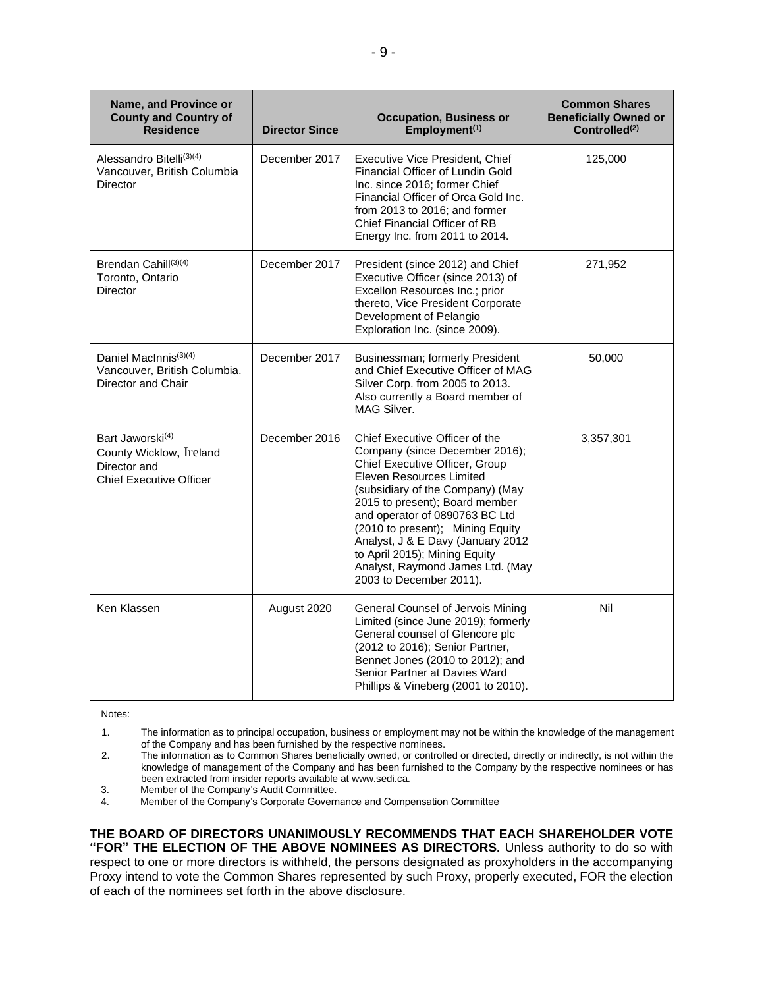| Name, and Province or<br><b>County and Country of</b><br><b>Residence</b>                                 | <b>Director Since</b> | <b>Occupation, Business or</b><br>Employment <sup>(1)</sup>                                                                                                                                                                                                                                                                                                                                                     | <b>Common Shares</b><br><b>Beneficially Owned or</b><br>Controlled <sup>(2)</sup> |
|-----------------------------------------------------------------------------------------------------------|-----------------------|-----------------------------------------------------------------------------------------------------------------------------------------------------------------------------------------------------------------------------------------------------------------------------------------------------------------------------------------------------------------------------------------------------------------|-----------------------------------------------------------------------------------|
| Alessandro Bitelli(3)(4)<br>Vancouver, British Columbia<br>Director                                       | December 2017         | Executive Vice President, Chief<br>Financial Officer of Lundin Gold<br>Inc. since 2016; former Chief<br>Financial Officer of Orca Gold Inc.<br>from 2013 to 2016: and former<br>Chief Financial Officer of RB<br>Energy Inc. from 2011 to 2014.                                                                                                                                                                 | 125,000                                                                           |
| Brendan Cahill <sup>(3)(4)</sup><br>Toronto, Ontario<br><b>Director</b>                                   | December 2017         | President (since 2012) and Chief<br>Executive Officer (since 2013) of<br>Excellon Resources Inc.; prior<br>thereto, Vice President Corporate<br>Development of Pelangio<br>Exploration Inc. (since 2009).                                                                                                                                                                                                       | 271,952                                                                           |
| Daniel MacInnis <sup>(3)(4)</sup><br>Vancouver, British Columbia.<br>Director and Chair                   | December 2017         | Businessman; formerly President<br>and Chief Executive Officer of MAG<br>Silver Corp. from 2005 to 2013.<br>Also currently a Board member of<br>MAG Silver.                                                                                                                                                                                                                                                     | 50,000                                                                            |
| Bart Jaworski <sup>(4)</sup><br>County Wicklow, Ireland<br>Director and<br><b>Chief Executive Officer</b> | December 2016         | Chief Executive Officer of the<br>Company (since December 2016);<br>Chief Executive Officer, Group<br>Eleven Resources Limited<br>(subsidiary of the Company) (May<br>2015 to present); Board member<br>and operator of 0890763 BC Ltd<br>(2010 to present); Mining Equity<br>Analyst, J & E Davy (January 2012<br>to April 2015); Mining Equity<br>Analyst, Raymond James Ltd. (May<br>2003 to December 2011). | 3,357,301                                                                         |
| Ken Klassen                                                                                               | August 2020           | General Counsel of Jervois Mining<br>Limited (since June 2019); formerly<br>General counsel of Glencore plc<br>(2012 to 2016); Senior Partner,<br>Bennet Jones (2010 to 2012); and<br>Senior Partner at Davies Ward<br>Phillips & Vineberg (2001 to 2010).                                                                                                                                                      | Nil                                                                               |

Notes:

1. The information as to principal occupation, business or employment may not be within the knowledge of the management of the Company and has been furnished by the respective nominees.

2. The information as to Common Shares beneficially owned, or controlled or directed, directly or indirectly, is not within the knowledge of management of the Company and has been furnished to the Company by the respective nominees or has been extracted from insider reports available at www.sedi.ca.

3. Member of the Company's Audit Committee.<br>4. Member of the Company's Corporate Govern

Member of the Company's Corporate Governance and Compensation Committee

**THE BOARD OF DIRECTORS UNANIMOUSLY RECOMMENDS THAT EACH SHAREHOLDER VOTE "FOR" THE ELECTION OF THE ABOVE NOMINEES AS DIRECTORS.** Unless authority to do so with respect to one or more directors is withheld, the persons designated as proxyholders in the accompanying Proxy intend to vote the Common Shares represented by such Proxy, properly executed, FOR the election of each of the nominees set forth in the above disclosure.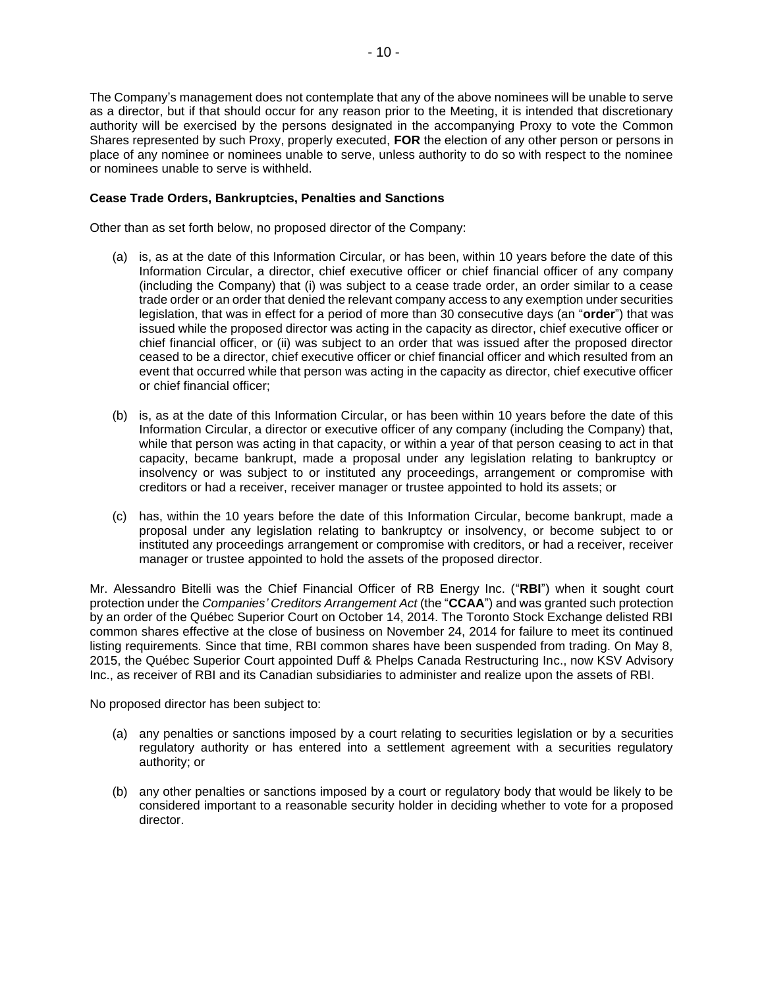The Company's management does not contemplate that any of the above nominees will be unable to serve as a director, but if that should occur for any reason prior to the Meeting, it is intended that discretionary authority will be exercised by the persons designated in the accompanying Proxy to vote the Common Shares represented by such Proxy, properly executed, **FOR** the election of any other person or persons in place of any nominee or nominees unable to serve, unless authority to do so with respect to the nominee or nominees unable to serve is withheld.

# **Cease Trade Orders, Bankruptcies, Penalties and Sanctions**

Other than as set forth below, no proposed director of the Company:

- (a) is, as at the date of this Information Circular, or has been, within 10 years before the date of this Information Circular, a director, chief executive officer or chief financial officer of any company (including the Company) that (i) was subject to a cease trade order, an order similar to a cease trade order or an order that denied the relevant company access to any exemption under securities legislation, that was in effect for a period of more than 30 consecutive days (an "**order**") that was issued while the proposed director was acting in the capacity as director, chief executive officer or chief financial officer, or (ii) was subject to an order that was issued after the proposed director ceased to be a director, chief executive officer or chief financial officer and which resulted from an event that occurred while that person was acting in the capacity as director, chief executive officer or chief financial officer;
- (b) is, as at the date of this Information Circular, or has been within 10 years before the date of this Information Circular, a director or executive officer of any company (including the Company) that, while that person was acting in that capacity, or within a year of that person ceasing to act in that capacity, became bankrupt, made a proposal under any legislation relating to bankruptcy or insolvency or was subject to or instituted any proceedings, arrangement or compromise with creditors or had a receiver, receiver manager or trustee appointed to hold its assets; or
- (c) has, within the 10 years before the date of this Information Circular, become bankrupt, made a proposal under any legislation relating to bankruptcy or insolvency, or become subject to or instituted any proceedings arrangement or compromise with creditors, or had a receiver, receiver manager or trustee appointed to hold the assets of the proposed director.

Mr. Alessandro Bitelli was the Chief Financial Officer of RB Energy Inc. ("**RBI**") when it sought court protection under the *Companies' Creditors Arrangement Act* (the "**CCAA**") and was granted such protection by an order of the Québec Superior Court on October 14, 2014. The Toronto Stock Exchange delisted RBI common shares effective at the close of business on November 24, 2014 for failure to meet its continued listing requirements. Since that time, RBI common shares have been suspended from trading. On May 8, 2015, the Québec Superior Court appointed Duff & Phelps Canada Restructuring Inc., now KSV Advisory Inc., as receiver of RBI and its Canadian subsidiaries to administer and realize upon the assets of RBI.

No proposed director has been subject to:

- (a) any penalties or sanctions imposed by a court relating to securities legislation or by a securities regulatory authority or has entered into a settlement agreement with a securities regulatory authority; or
- (b) any other penalties or sanctions imposed by a court or regulatory body that would be likely to be considered important to a reasonable security holder in deciding whether to vote for a proposed director.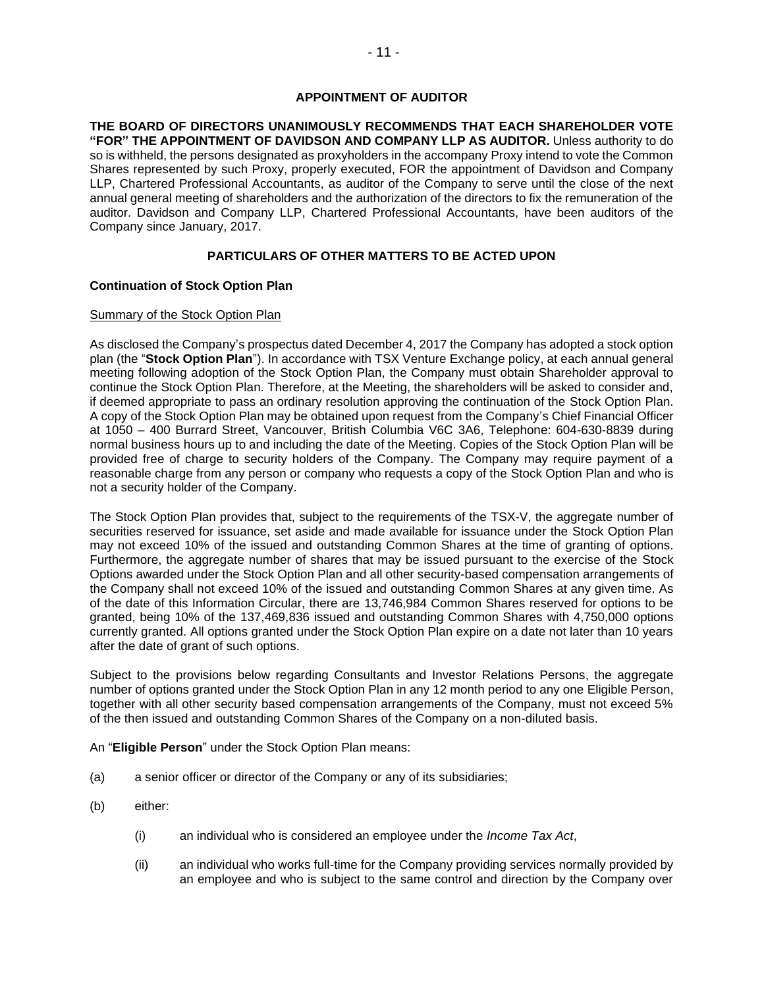# **APPOINTMENT OF AUDITOR**

**THE BOARD OF DIRECTORS UNANIMOUSLY RECOMMENDS THAT EACH SHAREHOLDER VOTE "FOR" THE APPOINTMENT OF DAVIDSON AND COMPANY LLP AS AUDITOR.** Unless authority to do so is withheld, the persons designated as proxyholders in the accompany Proxy intend to vote the Common Shares represented by such Proxy, properly executed, FOR the appointment of Davidson and Company LLP, Chartered Professional Accountants, as auditor of the Company to serve until the close of the next annual general meeting of shareholders and the authorization of the directors to fix the remuneration of the auditor. Davidson and Company LLP, Chartered Professional Accountants, have been auditors of the Company since January, 2017.

# **PARTICULARS OF OTHER MATTERS TO BE ACTED UPON**

### **Continuation of Stock Option Plan**

#### Summary of the Stock Option Plan

As disclosed the Company's prospectus dated December 4, 2017 the Company has adopted a stock option plan (the "**Stock Option Plan**"). In accordance with TSX Venture Exchange policy, at each annual general meeting following adoption of the Stock Option Plan, the Company must obtain Shareholder approval to continue the Stock Option Plan. Therefore, at the Meeting, the shareholders will be asked to consider and, if deemed appropriate to pass an ordinary resolution approving the continuation of the Stock Option Plan. A copy of the Stock Option Plan may be obtained upon request from the Company's Chief Financial Officer at 1050 – 400 Burrard Street, Vancouver, British Columbia V6C 3A6, Telephone: 604-630-8839 during normal business hours up to and including the date of the Meeting. Copies of the Stock Option Plan will be provided free of charge to security holders of the Company. The Company may require payment of a reasonable charge from any person or company who requests a copy of the Stock Option Plan and who is not a security holder of the Company.

The Stock Option Plan provides that, subject to the requirements of the TSX-V, the aggregate number of securities reserved for issuance, set aside and made available for issuance under the Stock Option Plan may not exceed 10% of the issued and outstanding Common Shares at the time of granting of options. Furthermore, the aggregate number of shares that may be issued pursuant to the exercise of the Stock Options awarded under the Stock Option Plan and all other security-based compensation arrangements of the Company shall not exceed 10% of the issued and outstanding Common Shares at any given time. As of the date of this Information Circular, there are 13,746,984 Common Shares reserved for options to be granted, being 10% of the 137,469,836 issued and outstanding Common Shares with 4,750,000 options currently granted. All options granted under the Stock Option Plan expire on a date not later than 10 years after the date of grant of such options.

Subject to the provisions below regarding Consultants and Investor Relations Persons, the aggregate number of options granted under the Stock Option Plan in any 12 month period to any one Eligible Person, together with all other security based compensation arrangements of the Company, must not exceed 5% of the then issued and outstanding Common Shares of the Company on a non-diluted basis.

An "**Eligible Person**" under the Stock Option Plan means:

- (a) a senior officer or director of the Company or any of its subsidiaries;
- (b) either:
	- (i) an individual who is considered an employee under the *Income Tax Act*,
	- (ii) an individual who works full-time for the Company providing services normally provided by an employee and who is subject to the same control and direction by the Company over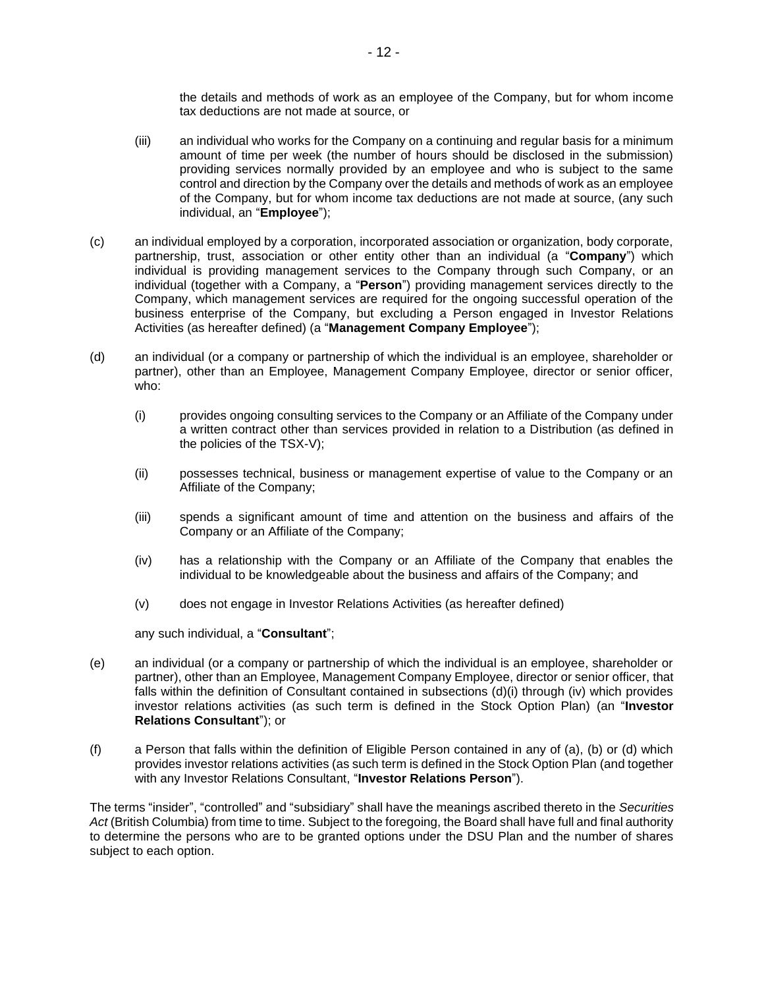the details and methods of work as an employee of the Company, but for whom income tax deductions are not made at source, or

- (iii) an individual who works for the Company on a continuing and regular basis for a minimum amount of time per week (the number of hours should be disclosed in the submission) providing services normally provided by an employee and who is subject to the same control and direction by the Company over the details and methods of work as an employee of the Company, but for whom income tax deductions are not made at source, (any such individual, an "**Employee**");
- (c) an individual employed by a corporation, incorporated association or organization, body corporate, partnership, trust, association or other entity other than an individual (a "**Company**") which individual is providing management services to the Company through such Company, or an individual (together with a Company, a "**Person**") providing management services directly to the Company, which management services are required for the ongoing successful operation of the business enterprise of the Company, but excluding a Person engaged in Investor Relations Activities (as hereafter defined) (a "**Management Company Employee**");
- (d) an individual (or a company or partnership of which the individual is an employee, shareholder or partner), other than an Employee, Management Company Employee, director or senior officer, who:
	- (i) provides ongoing consulting services to the Company or an Affiliate of the Company under a written contract other than services provided in relation to a Distribution (as defined in the policies of the TSX-V);
	- (ii) possesses technical, business or management expertise of value to the Company or an Affiliate of the Company;
	- (iii) spends a significant amount of time and attention on the business and affairs of the Company or an Affiliate of the Company;
	- (iv) has a relationship with the Company or an Affiliate of the Company that enables the individual to be knowledgeable about the business and affairs of the Company; and
	- (v) does not engage in Investor Relations Activities (as hereafter defined)

any such individual, a "**Consultant**";

- (e) an individual (or a company or partnership of which the individual is an employee, shareholder or partner), other than an Employee, Management Company Employee, director or senior officer, that falls within the definition of Consultant contained in subsections (d)(i) through (iv) which provides investor relations activities (as such term is defined in the Stock Option Plan) (an "**Investor Relations Consultant**"); or
- (f) a Person that falls within the definition of Eligible Person contained in any of (a), (b) or (d) which provides investor relations activities (as such term is defined in the Stock Option Plan (and together with any Investor Relations Consultant, "**Investor Relations Person**").

The terms "insider", "controlled" and "subsidiary" shall have the meanings ascribed thereto in the *Securities Act* (British Columbia) from time to time. Subject to the foregoing, the Board shall have full and final authority to determine the persons who are to be granted options under the DSU Plan and the number of shares subject to each option.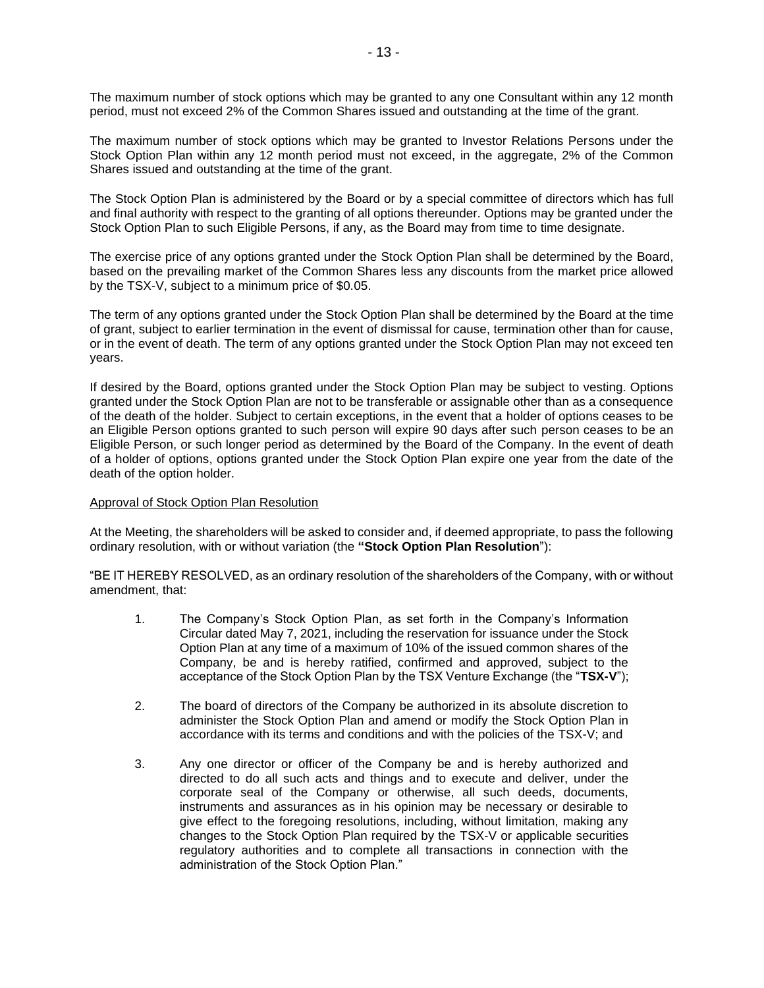The maximum number of stock options which may be granted to any one Consultant within any 12 month period, must not exceed 2% of the Common Shares issued and outstanding at the time of the grant.

The maximum number of stock options which may be granted to Investor Relations Persons under the Stock Option Plan within any 12 month period must not exceed, in the aggregate, 2% of the Common Shares issued and outstanding at the time of the grant.

The Stock Option Plan is administered by the Board or by a special committee of directors which has full and final authority with respect to the granting of all options thereunder. Options may be granted under the Stock Option Plan to such Eligible Persons, if any, as the Board may from time to time designate.

The exercise price of any options granted under the Stock Option Plan shall be determined by the Board, based on the prevailing market of the Common Shares less any discounts from the market price allowed by the TSX-V, subject to a minimum price of \$0.05.

The term of any options granted under the Stock Option Plan shall be determined by the Board at the time of grant, subject to earlier termination in the event of dismissal for cause, termination other than for cause, or in the event of death. The term of any options granted under the Stock Option Plan may not exceed ten years.

If desired by the Board, options granted under the Stock Option Plan may be subject to vesting. Options granted under the Stock Option Plan are not to be transferable or assignable other than as a consequence of the death of the holder. Subject to certain exceptions, in the event that a holder of options ceases to be an Eligible Person options granted to such person will expire 90 days after such person ceases to be an Eligible Person, or such longer period as determined by the Board of the Company. In the event of death of a holder of options, options granted under the Stock Option Plan expire one year from the date of the death of the option holder.

### Approval of Stock Option Plan Resolution

At the Meeting, the shareholders will be asked to consider and, if deemed appropriate, to pass the following ordinary resolution, with or without variation (the **"Stock Option Plan Resolution**"):

"BE IT HEREBY RESOLVED, as an ordinary resolution of the shareholders of the Company, with or without amendment, that:

- 1. The Company's Stock Option Plan, as set forth in the Company's Information Circular dated May 7, 2021, including the reservation for issuance under the Stock Option Plan at any time of a maximum of 10% of the issued common shares of the Company, be and is hereby ratified, confirmed and approved, subject to the acceptance of the Stock Option Plan by the TSX Venture Exchange (the "**TSX-V**");
- 2. The board of directors of the Company be authorized in its absolute discretion to administer the Stock Option Plan and amend or modify the Stock Option Plan in accordance with its terms and conditions and with the policies of the TSX-V; and
- 3. Any one director or officer of the Company be and is hereby authorized and directed to do all such acts and things and to execute and deliver, under the corporate seal of the Company or otherwise, all such deeds, documents, instruments and assurances as in his opinion may be necessary or desirable to give effect to the foregoing resolutions, including, without limitation, making any changes to the Stock Option Plan required by the TSX-V or applicable securities regulatory authorities and to complete all transactions in connection with the administration of the Stock Option Plan."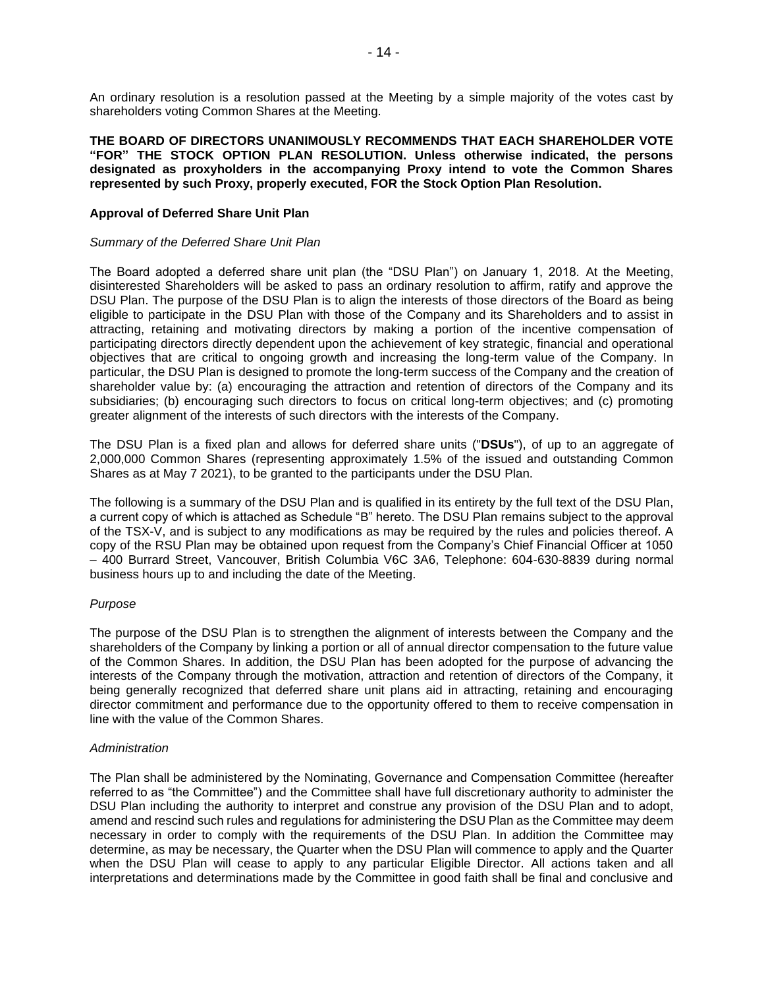An ordinary resolution is a resolution passed at the Meeting by a simple majority of the votes cast by shareholders voting Common Shares at the Meeting.

**THE BOARD OF DIRECTORS UNANIMOUSLY RECOMMENDS THAT EACH SHAREHOLDER VOTE "FOR" THE STOCK OPTION PLAN RESOLUTION. Unless otherwise indicated, the persons designated as proxyholders in the accompanying Proxy intend to vote the Common Shares represented by such Proxy, properly executed, FOR the Stock Option Plan Resolution.**

#### **Approval of Deferred Share Unit Plan**

#### *Summary of the Deferred Share Unit Plan*

The Board adopted a deferred share unit plan (the "DSU Plan") on January 1, 2018. At the Meeting, disinterested Shareholders will be asked to pass an ordinary resolution to affirm, ratify and approve the DSU Plan. The purpose of the DSU Plan is to align the interests of those directors of the Board as being eligible to participate in the DSU Plan with those of the Company and its Shareholders and to assist in attracting, retaining and motivating directors by making a portion of the incentive compensation of participating directors directly dependent upon the achievement of key strategic, financial and operational objectives that are critical to ongoing growth and increasing the long-term value of the Company. In particular, the DSU Plan is designed to promote the long-term success of the Company and the creation of shareholder value by: (a) encouraging the attraction and retention of directors of the Company and its subsidiaries; (b) encouraging such directors to focus on critical long-term objectives; and (c) promoting greater alignment of the interests of such directors with the interests of the Company.

The DSU Plan is a fixed plan and allows for deferred share units ("**DSUs**"), of up to an aggregate of 2,000,000 Common Shares (representing approximately 1.5% of the issued and outstanding Common Shares as at May 7 2021), to be granted to the participants under the DSU Plan.

The following is a summary of the DSU Plan and is qualified in its entirety by the full text of the DSU Plan, a current copy of which is attached as Schedule "B" hereto. The DSU Plan remains subject to the approval of the TSX-V, and is subject to any modifications as may be required by the rules and policies thereof. A copy of the RSU Plan may be obtained upon request from the Company's Chief Financial Officer at 1050 – 400 Burrard Street, Vancouver, British Columbia V6C 3A6, Telephone: 604-630-8839 during normal business hours up to and including the date of the Meeting.

### *Purpose*

The purpose of the DSU Plan is to strengthen the alignment of interests between the Company and the shareholders of the Company by linking a portion or all of annual director compensation to the future value of the Common Shares. In addition, the DSU Plan has been adopted for the purpose of advancing the interests of the Company through the motivation, attraction and retention of directors of the Company, it being generally recognized that deferred share unit plans aid in attracting, retaining and encouraging director commitment and performance due to the opportunity offered to them to receive compensation in line with the value of the Common Shares.

#### *Administration*

The Plan shall be administered by the Nominating, Governance and Compensation Committee (hereafter referred to as "the Committee") and the Committee shall have full discretionary authority to administer the DSU Plan including the authority to interpret and construe any provision of the DSU Plan and to adopt, amend and rescind such rules and regulations for administering the DSU Plan as the Committee may deem necessary in order to comply with the requirements of the DSU Plan. In addition the Committee may determine, as may be necessary, the Quarter when the DSU Plan will commence to apply and the Quarter when the DSU Plan will cease to apply to any particular Eligible Director. All actions taken and all interpretations and determinations made by the Committee in good faith shall be final and conclusive and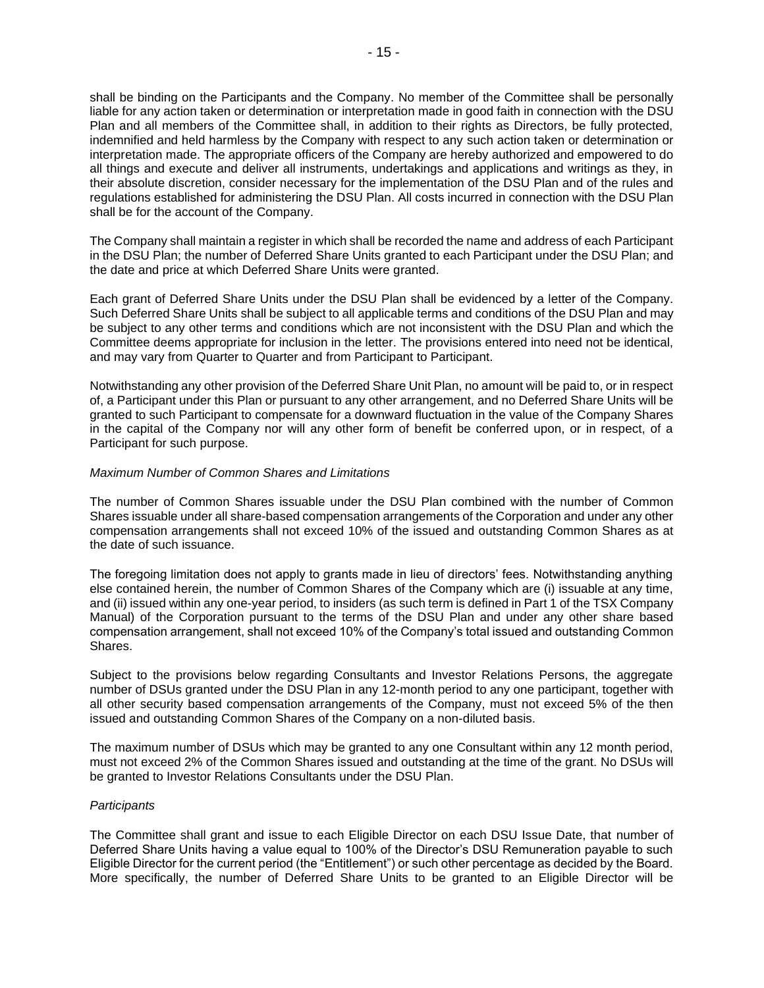shall be binding on the Participants and the Company. No member of the Committee shall be personally liable for any action taken or determination or interpretation made in good faith in connection with the DSU Plan and all members of the Committee shall, in addition to their rights as Directors, be fully protected, indemnified and held harmless by the Company with respect to any such action taken or determination or interpretation made. The appropriate officers of the Company are hereby authorized and empowered to do all things and execute and deliver all instruments, undertakings and applications and writings as they, in their absolute discretion, consider necessary for the implementation of the DSU Plan and of the rules and regulations established for administering the DSU Plan. All costs incurred in connection with the DSU Plan shall be for the account of the Company.

The Company shall maintain a register in which shall be recorded the name and address of each Participant in the DSU Plan; the number of Deferred Share Units granted to each Participant under the DSU Plan; and the date and price at which Deferred Share Units were granted.

Each grant of Deferred Share Units under the DSU Plan shall be evidenced by a letter of the Company. Such Deferred Share Units shall be subject to all applicable terms and conditions of the DSU Plan and may be subject to any other terms and conditions which are not inconsistent with the DSU Plan and which the Committee deems appropriate for inclusion in the letter. The provisions entered into need not be identical, and may vary from Quarter to Quarter and from Participant to Participant.

Notwithstanding any other provision of the Deferred Share Unit Plan, no amount will be paid to, or in respect of, a Participant under this Plan or pursuant to any other arrangement, and no Deferred Share Units will be granted to such Participant to compensate for a downward fluctuation in the value of the Company Shares in the capital of the Company nor will any other form of benefit be conferred upon, or in respect, of a Participant for such purpose.

### *Maximum Number of Common Shares and Limitations*

The number of Common Shares issuable under the DSU Plan combined with the number of Common Shares issuable under all share-based compensation arrangements of the Corporation and under any other compensation arrangements shall not exceed 10% of the issued and outstanding Common Shares as at the date of such issuance.

The foregoing limitation does not apply to grants made in lieu of directors' fees. Notwithstanding anything else contained herein, the number of Common Shares of the Company which are (i) issuable at any time, and (ii) issued within any one-year period, to insiders (as such term is defined in Part 1 of the TSX Company Manual) of the Corporation pursuant to the terms of the DSU Plan and under any other share based compensation arrangement, shall not exceed 10% of the Company's total issued and outstanding Common Shares.

Subject to the provisions below regarding Consultants and Investor Relations Persons, the aggregate number of DSUs granted under the DSU Plan in any 12-month period to any one participant, together with all other security based compensation arrangements of the Company, must not exceed 5% of the then issued and outstanding Common Shares of the Company on a non-diluted basis.

The maximum number of DSUs which may be granted to any one Consultant within any 12 month period, must not exceed 2% of the Common Shares issued and outstanding at the time of the grant. No DSUs will be granted to Investor Relations Consultants under the DSU Plan.

### *Participants*

The Committee shall grant and issue to each Eligible Director on each DSU Issue Date, that number of Deferred Share Units having a value equal to 100% of the Director's DSU Remuneration payable to such Eligible Director for the current period (the "Entitlement") or such other percentage as decided by the Board. More specifically, the number of Deferred Share Units to be granted to an Eligible Director will be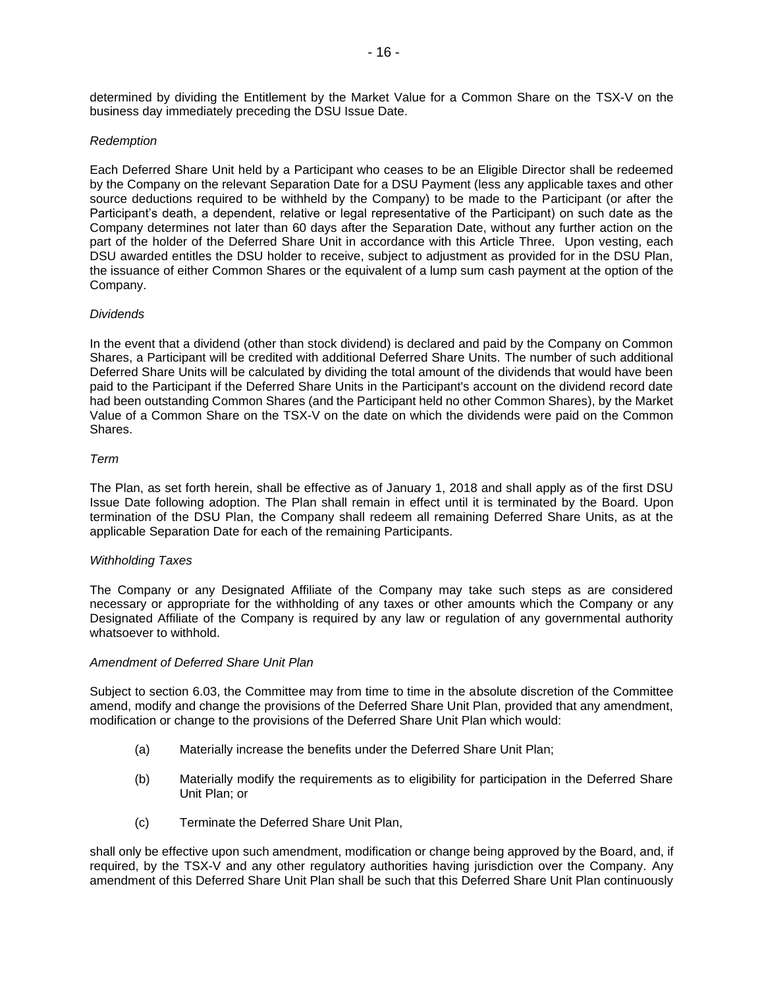determined by dividing the Entitlement by the Market Value for a Common Share on the TSX-V on the business day immediately preceding the DSU Issue Date.

### *Redemption*

Each Deferred Share Unit held by a Participant who ceases to be an Eligible Director shall be redeemed by the Company on the relevant Separation Date for a DSU Payment (less any applicable taxes and other source deductions required to be withheld by the Company) to be made to the Participant (or after the Participant's death, a dependent, relative or legal representative of the Participant) on such date as the Company determines not later than 60 days after the Separation Date, without any further action on the part of the holder of the Deferred Share Unit in accordance with this Article Three. Upon vesting, each DSU awarded entitles the DSU holder to receive, subject to adjustment as provided for in the DSU Plan, the issuance of either Common Shares or the equivalent of a lump sum cash payment at the option of the Company.

### *Dividends*

In the event that a dividend (other than stock dividend) is declared and paid by the Company on Common Shares, a Participant will be credited with additional Deferred Share Units. The number of such additional Deferred Share Units will be calculated by dividing the total amount of the dividends that would have been paid to the Participant if the Deferred Share Units in the Participant's account on the dividend record date had been outstanding Common Shares (and the Participant held no other Common Shares), by the Market Value of a Common Share on the TSX-V on the date on which the dividends were paid on the Common Shares.

### *Term*

The Plan, as set forth herein, shall be effective as of January 1, 2018 and shall apply as of the first DSU Issue Date following adoption. The Plan shall remain in effect until it is terminated by the Board. Upon termination of the DSU Plan, the Company shall redeem all remaining Deferred Share Units, as at the applicable Separation Date for each of the remaining Participants.

### *Withholding Taxes*

The Company or any Designated Affiliate of the Company may take such steps as are considered necessary or appropriate for the withholding of any taxes or other amounts which the Company or any Designated Affiliate of the Company is required by any law or regulation of any governmental authority whatsoever to withhold.

### *Amendment of Deferred Share Unit Plan*

Subject to section 6.03, the Committee may from time to time in the absolute discretion of the Committee amend, modify and change the provisions of the Deferred Share Unit Plan, provided that any amendment, modification or change to the provisions of the Deferred Share Unit Plan which would:

- (a) Materially increase the benefits under the Deferred Share Unit Plan;
- (b) Materially modify the requirements as to eligibility for participation in the Deferred Share Unit Plan; or
- (c) Terminate the Deferred Share Unit Plan,

shall only be effective upon such amendment, modification or change being approved by the Board, and, if required, by the TSX-V and any other regulatory authorities having jurisdiction over the Company. Any amendment of this Deferred Share Unit Plan shall be such that this Deferred Share Unit Plan continuously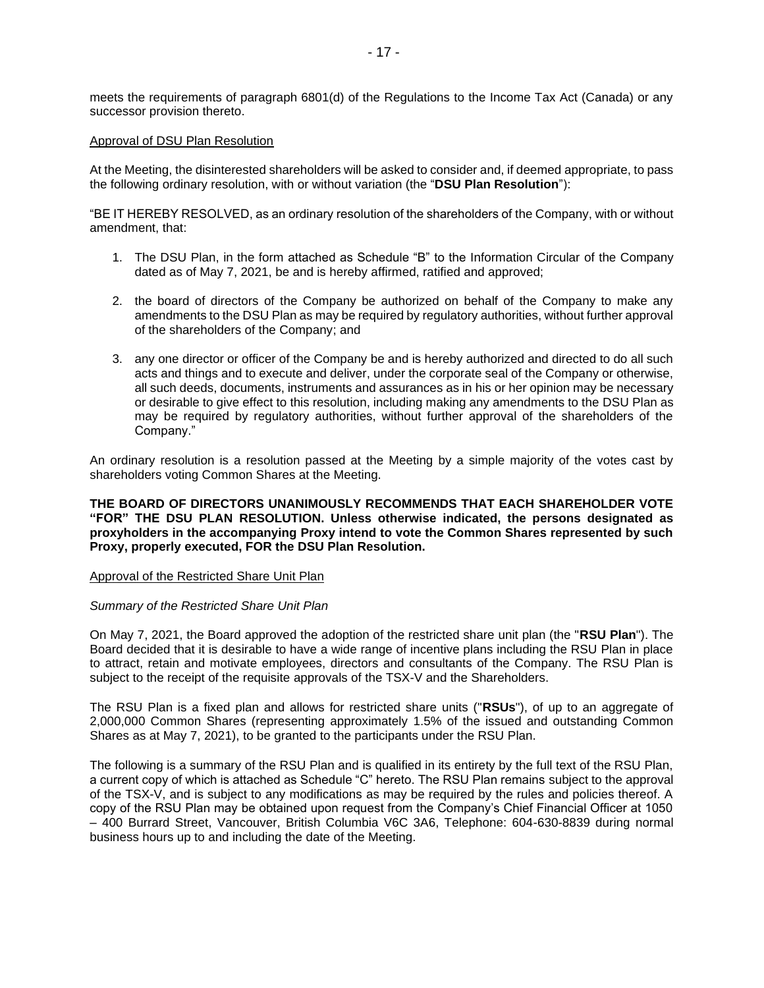meets the requirements of paragraph 6801(d) of the Regulations to the Income Tax Act (Canada) or any successor provision thereto.

#### Approval of DSU Plan Resolution

At the Meeting, the disinterested shareholders will be asked to consider and, if deemed appropriate, to pass the following ordinary resolution, with or without variation (the "**DSU Plan Resolution**"):

"BE IT HEREBY RESOLVED, as an ordinary resolution of the shareholders of the Company, with or without amendment, that:

- 1. The DSU Plan, in the form attached as Schedule "B" to the Information Circular of the Company dated as of May 7, 2021, be and is hereby affirmed, ratified and approved;
- 2. the board of directors of the Company be authorized on behalf of the Company to make any amendments to the DSU Plan as may be required by regulatory authorities, without further approval of the shareholders of the Company; and
- 3. any one director or officer of the Company be and is hereby authorized and directed to do all such acts and things and to execute and deliver, under the corporate seal of the Company or otherwise, all such deeds, documents, instruments and assurances as in his or her opinion may be necessary or desirable to give effect to this resolution, including making any amendments to the DSU Plan as may be required by regulatory authorities, without further approval of the shareholders of the Company."

An ordinary resolution is a resolution passed at the Meeting by a simple majority of the votes cast by shareholders voting Common Shares at the Meeting.

### **THE BOARD OF DIRECTORS UNANIMOUSLY RECOMMENDS THAT EACH SHAREHOLDER VOTE "FOR" THE DSU PLAN RESOLUTION. Unless otherwise indicated, the persons designated as proxyholders in the accompanying Proxy intend to vote the Common Shares represented by such Proxy, properly executed, FOR the DSU Plan Resolution.**

#### Approval of the Restricted Share Unit Plan

### *Summary of the Restricted Share Unit Plan*

On May 7, 2021, the Board approved the adoption of the restricted share unit plan (the "**RSU Plan**"). The Board decided that it is desirable to have a wide range of incentive plans including the RSU Plan in place to attract, retain and motivate employees, directors and consultants of the Company. The RSU Plan is subject to the receipt of the requisite approvals of the TSX-V and the Shareholders.

The RSU Plan is a fixed plan and allows for restricted share units ("**RSUs**"), of up to an aggregate of 2,000,000 Common Shares (representing approximately 1.5% of the issued and outstanding Common Shares as at May 7, 2021), to be granted to the participants under the RSU Plan.

The following is a summary of the RSU Plan and is qualified in its entirety by the full text of the RSU Plan, a current copy of which is attached as Schedule "C" hereto. The RSU Plan remains subject to the approval of the TSX-V, and is subject to any modifications as may be required by the rules and policies thereof. A copy of the RSU Plan may be obtained upon request from the Company's Chief Financial Officer at 1050 – 400 Burrard Street, Vancouver, British Columbia V6C 3A6, Telephone: 604-630-8839 during normal business hours up to and including the date of the Meeting.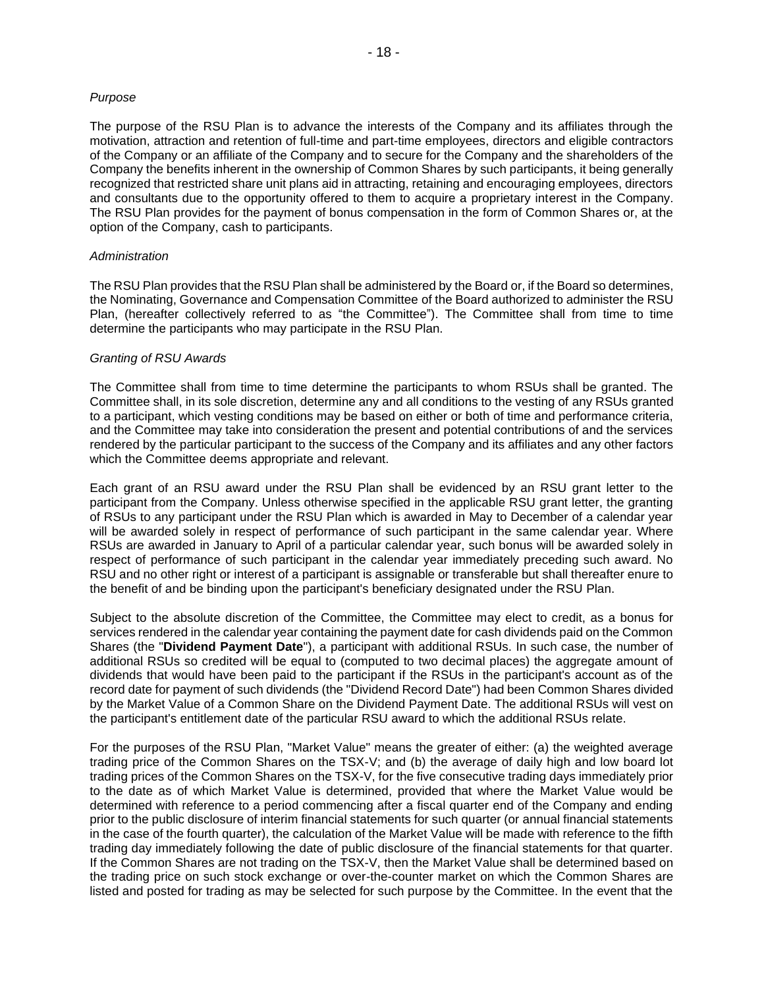#### *Purpose*

The purpose of the RSU Plan is to advance the interests of the Company and its affiliates through the motivation, attraction and retention of full-time and part-time employees, directors and eligible contractors of the Company or an affiliate of the Company and to secure for the Company and the shareholders of the Company the benefits inherent in the ownership of Common Shares by such participants, it being generally recognized that restricted share unit plans aid in attracting, retaining and encouraging employees, directors and consultants due to the opportunity offered to them to acquire a proprietary interest in the Company. The RSU Plan provides for the payment of bonus compensation in the form of Common Shares or, at the option of the Company, cash to participants.

#### *Administration*

The RSU Plan provides that the RSU Plan shall be administered by the Board or, if the Board so determines, the Nominating, Governance and Compensation Committee of the Board authorized to administer the RSU Plan, (hereafter collectively referred to as "the Committee"). The Committee shall from time to time determine the participants who may participate in the RSU Plan.

#### *Granting of RSU Awards*

The Committee shall from time to time determine the participants to whom RSUs shall be granted. The Committee shall, in its sole discretion, determine any and all conditions to the vesting of any RSUs granted to a participant, which vesting conditions may be based on either or both of time and performance criteria, and the Committee may take into consideration the present and potential contributions of and the services rendered by the particular participant to the success of the Company and its affiliates and any other factors which the Committee deems appropriate and relevant.

Each grant of an RSU award under the RSU Plan shall be evidenced by an RSU grant letter to the participant from the Company. Unless otherwise specified in the applicable RSU grant letter, the granting of RSUs to any participant under the RSU Plan which is awarded in May to December of a calendar year will be awarded solely in respect of performance of such participant in the same calendar year. Where RSUs are awarded in January to April of a particular calendar year, such bonus will be awarded solely in respect of performance of such participant in the calendar year immediately preceding such award. No RSU and no other right or interest of a participant is assignable or transferable but shall thereafter enure to the benefit of and be binding upon the participant's beneficiary designated under the RSU Plan.

Subject to the absolute discretion of the Committee, the Committee may elect to credit, as a bonus for services rendered in the calendar year containing the payment date for cash dividends paid on the Common Shares (the "**Dividend Payment Date**"), a participant with additional RSUs. In such case, the number of additional RSUs so credited will be equal to (computed to two decimal places) the aggregate amount of dividends that would have been paid to the participant if the RSUs in the participant's account as of the record date for payment of such dividends (the "Dividend Record Date") had been Common Shares divided by the Market Value of a Common Share on the Dividend Payment Date. The additional RSUs will vest on the participant's entitlement date of the particular RSU award to which the additional RSUs relate.

For the purposes of the RSU Plan, "Market Value" means the greater of either: (a) the weighted average trading price of the Common Shares on the TSX-V; and (b) the average of daily high and low board lot trading prices of the Common Shares on the TSX-V, for the five consecutive trading days immediately prior to the date as of which Market Value is determined, provided that where the Market Value would be determined with reference to a period commencing after a fiscal quarter end of the Company and ending prior to the public disclosure of interim financial statements for such quarter (or annual financial statements in the case of the fourth quarter), the calculation of the Market Value will be made with reference to the fifth trading day immediately following the date of public disclosure of the financial statements for that quarter. If the Common Shares are not trading on the TSX-V, then the Market Value shall be determined based on the trading price on such stock exchange or over-the-counter market on which the Common Shares are listed and posted for trading as may be selected for such purpose by the Committee. In the event that the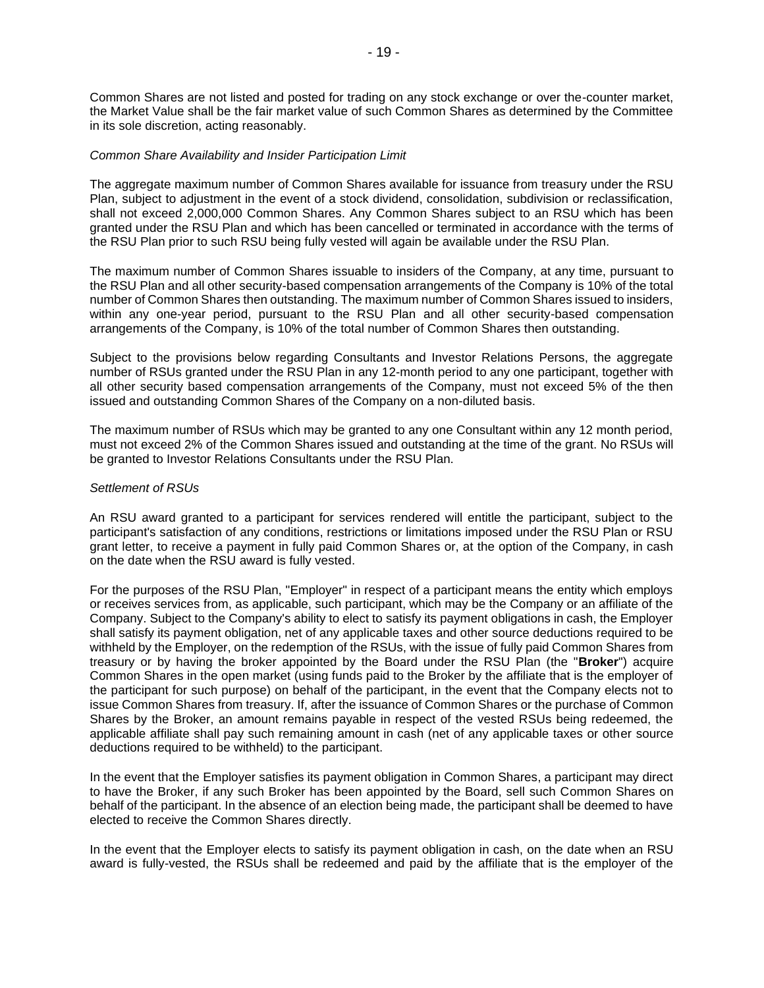Common Shares are not listed and posted for trading on any stock exchange or over the-counter market, the Market Value shall be the fair market value of such Common Shares as determined by the Committee in its sole discretion, acting reasonably.

#### *Common Share Availability and Insider Participation Limit*

The aggregate maximum number of Common Shares available for issuance from treasury under the RSU Plan, subject to adjustment in the event of a stock dividend, consolidation, subdivision or reclassification, shall not exceed 2,000,000 Common Shares. Any Common Shares subject to an RSU which has been granted under the RSU Plan and which has been cancelled or terminated in accordance with the terms of the RSU Plan prior to such RSU being fully vested will again be available under the RSU Plan.

The maximum number of Common Shares issuable to insiders of the Company, at any time, pursuant to the RSU Plan and all other security-based compensation arrangements of the Company is 10% of the total number of Common Shares then outstanding. The maximum number of Common Shares issued to insiders, within any one-year period, pursuant to the RSU Plan and all other security-based compensation arrangements of the Company, is 10% of the total number of Common Shares then outstanding.

Subject to the provisions below regarding Consultants and Investor Relations Persons, the aggregate number of RSUs granted under the RSU Plan in any 12-month period to any one participant, together with all other security based compensation arrangements of the Company, must not exceed 5% of the then issued and outstanding Common Shares of the Company on a non-diluted basis.

The maximum number of RSUs which may be granted to any one Consultant within any 12 month period, must not exceed 2% of the Common Shares issued and outstanding at the time of the grant. No RSUs will be granted to Investor Relations Consultants under the RSU Plan.

### *Settlement of RSUs*

An RSU award granted to a participant for services rendered will entitle the participant, subject to the participant's satisfaction of any conditions, restrictions or limitations imposed under the RSU Plan or RSU grant letter, to receive a payment in fully paid Common Shares or, at the option of the Company, in cash on the date when the RSU award is fully vested.

For the purposes of the RSU Plan, "Employer" in respect of a participant means the entity which employs or receives services from, as applicable, such participant, which may be the Company or an affiliate of the Company. Subject to the Company's ability to elect to satisfy its payment obligations in cash, the Employer shall satisfy its payment obligation, net of any applicable taxes and other source deductions required to be withheld by the Employer, on the redemption of the RSUs, with the issue of fully paid Common Shares from treasury or by having the broker appointed by the Board under the RSU Plan (the "**Broker**") acquire Common Shares in the open market (using funds paid to the Broker by the affiliate that is the employer of the participant for such purpose) on behalf of the participant, in the event that the Company elects not to issue Common Shares from treasury. If, after the issuance of Common Shares or the purchase of Common Shares by the Broker, an amount remains payable in respect of the vested RSUs being redeemed, the applicable affiliate shall pay such remaining amount in cash (net of any applicable taxes or other source deductions required to be withheld) to the participant.

In the event that the Employer satisfies its payment obligation in Common Shares, a participant may direct to have the Broker, if any such Broker has been appointed by the Board, sell such Common Shares on behalf of the participant. In the absence of an election being made, the participant shall be deemed to have elected to receive the Common Shares directly.

In the event that the Employer elects to satisfy its payment obligation in cash, on the date when an RSU award is fully-vested, the RSUs shall be redeemed and paid by the affiliate that is the employer of the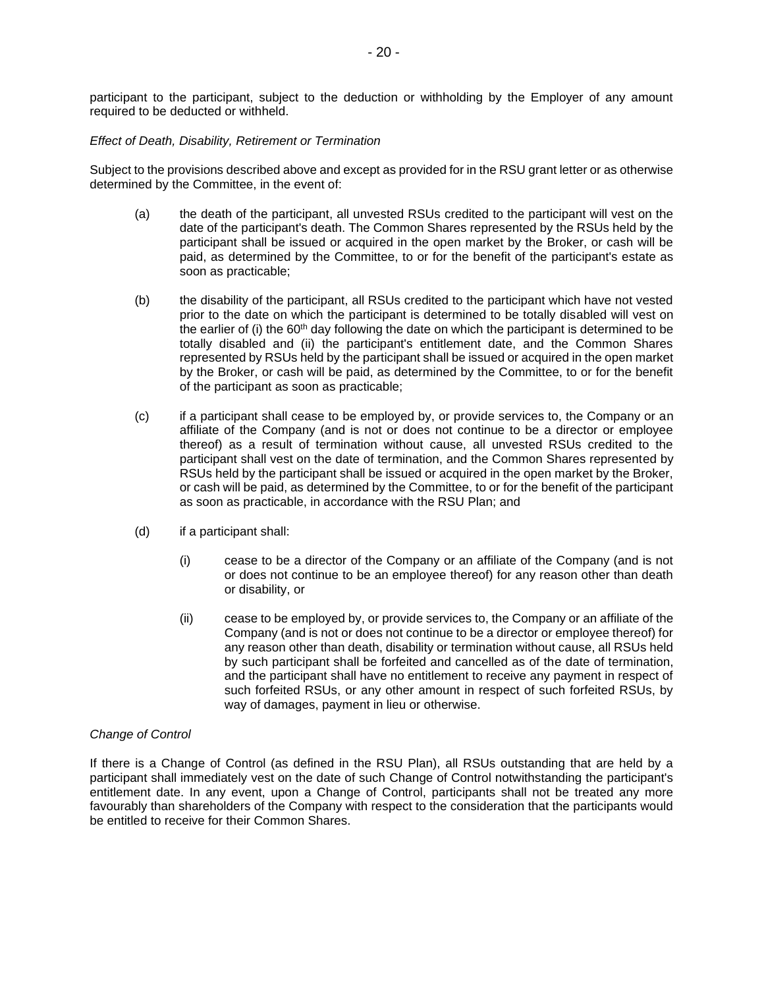participant to the participant, subject to the deduction or withholding by the Employer of any amount required to be deducted or withheld.

### *Effect of Death, Disability, Retirement or Termination*

Subject to the provisions described above and except as provided for in the RSU grant letter or as otherwise determined by the Committee, in the event of:

- (a) the death of the participant, all unvested RSUs credited to the participant will vest on the date of the participant's death. The Common Shares represented by the RSUs held by the participant shall be issued or acquired in the open market by the Broker, or cash will be paid, as determined by the Committee, to or for the benefit of the participant's estate as soon as practicable;
- (b) the disability of the participant, all RSUs credited to the participant which have not vested prior to the date on which the participant is determined to be totally disabled will vest on the earlier of (i) the  $60<sup>th</sup>$  day following the date on which the participant is determined to be totally disabled and (ii) the participant's entitlement date, and the Common Shares represented by RSUs held by the participant shall be issued or acquired in the open market by the Broker, or cash will be paid, as determined by the Committee, to or for the benefit of the participant as soon as practicable;
- (c) if a participant shall cease to be employed by, or provide services to, the Company or an affiliate of the Company (and is not or does not continue to be a director or employee thereof) as a result of termination without cause, all unvested RSUs credited to the participant shall vest on the date of termination, and the Common Shares represented by RSUs held by the participant shall be issued or acquired in the open market by the Broker, or cash will be paid, as determined by the Committee, to or for the benefit of the participant as soon as practicable, in accordance with the RSU Plan; and
- (d) if a participant shall:
	- (i) cease to be a director of the Company or an affiliate of the Company (and is not or does not continue to be an employee thereof) for any reason other than death or disability, or
	- (ii) cease to be employed by, or provide services to, the Company or an affiliate of the Company (and is not or does not continue to be a director or employee thereof) for any reason other than death, disability or termination without cause, all RSUs held by such participant shall be forfeited and cancelled as of the date of termination, and the participant shall have no entitlement to receive any payment in respect of such forfeited RSUs, or any other amount in respect of such forfeited RSUs, by way of damages, payment in lieu or otherwise.

### *Change of Control*

If there is a Change of Control (as defined in the RSU Plan), all RSUs outstanding that are held by a participant shall immediately vest on the date of such Change of Control notwithstanding the participant's entitlement date. In any event, upon a Change of Control, participants shall not be treated any more favourably than shareholders of the Company with respect to the consideration that the participants would be entitled to receive for their Common Shares.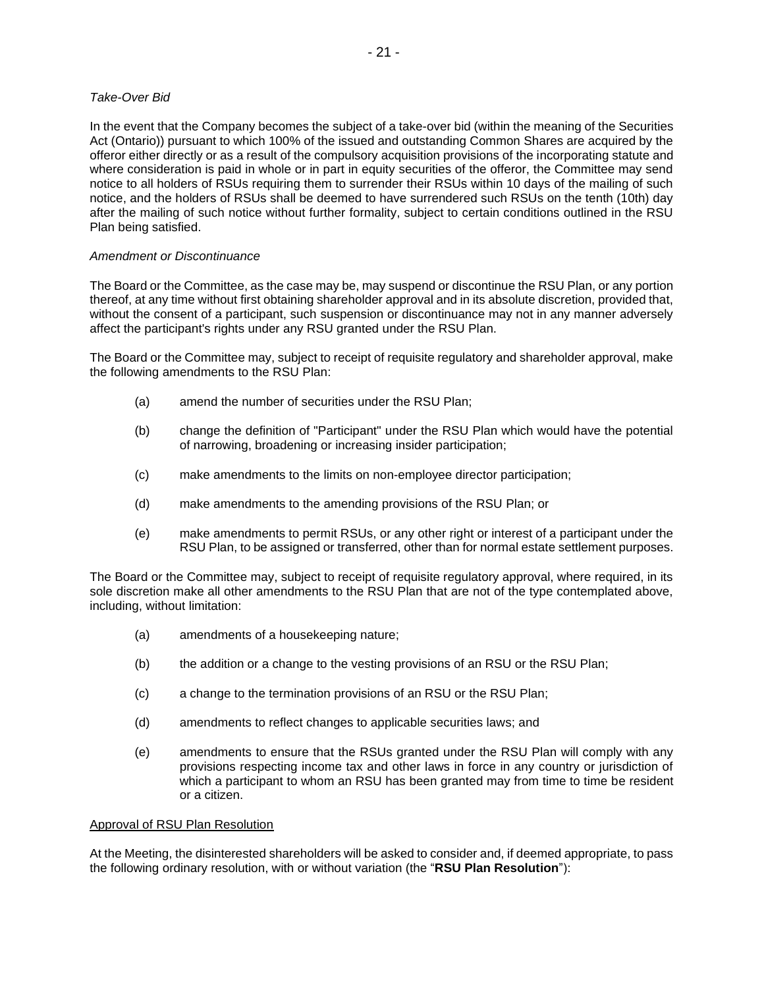# *Take-Over Bid*

In the event that the Company becomes the subject of a take-over bid (within the meaning of the Securities Act (Ontario)) pursuant to which 100% of the issued and outstanding Common Shares are acquired by the offeror either directly or as a result of the compulsory acquisition provisions of the incorporating statute and where consideration is paid in whole or in part in equity securities of the offeror, the Committee may send notice to all holders of RSUs requiring them to surrender their RSUs within 10 days of the mailing of such notice, and the holders of RSUs shall be deemed to have surrendered such RSUs on the tenth (10th) day after the mailing of such notice without further formality, subject to certain conditions outlined in the RSU Plan being satisfied.

# *Amendment or Discontinuance*

The Board or the Committee, as the case may be, may suspend or discontinue the RSU Plan, or any portion thereof, at any time without first obtaining shareholder approval and in its absolute discretion, provided that, without the consent of a participant, such suspension or discontinuance may not in any manner adversely affect the participant's rights under any RSU granted under the RSU Plan.

The Board or the Committee may, subject to receipt of requisite regulatory and shareholder approval, make the following amendments to the RSU Plan:

- (a) amend the number of securities under the RSU Plan;
- (b) change the definition of "Participant" under the RSU Plan which would have the potential of narrowing, broadening or increasing insider participation;
- (c) make amendments to the limits on non-employee director participation;
- (d) make amendments to the amending provisions of the RSU Plan; or
- (e) make amendments to permit RSUs, or any other right or interest of a participant under the RSU Plan, to be assigned or transferred, other than for normal estate settlement purposes.

The Board or the Committee may, subject to receipt of requisite regulatory approval, where required, in its sole discretion make all other amendments to the RSU Plan that are not of the type contemplated above, including, without limitation:

- (a) amendments of a housekeeping nature;
- (b) the addition or a change to the vesting provisions of an RSU or the RSU Plan;
- (c) a change to the termination provisions of an RSU or the RSU Plan;
- (d) amendments to reflect changes to applicable securities laws; and
- (e) amendments to ensure that the RSUs granted under the RSU Plan will comply with any provisions respecting income tax and other laws in force in any country or jurisdiction of which a participant to whom an RSU has been granted may from time to time be resident or a citizen.

# Approval of RSU Plan Resolution

At the Meeting, the disinterested shareholders will be asked to consider and, if deemed appropriate, to pass the following ordinary resolution, with or without variation (the "**RSU Plan Resolution**"):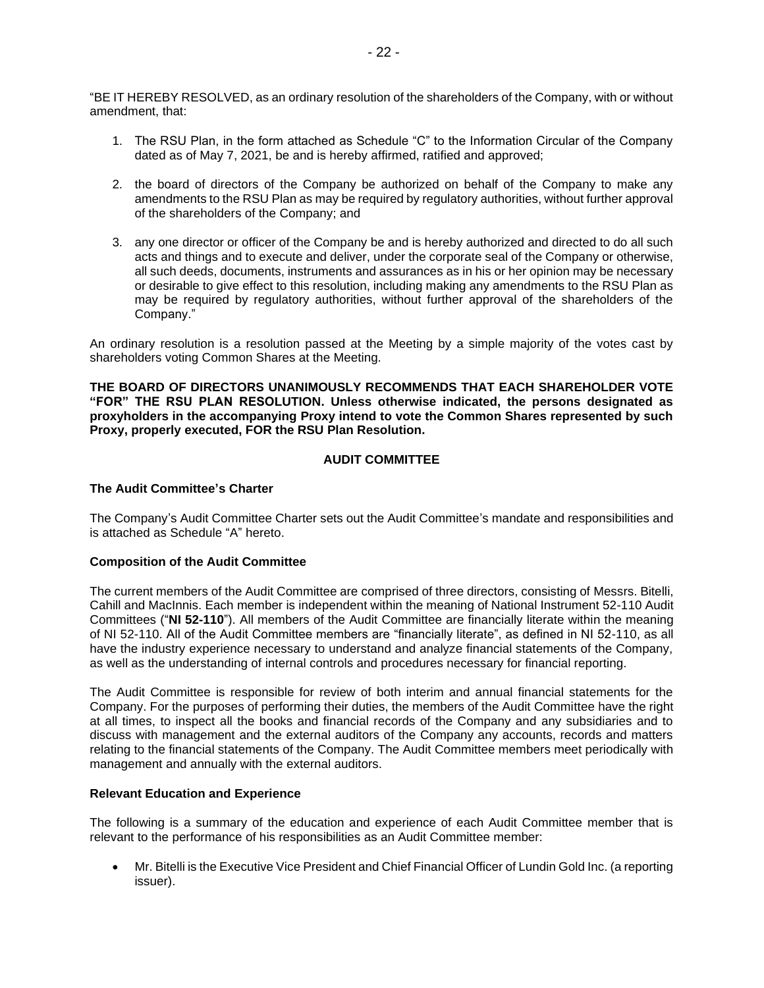"BE IT HEREBY RESOLVED, as an ordinary resolution of the shareholders of the Company, with or without amendment, that:

- 1. The RSU Plan, in the form attached as Schedule "C" to the Information Circular of the Company dated as of May 7, 2021, be and is hereby affirmed, ratified and approved;
- 2. the board of directors of the Company be authorized on behalf of the Company to make any amendments to the RSU Plan as may be required by regulatory authorities, without further approval of the shareholders of the Company; and
- 3. any one director or officer of the Company be and is hereby authorized and directed to do all such acts and things and to execute and deliver, under the corporate seal of the Company or otherwise, all such deeds, documents, instruments and assurances as in his or her opinion may be necessary or desirable to give effect to this resolution, including making any amendments to the RSU Plan as may be required by regulatory authorities, without further approval of the shareholders of the Company."

An ordinary resolution is a resolution passed at the Meeting by a simple majority of the votes cast by shareholders voting Common Shares at the Meeting.

**THE BOARD OF DIRECTORS UNANIMOUSLY RECOMMENDS THAT EACH SHAREHOLDER VOTE "FOR" THE RSU PLAN RESOLUTION. Unless otherwise indicated, the persons designated as proxyholders in the accompanying Proxy intend to vote the Common Shares represented by such Proxy, properly executed, FOR the RSU Plan Resolution.** 

# **AUDIT COMMITTEE**

# **The Audit Committee's Charter**

The Company's Audit Committee Charter sets out the Audit Committee's mandate and responsibilities and is attached as Schedule "A" hereto.

### **Composition of the Audit Committee**

The current members of the Audit Committee are comprised of three directors, consisting of Messrs. Bitelli, Cahill and MacInnis. Each member is independent within the meaning of National Instrument 52-110 Audit Committees ("**NI 52-110**"). All members of the Audit Committee are financially literate within the meaning of NI 52-110. All of the Audit Committee members are "financially literate", as defined in NI 52-110, as all have the industry experience necessary to understand and analyze financial statements of the Company, as well as the understanding of internal controls and procedures necessary for financial reporting.

The Audit Committee is responsible for review of both interim and annual financial statements for the Company. For the purposes of performing their duties, the members of the Audit Committee have the right at all times, to inspect all the books and financial records of the Company and any subsidiaries and to discuss with management and the external auditors of the Company any accounts, records and matters relating to the financial statements of the Company. The Audit Committee members meet periodically with management and annually with the external auditors.

#### **Relevant Education and Experience**

The following is a summary of the education and experience of each Audit Committee member that is relevant to the performance of his responsibilities as an Audit Committee member:

• Mr. Bitelli is the Executive Vice President and Chief Financial Officer of Lundin Gold Inc. (a reporting issuer).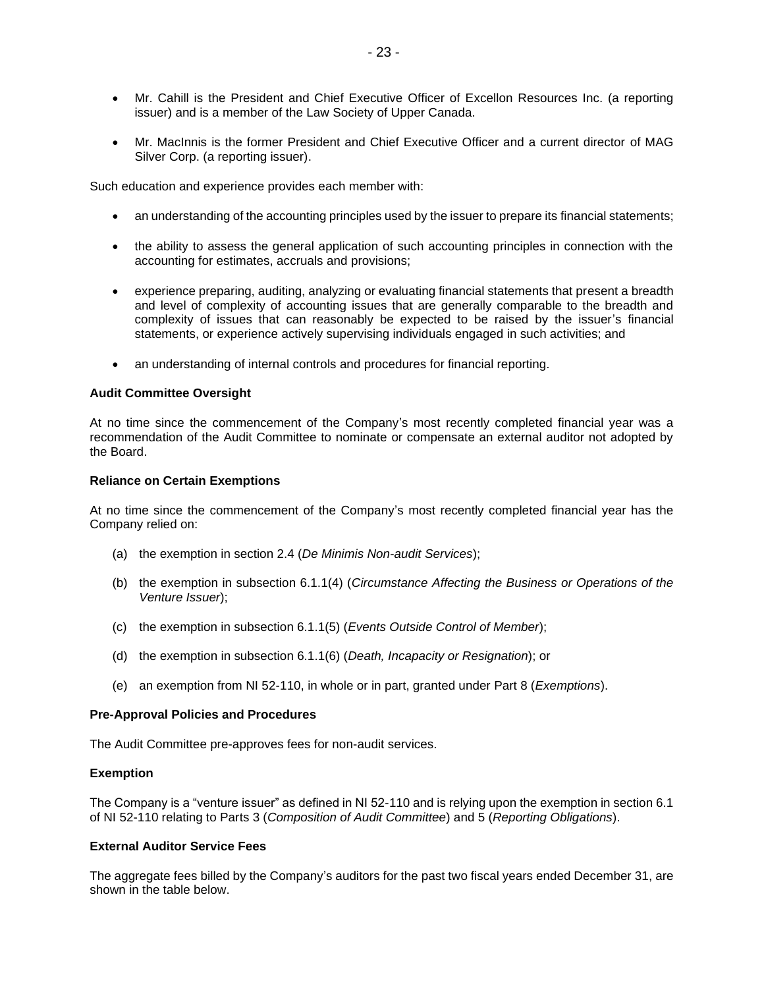- Mr. Cahill is the President and Chief Executive Officer of Excellon Resources Inc. (a reporting issuer) and is a member of the Law Society of Upper Canada.
- Mr. MacInnis is the former President and Chief Executive Officer and a current director of MAG Silver Corp. (a reporting issuer).

Such education and experience provides each member with:

- an understanding of the accounting principles used by the issuer to prepare its financial statements;
- the ability to assess the general application of such accounting principles in connection with the accounting for estimates, accruals and provisions;
- experience preparing, auditing, analyzing or evaluating financial statements that present a breadth and level of complexity of accounting issues that are generally comparable to the breadth and complexity of issues that can reasonably be expected to be raised by the issuer's financial statements, or experience actively supervising individuals engaged in such activities; and
- an understanding of internal controls and procedures for financial reporting.

#### **Audit Committee Oversight**

At no time since the commencement of the Company's most recently completed financial year was a recommendation of the Audit Committee to nominate or compensate an external auditor not adopted by the Board.

#### **Reliance on Certain Exemptions**

At no time since the commencement of the Company's most recently completed financial year has the Company relied on:

- (a) the exemption in section 2.4 (*De Minimis Non-audit Services*);
- (b) the exemption in subsection 6.1.1(4) (*Circumstance Affecting the Business or Operations of the Venture Issuer*);
- (c) the exemption in subsection 6.1.1(5) (*Events Outside Control of Member*);
- (d) the exemption in subsection 6.1.1(6) (*Death, Incapacity or Resignation*); or
- (e) an exemption from NI 52-110, in whole or in part, granted under Part 8 (*Exemptions*).

#### **Pre-Approval Policies and Procedures**

The Audit Committee pre-approves fees for non-audit services.

#### **Exemption**

The Company is a "venture issuer" as defined in NI 52-110 and is relying upon the exemption in section 6.1 of NI 52-110 relating to Parts 3 (*Composition of Audit Committee*) and 5 (*Reporting Obligations*).

#### **External Auditor Service Fees**

The aggregate fees billed by the Company's auditors for the past two fiscal years ended December 31, are shown in the table below.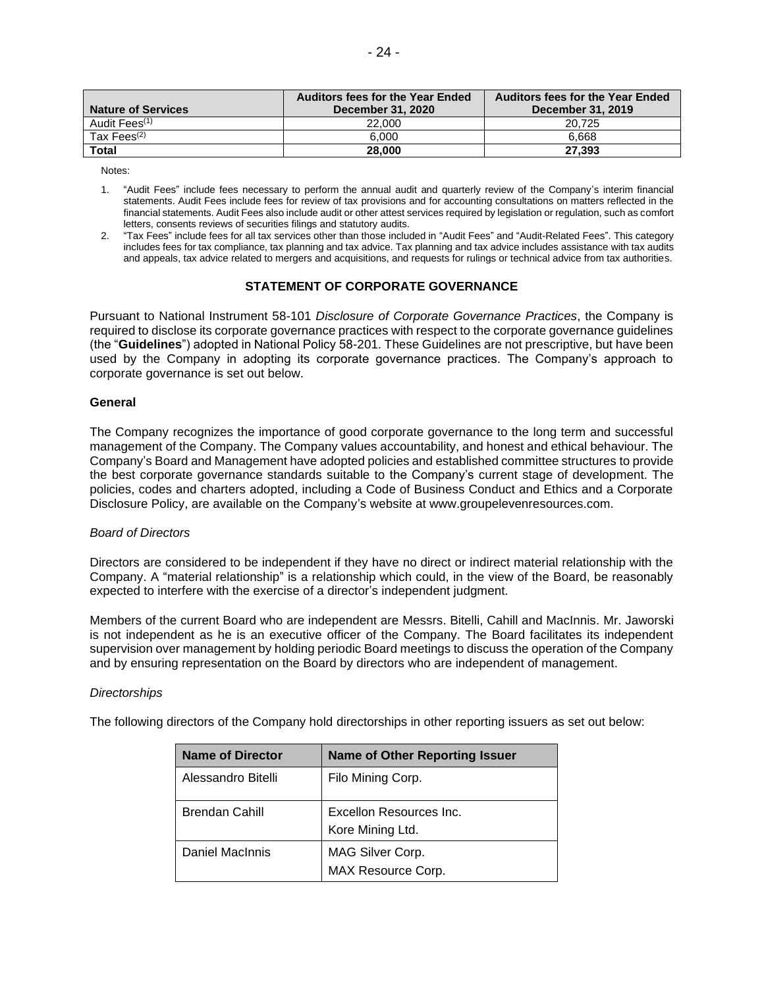| <b>Nature of Services</b> | <b>Auditors fees for the Year Ended</b><br>December 31, 2020 | <b>Auditors fees for the Year Ended</b><br>December 31, 2019 |
|---------------------------|--------------------------------------------------------------|--------------------------------------------------------------|
| Audit Fees <sup>(1)</sup> | 22,000                                                       | 20.725                                                       |
| Tax Fees $(2)$            | 6.000                                                        | 6.668                                                        |
| <b>Total</b>              | 28,000                                                       | 27.393                                                       |

Notes:

- 1. "Audit Fees" include fees necessary to perform the annual audit and quarterly review of the Company's interim financial statements. Audit Fees include fees for review of tax provisions and for accounting consultations on matters reflected in the financial statements. Audit Fees also include audit or other attest services required by legislation or regulation, such as comfort letters, consents reviews of securities filings and statutory audits.
- 2. "Tax Fees" include fees for all tax services other than those included in "Audit Fees" and "Audit-Related Fees". This category includes fees for tax compliance, tax planning and tax advice. Tax planning and tax advice includes assistance with tax audits and appeals, tax advice related to mergers and acquisitions, and requests for rulings or technical advice from tax authorities.

### **STATEMENT OF CORPORATE GOVERNANCE**

Pursuant to National Instrument 58-101 *Disclosure of Corporate Governance Practices*, the Company is required to disclose its corporate governance practices with respect to the corporate governance guidelines (the "**Guidelines**") adopted in National Policy 58-201. These Guidelines are not prescriptive, but have been used by the Company in adopting its corporate governance practices. The Company's approach to corporate governance is set out below.

#### **General**

The Company recognizes the importance of good corporate governance to the long term and successful management of the Company. The Company values accountability, and honest and ethical behaviour. The Company's Board and Management have adopted policies and established committee structures to provide the best corporate governance standards suitable to the Company's current stage of development. The policies, codes and charters adopted, including a Code of Business Conduct and Ethics and a Corporate Disclosure Policy, are available on the Company's website at www.groupelevenresources.com.

### *Board of Directors*

Directors are considered to be independent if they have no direct or indirect material relationship with the Company. A "material relationship" is a relationship which could, in the view of the Board, be reasonably expected to interfere with the exercise of a director's independent judgment.

Members of the current Board who are independent are Messrs. Bitelli, Cahill and MacInnis. Mr. Jaworski is not independent as he is an executive officer of the Company. The Board facilitates its independent supervision over management by holding periodic Board meetings to discuss the operation of the Company and by ensuring representation on the Board by directors who are independent of management.

### *Directorships*

The following directors of the Company hold directorships in other reporting issuers as set out below:

| <b>Name of Director</b> | <b>Name of Other Reporting Issuer</b>       |
|-------------------------|---------------------------------------------|
| Alessandro Bitelli      | Filo Mining Corp.                           |
| <b>Brendan Cahill</b>   | Excellon Resources Inc.<br>Kore Mining Ltd. |
| Daniel MacInnis         | MAG Silver Corp.<br>MAX Resource Corp.      |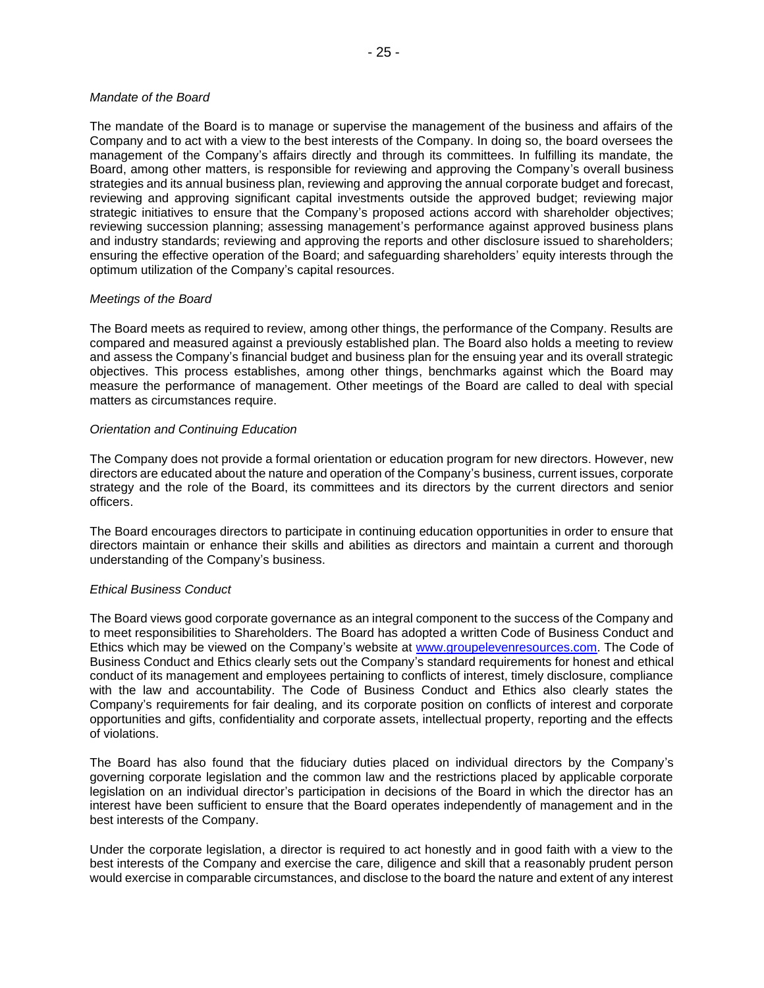#### *Mandate of the Board*

The mandate of the Board is to manage or supervise the management of the business and affairs of the Company and to act with a view to the best interests of the Company. In doing so, the board oversees the management of the Company's affairs directly and through its committees. In fulfilling its mandate, the Board, among other matters, is responsible for reviewing and approving the Company's overall business strategies and its annual business plan, reviewing and approving the annual corporate budget and forecast, reviewing and approving significant capital investments outside the approved budget; reviewing major strategic initiatives to ensure that the Company's proposed actions accord with shareholder objectives; reviewing succession planning; assessing management's performance against approved business plans and industry standards; reviewing and approving the reports and other disclosure issued to shareholders; ensuring the effective operation of the Board; and safeguarding shareholders' equity interests through the optimum utilization of the Company's capital resources.

### *Meetings of the Board*

The Board meets as required to review, among other things, the performance of the Company. Results are compared and measured against a previously established plan. The Board also holds a meeting to review and assess the Company's financial budget and business plan for the ensuing year and its overall strategic objectives. This process establishes, among other things, benchmarks against which the Board may measure the performance of management. Other meetings of the Board are called to deal with special matters as circumstances require.

### *Orientation and Continuing Education*

The Company does not provide a formal orientation or education program for new directors. However, new directors are educated about the nature and operation of the Company's business, current issues, corporate strategy and the role of the Board, its committees and its directors by the current directors and senior officers.

The Board encourages directors to participate in continuing education opportunities in order to ensure that directors maintain or enhance their skills and abilities as directors and maintain a current and thorough understanding of the Company's business.

### *Ethical Business Conduct*

The Board views good corporate governance as an integral component to the success of the Company and to meet responsibilities to Shareholders. The Board has adopted a written Code of Business Conduct and Ethics which may be viewed on the Company's website at [www.groupelevenresources.com.](http://www.groupelevenresources.com/) The Code of Business Conduct and Ethics clearly sets out the Company's standard requirements for honest and ethical conduct of its management and employees pertaining to conflicts of interest, timely disclosure, compliance with the law and accountability. The Code of Business Conduct and Ethics also clearly states the Company's requirements for fair dealing, and its corporate position on conflicts of interest and corporate opportunities and gifts, confidentiality and corporate assets, intellectual property, reporting and the effects of violations.

The Board has also found that the fiduciary duties placed on individual directors by the Company's governing corporate legislation and the common law and the restrictions placed by applicable corporate legislation on an individual director's participation in decisions of the Board in which the director has an interest have been sufficient to ensure that the Board operates independently of management and in the best interests of the Company.

Under the corporate legislation, a director is required to act honestly and in good faith with a view to the best interests of the Company and exercise the care, diligence and skill that a reasonably prudent person would exercise in comparable circumstances, and disclose to the board the nature and extent of any interest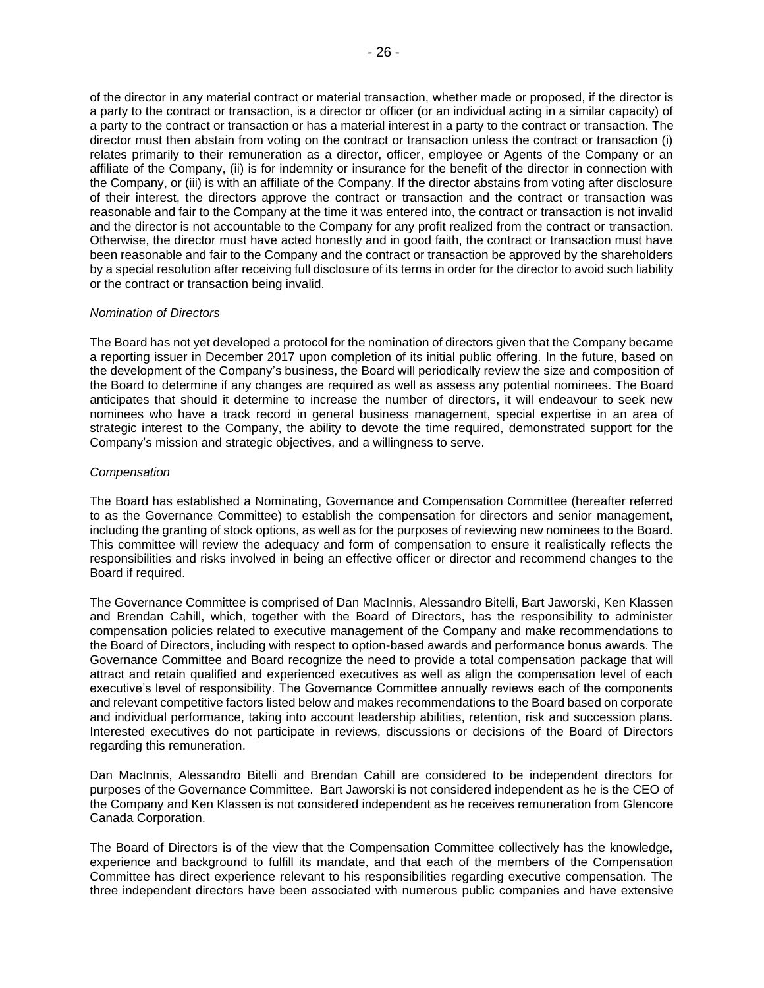of the director in any material contract or material transaction, whether made or proposed, if the director is a party to the contract or transaction, is a director or officer (or an individual acting in a similar capacity) of a party to the contract or transaction or has a material interest in a party to the contract or transaction. The director must then abstain from voting on the contract or transaction unless the contract or transaction (i) relates primarily to their remuneration as a director, officer, employee or Agents of the Company or an affiliate of the Company, (ii) is for indemnity or insurance for the benefit of the director in connection with the Company, or (iii) is with an affiliate of the Company. If the director abstains from voting after disclosure of their interest, the directors approve the contract or transaction and the contract or transaction was reasonable and fair to the Company at the time it was entered into, the contract or transaction is not invalid and the director is not accountable to the Company for any profit realized from the contract or transaction. Otherwise, the director must have acted honestly and in good faith, the contract or transaction must have been reasonable and fair to the Company and the contract or transaction be approved by the shareholders by a special resolution after receiving full disclosure of its terms in order for the director to avoid such liability

### *Nomination of Directors*

or the contract or transaction being invalid.

The Board has not yet developed a protocol for the nomination of directors given that the Company became a reporting issuer in December 2017 upon completion of its initial public offering. In the future, based on the development of the Company's business, the Board will periodically review the size and composition of the Board to determine if any changes are required as well as assess any potential nominees. The Board anticipates that should it determine to increase the number of directors, it will endeavour to seek new nominees who have a track record in general business management, special expertise in an area of strategic interest to the Company, the ability to devote the time required, demonstrated support for the Company's mission and strategic objectives, and a willingness to serve.

#### *Compensation*

The Board has established a Nominating, Governance and Compensation Committee (hereafter referred to as the Governance Committee) to establish the compensation for directors and senior management, including the granting of stock options, as well as for the purposes of reviewing new nominees to the Board. This committee will review the adequacy and form of compensation to ensure it realistically reflects the responsibilities and risks involved in being an effective officer or director and recommend changes to the Board if required.

The Governance Committee is comprised of Dan MacInnis, Alessandro Bitelli, Bart Jaworski, Ken Klassen and Brendan Cahill, which, together with the Board of Directors, has the responsibility to administer compensation policies related to executive management of the Company and make recommendations to the Board of Directors, including with respect to option-based awards and performance bonus awards. The Governance Committee and Board recognize the need to provide a total compensation package that will attract and retain qualified and experienced executives as well as align the compensation level of each executive's level of responsibility. The Governance Committee annually reviews each of the components and relevant competitive factors listed below and makes recommendations to the Board based on corporate and individual performance, taking into account leadership abilities, retention, risk and succession plans. Interested executives do not participate in reviews, discussions or decisions of the Board of Directors regarding this remuneration.

Dan MacInnis, Alessandro Bitelli and Brendan Cahill are considered to be independent directors for purposes of the Governance Committee. Bart Jaworski is not considered independent as he is the CEO of the Company and Ken Klassen is not considered independent as he receives remuneration from Glencore Canada Corporation.

The Board of Directors is of the view that the Compensation Committee collectively has the knowledge, experience and background to fulfill its mandate, and that each of the members of the Compensation Committee has direct experience relevant to his responsibilities regarding executive compensation. The three independent directors have been associated with numerous public companies and have extensive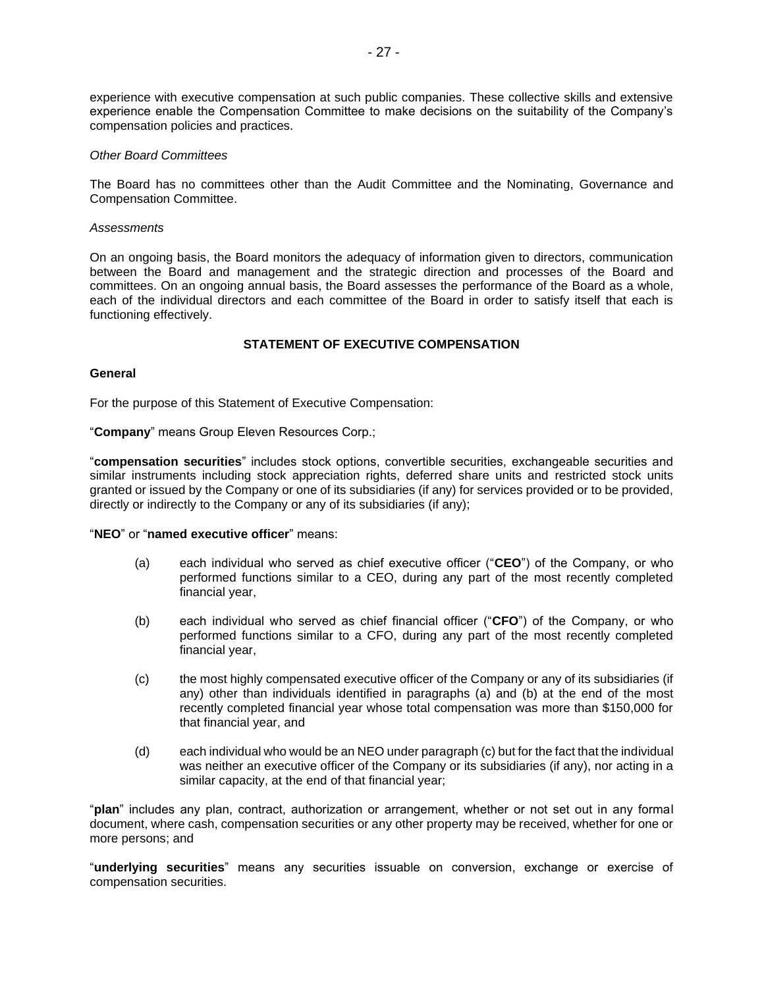experience with executive compensation at such public companies. These collective skills and extensive experience enable the Compensation Committee to make decisions on the suitability of the Company's compensation policies and practices.

#### *Other Board Committees*

The Board has no committees other than the Audit Committee and the Nominating, Governance and Compensation Committee.

#### *Assessments*

On an ongoing basis, the Board monitors the adequacy of information given to directors, communication between the Board and management and the strategic direction and processes of the Board and committees. On an ongoing annual basis, the Board assesses the performance of the Board as a whole, each of the individual directors and each committee of the Board in order to satisfy itself that each is functioning effectively.

# **STATEMENT OF EXECUTIVE COMPENSATION**

#### **General**

For the purpose of this Statement of Executive Compensation:

"**Company**" means Group Eleven Resources Corp.;

"**compensation securities**" includes stock options, convertible securities, exchangeable securities and similar instruments including stock appreciation rights, deferred share units and restricted stock units granted or issued by the Company or one of its subsidiaries (if any) for services provided or to be provided, directly or indirectly to the Company or any of its subsidiaries (if any);

#### "**NEO**" or "**named executive officer**" means:

- (a) each individual who served as chief executive officer ("**CEO**") of the Company, or who performed functions similar to a CEO, during any part of the most recently completed financial year,
- (b) each individual who served as chief financial officer ("**CFO**") of the Company, or who performed functions similar to a CFO, during any part of the most recently completed financial year,
- (c) the most highly compensated executive officer of the Company or any of its subsidiaries (if any) other than individuals identified in paragraphs (a) and (b) at the end of the most recently completed financial year whose total compensation was more than \$150,000 for that financial year, and
- (d) each individual who would be an NEO under paragraph (c) but for the fact that the individual was neither an executive officer of the Company or its subsidiaries (if any), nor acting in a similar capacity, at the end of that financial year;

"**plan**" includes any plan, contract, authorization or arrangement, whether or not set out in any formal document, where cash, compensation securities or any other property may be received, whether for one or more persons; and

"**underlying securities**" means any securities issuable on conversion, exchange or exercise of compensation securities.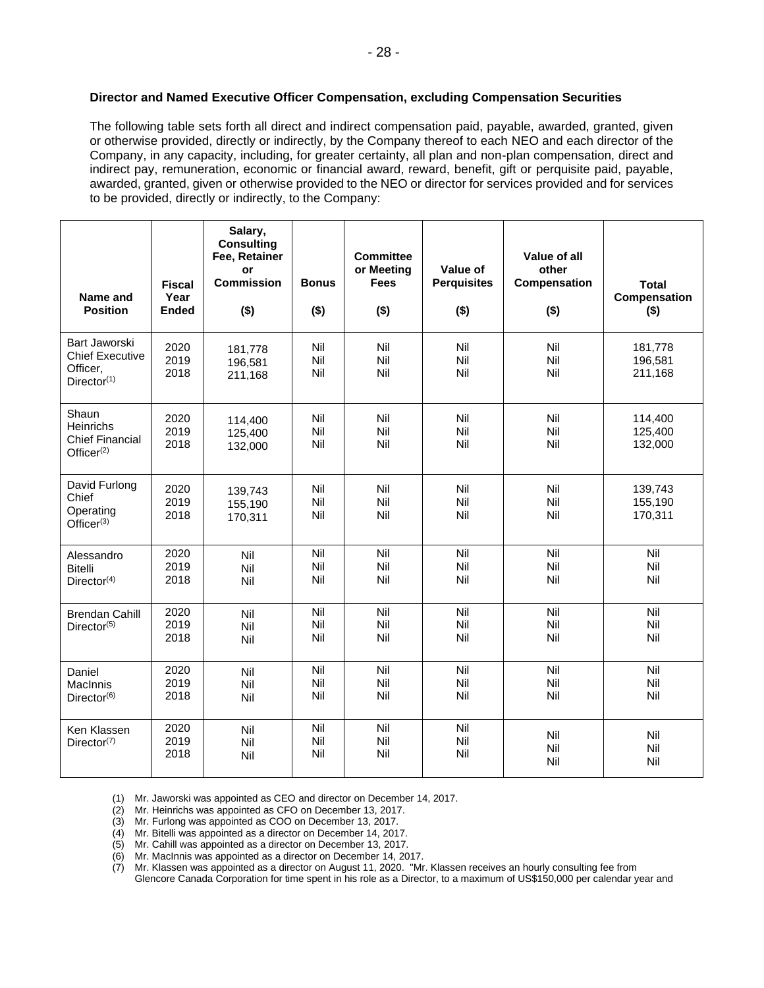# **Director and Named Executive Officer Compensation, excluding Compensation Securities**

The following table sets forth all direct and indirect compensation paid, payable, awarded, granted, given or otherwise provided, directly or indirectly, by the Company thereof to each NEO and each director of the Company, in any capacity, including, for greater certainty, all plan and non-plan compensation, direct and indirect pay, remuneration, economic or financial award, reward, benefit, gift or perquisite paid, payable, awarded, granted, given or otherwise provided to the NEO or director for services provided and for services to be provided, directly or indirectly, to the Company:

| Name and<br><b>Position</b>                                                    | <b>Fiscal</b><br>Year<br><b>Ended</b> | Salary,<br><b>Consulting</b><br>Fee, Retainer<br>or<br><b>Commission</b><br>$($ \$) | <b>Bonus</b><br>$($ \$) | <b>Committee</b><br>or Meeting<br><b>Fees</b><br>$($ \$) | Value of<br><b>Perquisites</b><br>$($ \$) | Value of all<br>other<br>Compensation<br>$($ \$) | <b>Total</b><br>Compensation<br>$($ \$) |
|--------------------------------------------------------------------------------|---------------------------------------|-------------------------------------------------------------------------------------|-------------------------|----------------------------------------------------------|-------------------------------------------|--------------------------------------------------|-----------------------------------------|
| Bart Jaworski<br><b>Chief Executive</b><br>Officer,<br>Director <sup>(1)</sup> | 2020<br>2019<br>2018                  | 181,778<br>196,581<br>211,168                                                       | Nil<br>Nil<br>Nil       | Nil<br>Nil<br>Nil                                        | Nil<br>Nil<br>Nil                         | Nil<br>Nil<br>Nil                                | 181,778<br>196,581<br>211,168           |
| Shaun<br><b>Heinrichs</b><br><b>Chief Financial</b><br>Office $r^{(2)}$        | 2020<br>2019<br>2018                  | 114,400<br>125,400<br>132,000                                                       | Nil<br>Nil<br>Nil       | Nil<br>Nil<br>Nil                                        | Nil<br>Nil<br>Nil                         | Nil<br>Nil<br>Nil                                | 114,400<br>125,400<br>132,000           |
| David Furlong<br>Chief<br>Operating<br>Office $r^{(3)}$                        | 2020<br>2019<br>2018                  | 139,743<br>155,190<br>170,311                                                       | Nil<br>Nil<br>Nil       | Nil<br>Nil<br>Nil                                        | Nil<br>Nil<br>Nil                         | Nil<br>Nil<br>Nil                                | 139,743<br>155,190<br>170,311           |
| Alessandro<br><b>Bitelli</b><br>Director <sup>(4)</sup>                        | 2020<br>2019<br>2018                  | Nil<br>Nil<br>Nil                                                                   | Nil<br>Nil<br>Nil       | Nil<br>Nil<br>Nil                                        | Nil<br>Nil<br>Nil                         | Nil<br>Nil<br>Nil                                | Nil<br>Nil<br>Nil                       |
| <b>Brendan Cahill</b><br>Director(5)                                           | 2020<br>2019<br>2018                  | Nil<br>Nil<br>Nil                                                                   | Nil<br>Nil<br>Nil       | Nil<br>Nil<br>Nil                                        | Nil<br>Nil<br>Nil                         | Nil<br>Nil<br>Nil                                | Nil<br>Nil<br>Nil                       |
| Daniel<br>MacInnis<br>Director <sup>(6)</sup>                                  | 2020<br>2019<br>2018                  | Nil<br>Nil<br>Nil                                                                   | Nil<br>Nil<br>Nil       | Nil<br>Nil<br>Nil                                        | Nil<br>Nil<br>Nil                         | Nil<br>Nil<br>Nil                                | Nil<br>Nil<br>Nil                       |
| Ken Klassen<br>Director(7)                                                     | 2020<br>2019<br>2018                  | Nil<br>Nil<br>Nil                                                                   | Nil<br>Nil<br>Nil       | Nil<br>Nil<br>Nil                                        | Nil<br>Nil<br>Nil                         | Nil<br>Nil<br>Nil                                | Nil<br>Nil<br>Nil                       |

(1) Mr. Jaworski was appointed as CEO and director on December 14, 2017.

(2) Mr. Heinrichs was appointed as CFO on December 13, 2017.

(3) Mr. Furlong was appointed as COO on December 13, 2017.

(4) Mr. Bitelli was appointed as a director on December 14, 2017.

(5) Mr. Cahill was appointed as a director on December 13, 2017.

(6) Mr. MacInnis was appointed as a director on December 14, 2017.

(7) Mr. Klassen was appointed as a director on August 11, 2020. "Mr. Klassen receives an hourly consulting fee from Glencore Canada Corporation for time spent in his role as a Director, to a maximum of US\$150,000 per calendar year and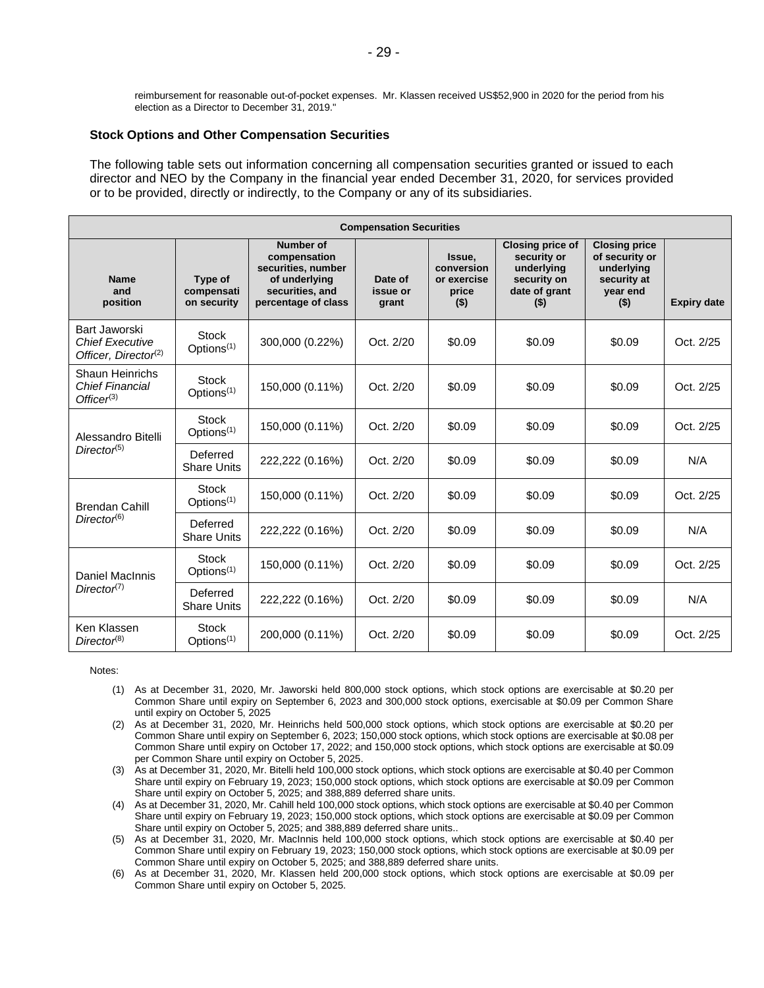reimbursement for reasonable out-of-pocket expenses. Mr. Klassen received US\$52,900 in 2020 for the period from his election as a Director to December 31, 2019."

#### **Stock Options and Other Compensation Securities**

The following table sets out information concerning all compensation securities granted or issued to each director and NEO by the Company in the financial year ended December 31, 2020, for services provided or to be provided, directly or indirectly, to the Company or any of its subsidiaries.

| <b>Compensation Securities</b>                                              |                                             |                                                                                                                   |                              |                                                         |                                                                                                 |                                                                                            |                    |  |
|-----------------------------------------------------------------------------|---------------------------------------------|-------------------------------------------------------------------------------------------------------------------|------------------------------|---------------------------------------------------------|-------------------------------------------------------------------------------------------------|--------------------------------------------------------------------------------------------|--------------------|--|
| <b>Name</b><br>and<br>position                                              | <b>Type of</b><br>compensati<br>on security | <b>Number of</b><br>compensation<br>securities, number<br>of underlying<br>securities, and<br>percentage of class | Date of<br>issue or<br>grant | Issue,<br>conversion<br>or exercise<br>price<br>$($ \$) | <b>Closing price of</b><br>security or<br>underlving<br>security on<br>date of grant<br>$($ \$) | <b>Closing price</b><br>of security or<br>underlvina<br>security at<br>year end<br>$($ \$) | <b>Expiry date</b> |  |
| Bart Jaworski<br><b>Chief Executive</b><br>Officer, Director <sup>(2)</sup> | <b>Stock</b><br>Options <sup>(1)</sup>      | 300,000 (0.22%)                                                                                                   | Oct. 2/20                    | \$0.09                                                  | \$0.09                                                                                          | \$0.09                                                                                     | Oct. 2/25          |  |
| Shaun Heinrichs<br><b>Chief Financial</b><br>Office $r^{(3)}$               | <b>Stock</b><br>Options <sup>(1)</sup>      | 150,000 (0.11%)                                                                                                   | Oct. 2/20                    | \$0.09                                                  | \$0.09                                                                                          | \$0.09                                                                                     | Oct. 2/25          |  |
| Alessandro Bitelli<br>Director <sup>(5)</sup>                               | Stock<br>Options <sup>(1)</sup>             | 150,000 (0.11%)                                                                                                   | Oct. 2/20                    | \$0.09                                                  | \$0.09                                                                                          | \$0.09                                                                                     | Oct. 2/25          |  |
|                                                                             | Deferred<br><b>Share Units</b>              | 222,222 (0.16%)                                                                                                   | Oct. 2/20                    | \$0.09                                                  | \$0.09                                                                                          | \$0.09                                                                                     | N/A                |  |
| <b>Brendan Cahill</b>                                                       | <b>Stock</b><br>Options <sup>(1)</sup>      | 150,000 (0.11%)                                                                                                   | Oct. 2/20                    | \$0.09                                                  | \$0.09                                                                                          | \$0.09                                                                                     | Oct. 2/25          |  |
| Director <sup>(6)</sup>                                                     | Deferred<br><b>Share Units</b>              | 222,222 (0.16%)                                                                                                   | Oct. 2/20                    | \$0.09                                                  | \$0.09                                                                                          | \$0.09                                                                                     | N/A                |  |
| Daniel MacInnis<br>Director <sup>(7)</sup>                                  | <b>Stock</b><br>Options <sup>(1)</sup>      | 150,000 (0.11%)                                                                                                   | Oct. 2/20                    | \$0.09                                                  | \$0.09                                                                                          | \$0.09                                                                                     | Oct. 2/25          |  |
|                                                                             | Deferred<br><b>Share Units</b>              | 222,222 (0.16%)                                                                                                   | Oct. 2/20                    | \$0.09                                                  | \$0.09                                                                                          | \$0.09                                                                                     | N/A                |  |
| Ken Klassen<br>Director <sup>(8)</sup>                                      | <b>Stock</b><br>Options <sup>(1)</sup>      | 200,000 (0.11%)                                                                                                   | Oct. 2/20                    | \$0.09                                                  | \$0.09                                                                                          | \$0.09                                                                                     | Oct. 2/25          |  |

Notes:

- (1) As at December 31, 2020, Mr. Jaworski held 800,000 stock options, which stock options are exercisable at \$0.20 per Common Share until expiry on September 6, 2023 and 300,000 stock options, exercisable at \$0.09 per Common Share until expiry on October 5, 2025
- (2) As at December 31, 2020, Mr. Heinrichs held 500,000 stock options, which stock options are exercisable at \$0.20 per Common Share until expiry on September 6, 2023; 150,000 stock options, which stock options are exercisable at \$0.08 per Common Share until expiry on October 17, 2022; and 150,000 stock options, which stock options are exercisable at \$0.09 per Common Share until expiry on October 5, 2025.
- (3) As at December 31, 2020, Mr. Bitelli held 100,000 stock options, which stock options are exercisable at \$0.40 per Common Share until expiry on February 19, 2023; 150,000 stock options, which stock options are exercisable at \$0.09 per Common Share until expiry on October 5, 2025; and 388,889 deferred share units.
- (4) As at December 31, 2020, Mr. Cahill held 100,000 stock options, which stock options are exercisable at \$0.40 per Common Share until expiry on February 19, 2023; 150,000 stock options, which stock options are exercisable at \$0.09 per Common Share until expiry on October 5, 2025; and 388,889 deferred share units..
- (5) As at December 31, 2020, Mr. MacInnis held 100,000 stock options, which stock options are exercisable at \$0.40 per Common Share until expiry on February 19, 2023; 150,000 stock options, which stock options are exercisable at \$0.09 per Common Share until expiry on October 5, 2025; and 388,889 deferred share units.
- (6) As at December 31, 2020, Mr. Klassen held 200,000 stock options, which stock options are exercisable at \$0.09 per Common Share until expiry on October 5, 2025.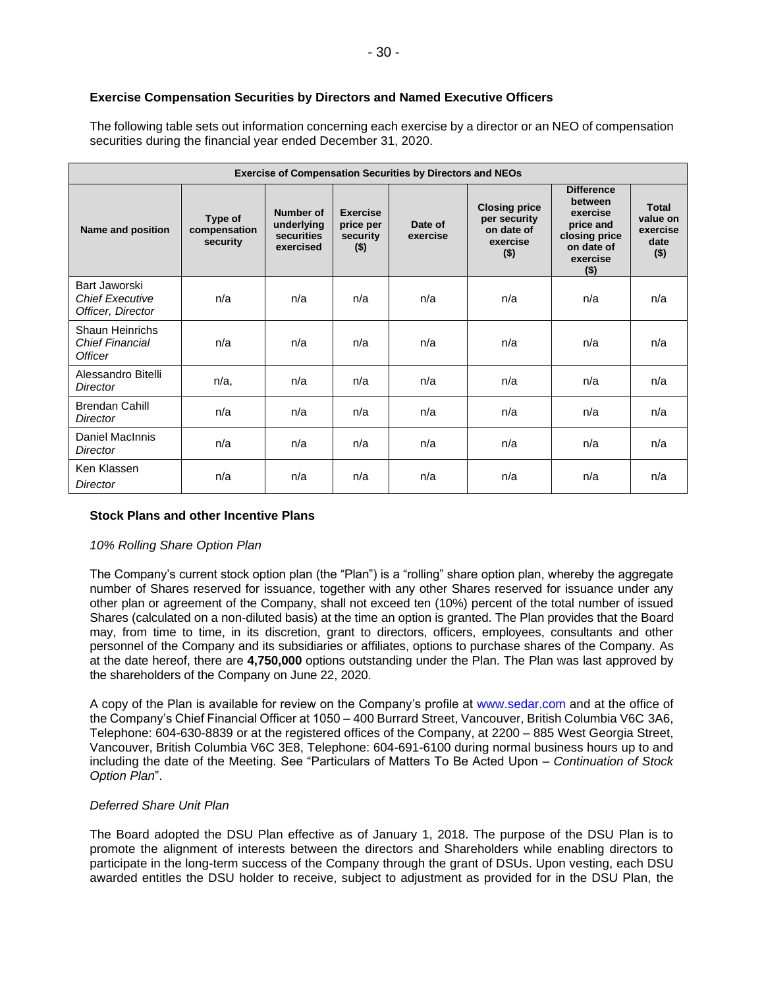# **Exercise Compensation Securities by Directors and Named Executive Officers**

The following table sets out information concerning each exercise by a director or an NEO of compensation securities during the financial year ended December 31, 2020.

| <b>Exercise of Compensation Securities by Directors and NEOs</b> |                                     |                                                    |                                                     |                     |                                                                           |                                                                                                             |                                                  |
|------------------------------------------------------------------|-------------------------------------|----------------------------------------------------|-----------------------------------------------------|---------------------|---------------------------------------------------------------------------|-------------------------------------------------------------------------------------------------------------|--------------------------------------------------|
| Name and position                                                | Type of<br>compensation<br>security | Number of<br>underlying<br>securities<br>exercised | <b>Exercise</b><br>price per<br>security<br>$($ \$) | Date of<br>exercise | <b>Closing price</b><br>per security<br>on date of<br>exercise<br>$($ \$) | <b>Difference</b><br>between<br>exercise<br>price and<br>closing price<br>on date of<br>exercise<br>$($ \$) | Total<br>value on<br>exercise<br>date<br>$($ \$) |
| Bart Jaworski<br><b>Chief Executive</b><br>Officer, Director     | n/a                                 | n/a                                                | n/a                                                 | n/a                 | n/a                                                                       | n/a                                                                                                         | n/a                                              |
| Shaun Heinrichs<br><b>Chief Financial</b><br><b>Officer</b>      | n/a                                 | n/a                                                | n/a                                                 | n/a                 | n/a                                                                       | n/a                                                                                                         | n/a                                              |
| Alessandro Bitelli<br>Director                                   | $n/a$ ,                             | n/a                                                | n/a                                                 | n/a                 | n/a                                                                       | n/a                                                                                                         | n/a                                              |
| <b>Brendan Cahill</b><br>Director                                | n/a                                 | n/a                                                | n/a                                                 | n/a                 | n/a                                                                       | n/a                                                                                                         | n/a                                              |
| Daniel MacInnis<br>Director                                      | n/a                                 | n/a                                                | n/a                                                 | n/a                 | n/a                                                                       | n/a                                                                                                         | n/a                                              |
| Ken Klassen<br>Director                                          | n/a                                 | n/a                                                | n/a                                                 | n/a                 | n/a                                                                       | n/a                                                                                                         | n/a                                              |

### **Stock Plans and other Incentive Plans**

### *10% Rolling Share Option Plan*

The Company's current stock option plan (the "Plan") is a "rolling" share option plan, whereby the aggregate number of Shares reserved for issuance, together with any other Shares reserved for issuance under any other plan or agreement of the Company, shall not exceed ten (10%) percent of the total number of issued Shares (calculated on a non-diluted basis) at the time an option is granted. The Plan provides that the Board may, from time to time, in its discretion, grant to directors, officers, employees, consultants and other personnel of the Company and its subsidiaries or affiliates, options to purchase shares of the Company. As at the date hereof, there are **4,750,000** options outstanding under the Plan. The Plan was last approved by the shareholders of the Company on June 22, 2020.

A copy of the Plan is available for review on the Company's profile at www.sedar.com and at the office of the Company's Chief Financial Officer at 1050 – 400 Burrard Street, Vancouver, British Columbia V6C 3A6, Telephone: 604-630-8839 or at the registered offices of the Company, at 2200 – 885 West Georgia Street, Vancouver, British Columbia V6C 3E8, Telephone: 604-691-6100 during normal business hours up to and including the date of the Meeting. See "Particulars of Matters To Be Acted Upon – *Continuation of Stock Option Plan*".

### *Deferred Share Unit Plan*

The Board adopted the DSU Plan effective as of January 1, 2018. The purpose of the DSU Plan is to promote the alignment of interests between the directors and Shareholders while enabling directors to participate in the long-term success of the Company through the grant of DSUs. Upon vesting, each DSU awarded entitles the DSU holder to receive, subject to adjustment as provided for in the DSU Plan, the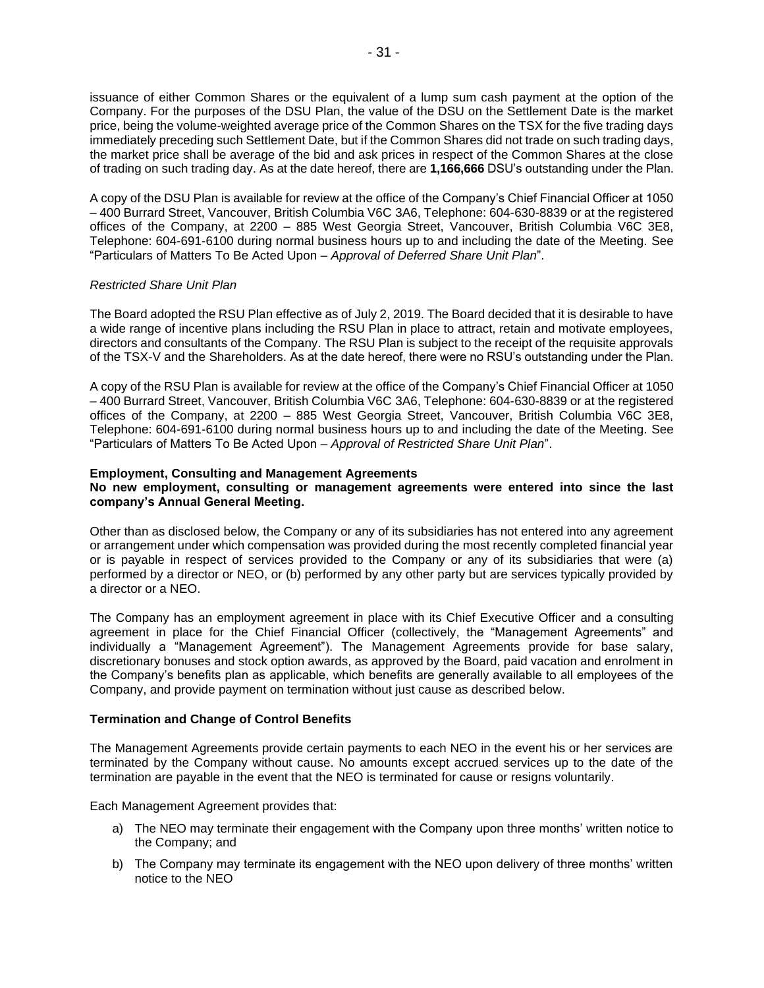issuance of either Common Shares or the equivalent of a lump sum cash payment at the option of the Company. For the purposes of the DSU Plan, the value of the DSU on the Settlement Date is the market price, being the volume-weighted average price of the Common Shares on the TSX for the five trading days immediately preceding such Settlement Date, but if the Common Shares did not trade on such trading days, the market price shall be average of the bid and ask prices in respect of the Common Shares at the close of trading on such trading day. As at the date hereof, there are **1,166,666** DSU's outstanding under the Plan.

A copy of the DSU Plan is available for review at the office of the Company's Chief Financial Officer at 1050 – 400 Burrard Street, Vancouver, British Columbia V6C 3A6, Telephone: 604-630-8839 or at the registered offices of the Company, at 2200 – 885 West Georgia Street, Vancouver, British Columbia V6C 3E8, Telephone: 604-691-6100 during normal business hours up to and including the date of the Meeting. See "Particulars of Matters To Be Acted Upon – *Approval of Deferred Share Unit Plan*".

# *Restricted Share Unit Plan*

The Board adopted the RSU Plan effective as of July 2, 2019. The Board decided that it is desirable to have a wide range of incentive plans including the RSU Plan in place to attract, retain and motivate employees, directors and consultants of the Company. The RSU Plan is subject to the receipt of the requisite approvals of the TSX-V and the Shareholders. As at the date hereof, there were no RSU's outstanding under the Plan.

A copy of the RSU Plan is available for review at the office of the Company's Chief Financial Officer at 1050 – 400 Burrard Street, Vancouver, British Columbia V6C 3A6, Telephone: 604-630-8839 or at the registered offices of the Company, at 2200 – 885 West Georgia Street, Vancouver, British Columbia V6C 3E8, Telephone: 604-691-6100 during normal business hours up to and including the date of the Meeting. See "Particulars of Matters To Be Acted Upon – *Approval of Restricted Share Unit Plan*".

# **Employment, Consulting and Management Agreements**

# **No new employment, consulting or management agreements were entered into since the last company's Annual General Meeting.**

Other than as disclosed below, the Company or any of its subsidiaries has not entered into any agreement or arrangement under which compensation was provided during the most recently completed financial year or is payable in respect of services provided to the Company or any of its subsidiaries that were (a) performed by a director or NEO, or (b) performed by any other party but are services typically provided by a director or a NEO.

The Company has an employment agreement in place with its Chief Executive Officer and a consulting agreement in place for the Chief Financial Officer (collectively, the "Management Agreements" and individually a "Management Agreement"). The Management Agreements provide for base salary, discretionary bonuses and stock option awards, as approved by the Board, paid vacation and enrolment in the Company's benefits plan as applicable, which benefits are generally available to all employees of the Company, and provide payment on termination without just cause as described below.

### **Termination and Change of Control Benefits**

The Management Agreements provide certain payments to each NEO in the event his or her services are terminated by the Company without cause. No amounts except accrued services up to the date of the termination are payable in the event that the NEO is terminated for cause or resigns voluntarily.

Each Management Agreement provides that:

- a) The NEO may terminate their engagement with the Company upon three months' written notice to the Company; and
- b) The Company may terminate its engagement with the NEO upon delivery of three months' written notice to the NEO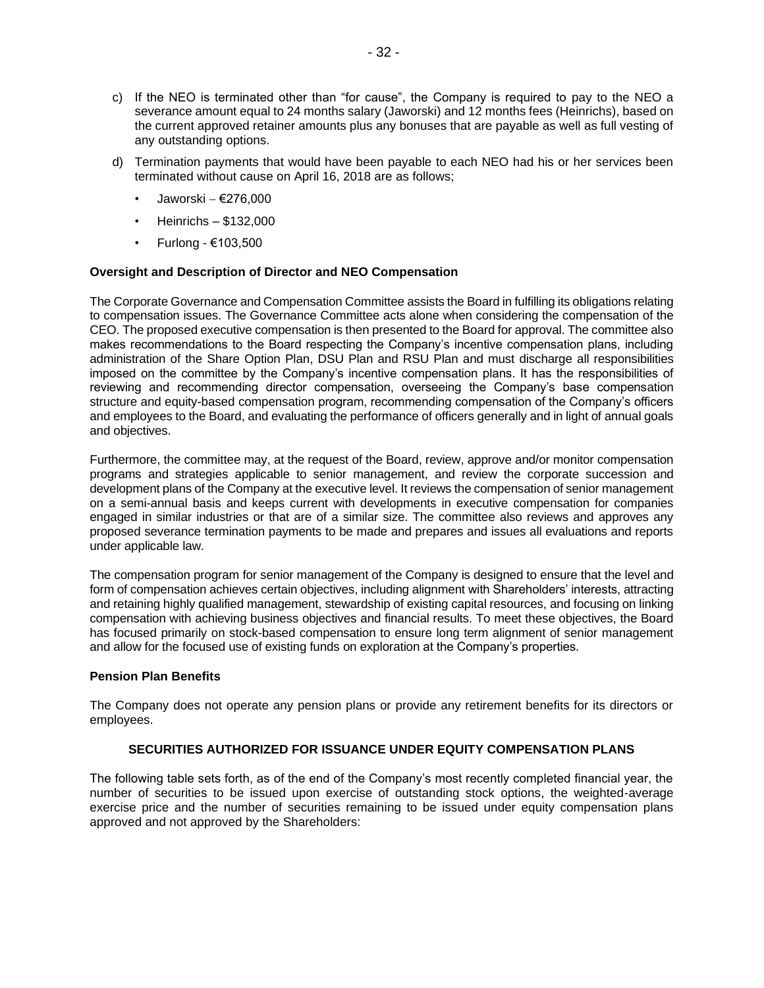- c) If the NEO is terminated other than "for cause", the Company is required to pay to the NEO a severance amount equal to 24 months salary (Jaworski) and 12 months fees (Heinrichs), based on the current approved retainer amounts plus any bonuses that are payable as well as full vesting of any outstanding options.
- d) Termination payments that would have been payable to each NEO had his or her services been terminated without cause on April 16, 2018 are as follows;
	- Jaworski − €276,000
	- Heinrichs \$132,000
	- Furlong €103,500

### **Oversight and Description of Director and NEO Compensation**

The Corporate Governance and Compensation Committee assists the Board in fulfilling its obligations relating to compensation issues. The Governance Committee acts alone when considering the compensation of the CEO. The proposed executive compensation is then presented to the Board for approval. The committee also makes recommendations to the Board respecting the Company's incentive compensation plans, including administration of the Share Option Plan, DSU Plan and RSU Plan and must discharge all responsibilities imposed on the committee by the Company's incentive compensation plans. It has the responsibilities of reviewing and recommending director compensation, overseeing the Company's base compensation structure and equity-based compensation program, recommending compensation of the Company's officers and employees to the Board, and evaluating the performance of officers generally and in light of annual goals and objectives.

Furthermore, the committee may, at the request of the Board, review, approve and/or monitor compensation programs and strategies applicable to senior management, and review the corporate succession and development plans of the Company at the executive level. It reviews the compensation of senior management on a semi-annual basis and keeps current with developments in executive compensation for companies engaged in similar industries or that are of a similar size. The committee also reviews and approves any proposed severance termination payments to be made and prepares and issues all evaluations and reports under applicable law.

The compensation program for senior management of the Company is designed to ensure that the level and form of compensation achieves certain objectives, including alignment with Shareholders' interests, attracting and retaining highly qualified management, stewardship of existing capital resources, and focusing on linking compensation with achieving business objectives and financial results. To meet these objectives, the Board has focused primarily on stock-based compensation to ensure long term alignment of senior management and allow for the focused use of existing funds on exploration at the Company's properties.

### **Pension Plan Benefits**

The Company does not operate any pension plans or provide any retirement benefits for its directors or employees.

### **SECURITIES AUTHORIZED FOR ISSUANCE UNDER EQUITY COMPENSATION PLANS**

The following table sets forth, as of the end of the Company's most recently completed financial year, the number of securities to be issued upon exercise of outstanding stock options, the weighted-average exercise price and the number of securities remaining to be issued under equity compensation plans approved and not approved by the Shareholders: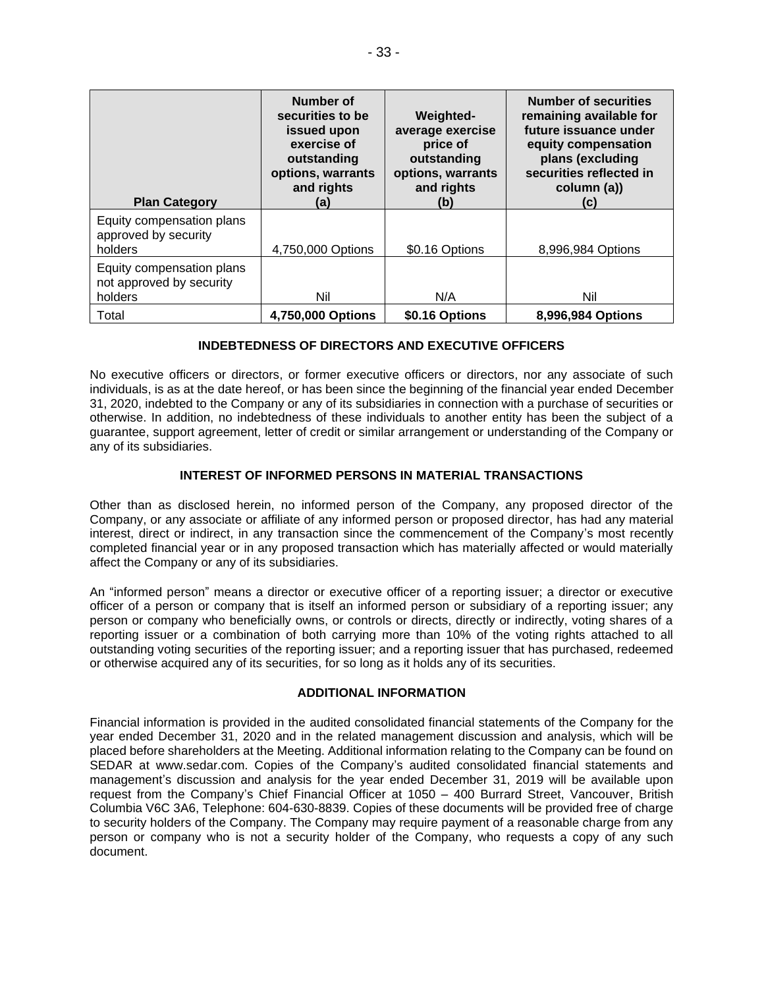| <b>Plan Category</b>                                             | Number of<br>securities to be<br>issued upon<br>exercise of<br>outstanding<br>options, warrants<br>and rights<br>(a) | <b>Weighted-</b><br>average exercise<br>price of<br>outstanding<br>options, warrants<br>and rights<br>(b) | <b>Number of securities</b><br>remaining available for<br>future issuance under<br>equity compensation<br>plans (excluding<br>securities reflected in<br>column (a))<br>(C) |
|------------------------------------------------------------------|----------------------------------------------------------------------------------------------------------------------|-----------------------------------------------------------------------------------------------------------|-----------------------------------------------------------------------------------------------------------------------------------------------------------------------------|
| Equity compensation plans<br>approved by security<br>holders     | 4,750,000 Options                                                                                                    | \$0.16 Options                                                                                            | 8,996,984 Options                                                                                                                                                           |
| Equity compensation plans<br>not approved by security<br>holders | Nil                                                                                                                  | N/A                                                                                                       | Nil                                                                                                                                                                         |
| Total                                                            | 4,750,000 Options                                                                                                    | \$0.16 Options                                                                                            | 8,996,984 Options                                                                                                                                                           |

# **INDEBTEDNESS OF DIRECTORS AND EXECUTIVE OFFICERS**

No executive officers or directors, or former executive officers or directors, nor any associate of such individuals, is as at the date hereof, or has been since the beginning of the financial year ended December 31, 2020, indebted to the Company or any of its subsidiaries in connection with a purchase of securities or otherwise. In addition, no indebtedness of these individuals to another entity has been the subject of a guarantee, support agreement, letter of credit or similar arrangement or understanding of the Company or any of its subsidiaries.

# **INTEREST OF INFORMED PERSONS IN MATERIAL TRANSACTIONS**

Other than as disclosed herein, no informed person of the Company, any proposed director of the Company, or any associate or affiliate of any informed person or proposed director, has had any material interest, direct or indirect, in any transaction since the commencement of the Company's most recently completed financial year or in any proposed transaction which has materially affected or would materially affect the Company or any of its subsidiaries.

An "informed person" means a director or executive officer of a reporting issuer; a director or executive officer of a person or company that is itself an informed person or subsidiary of a reporting issuer; any person or company who beneficially owns, or controls or directs, directly or indirectly, voting shares of a reporting issuer or a combination of both carrying more than 10% of the voting rights attached to all outstanding voting securities of the reporting issuer; and a reporting issuer that has purchased, redeemed or otherwise acquired any of its securities, for so long as it holds any of its securities.

## **ADDITIONAL INFORMATION**

Financial information is provided in the audited consolidated financial statements of the Company for the year ended December 31, 2020 and in the related management discussion and analysis, which will be placed before shareholders at the Meeting. Additional information relating to the Company can be found on SEDAR at www.sedar.com. Copies of the Company's audited consolidated financial statements and management's discussion and analysis for the year ended December 31, 2019 will be available upon request from the Company's Chief Financial Officer at 1050 – 400 Burrard Street, Vancouver, British Columbia V6C 3A6, Telephone: 604-630-8839. Copies of these documents will be provided free of charge to security holders of the Company. The Company may require payment of a reasonable charge from any person or company who is not a security holder of the Company, who requests a copy of any such document.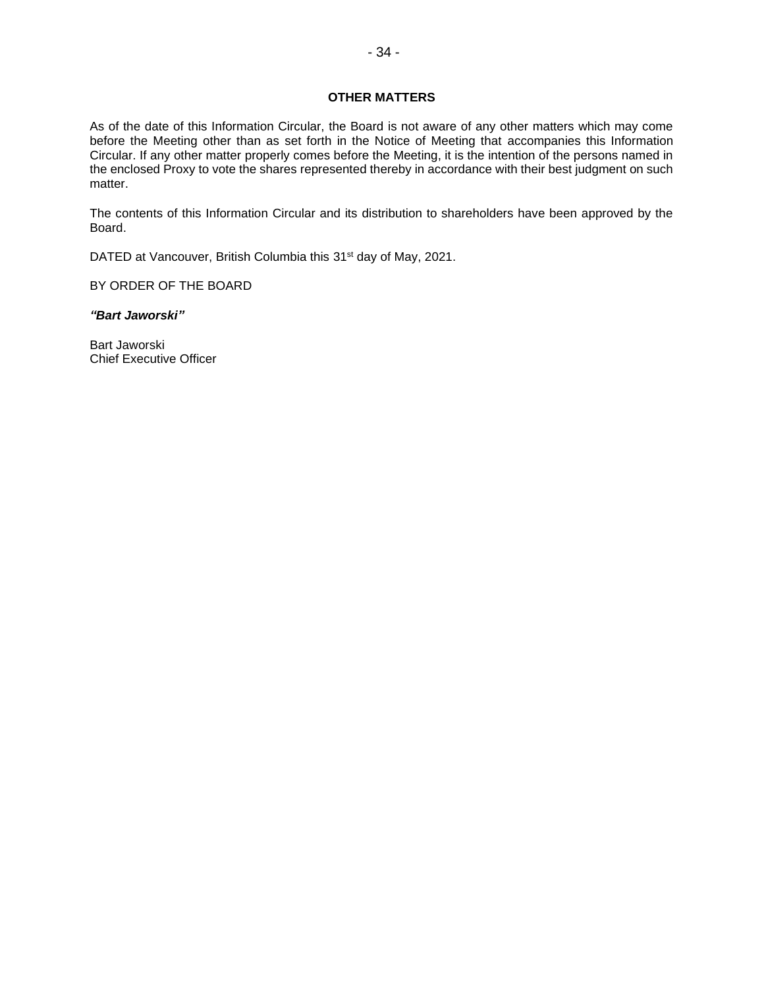## **OTHER MATTERS**

As of the date of this Information Circular, the Board is not aware of any other matters which may come before the Meeting other than as set forth in the Notice of Meeting that accompanies this Information Circular. If any other matter properly comes before the Meeting, it is the intention of the persons named in the enclosed Proxy to vote the shares represented thereby in accordance with their best judgment on such matter.

The contents of this Information Circular and its distribution to shareholders have been approved by the Board.

DATED at Vancouver, British Columbia this 31<sup>st</sup> day of May, 2021.

BY ORDER OF THE BOARD

*"Bart Jaworski"*

Bart Jaworski Chief Executive Officer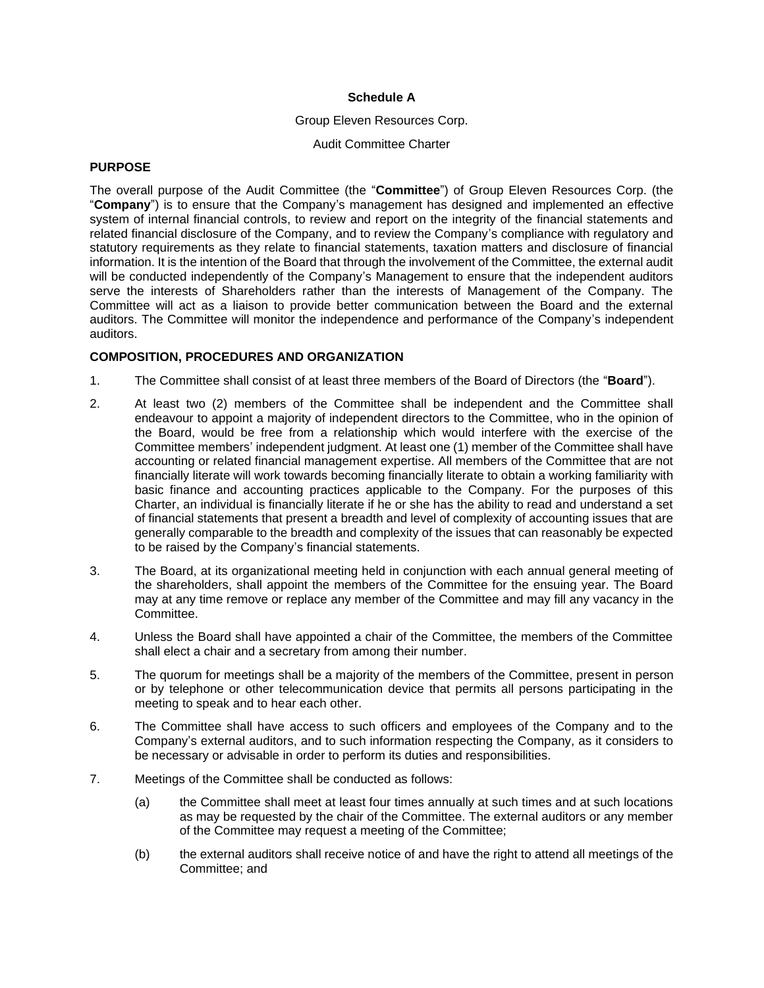#### **Schedule A**

#### Group Eleven Resources Corp.

#### Audit Committee Charter

## **PURPOSE**

The overall purpose of the Audit Committee (the "**Committee**") of Group Eleven Resources Corp. (the "**Company**") is to ensure that the Company's management has designed and implemented an effective system of internal financial controls, to review and report on the integrity of the financial statements and related financial disclosure of the Company, and to review the Company's compliance with regulatory and statutory requirements as they relate to financial statements, taxation matters and disclosure of financial information. It is the intention of the Board that through the involvement of the Committee, the external audit will be conducted independently of the Company's Management to ensure that the independent auditors serve the interests of Shareholders rather than the interests of Management of the Company. The Committee will act as a liaison to provide better communication between the Board and the external auditors. The Committee will monitor the independence and performance of the Company's independent auditors.

### **COMPOSITION, PROCEDURES AND ORGANIZATION**

- 1. The Committee shall consist of at least three members of the Board of Directors (the "**Board**").
- 2. At least two (2) members of the Committee shall be independent and the Committee shall endeavour to appoint a majority of independent directors to the Committee, who in the opinion of the Board, would be free from a relationship which would interfere with the exercise of the Committee members' independent judgment. At least one (1) member of the Committee shall have accounting or related financial management expertise. All members of the Committee that are not financially literate will work towards becoming financially literate to obtain a working familiarity with basic finance and accounting practices applicable to the Company. For the purposes of this Charter, an individual is financially literate if he or she has the ability to read and understand a set of financial statements that present a breadth and level of complexity of accounting issues that are generally comparable to the breadth and complexity of the issues that can reasonably be expected to be raised by the Company's financial statements.
- 3. The Board, at its organizational meeting held in conjunction with each annual general meeting of the shareholders, shall appoint the members of the Committee for the ensuing year. The Board may at any time remove or replace any member of the Committee and may fill any vacancy in the Committee.
- 4. Unless the Board shall have appointed a chair of the Committee, the members of the Committee shall elect a chair and a secretary from among their number.
- 5. The quorum for meetings shall be a majority of the members of the Committee, present in person or by telephone or other telecommunication device that permits all persons participating in the meeting to speak and to hear each other.
- 6. The Committee shall have access to such officers and employees of the Company and to the Company's external auditors, and to such information respecting the Company, as it considers to be necessary or advisable in order to perform its duties and responsibilities.
- 7. Meetings of the Committee shall be conducted as follows:
	- (a) the Committee shall meet at least four times annually at such times and at such locations as may be requested by the chair of the Committee. The external auditors or any member of the Committee may request a meeting of the Committee;
	- (b) the external auditors shall receive notice of and have the right to attend all meetings of the Committee; and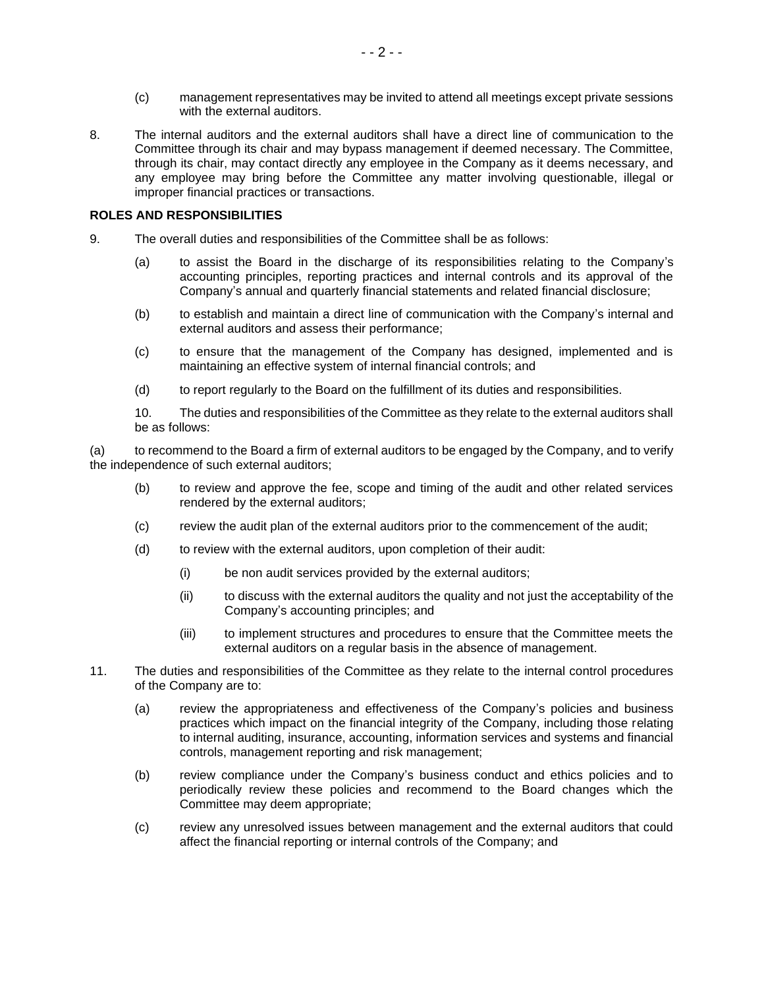- (c) management representatives may be invited to attend all meetings except private sessions with the external auditors.
- 8. The internal auditors and the external auditors shall have a direct line of communication to the Committee through its chair and may bypass management if deemed necessary. The Committee, through its chair, may contact directly any employee in the Company as it deems necessary, and any employee may bring before the Committee any matter involving questionable, illegal or improper financial practices or transactions.

# **ROLES AND RESPONSIBILITIES**

- 9. The overall duties and responsibilities of the Committee shall be as follows:
	- (a) to assist the Board in the discharge of its responsibilities relating to the Company's accounting principles, reporting practices and internal controls and its approval of the Company's annual and quarterly financial statements and related financial disclosure;
	- (b) to establish and maintain a direct line of communication with the Company's internal and external auditors and assess their performance;
	- (c) to ensure that the management of the Company has designed, implemented and is maintaining an effective system of internal financial controls; and
	- (d) to report regularly to the Board on the fulfillment of its duties and responsibilities.

10. The duties and responsibilities of the Committee as they relate to the external auditors shall be as follows:

(a) to recommend to the Board a firm of external auditors to be engaged by the Company, and to verify the independence of such external auditors;

- (b) to review and approve the fee, scope and timing of the audit and other related services rendered by the external auditors;
- (c) review the audit plan of the external auditors prior to the commencement of the audit;
- (d) to review with the external auditors, upon completion of their audit:
	- (i) be non audit services provided by the external auditors;
	- (ii) to discuss with the external auditors the quality and not just the acceptability of the Company's accounting principles; and
	- (iii) to implement structures and procedures to ensure that the Committee meets the external auditors on a regular basis in the absence of management.
- 11. The duties and responsibilities of the Committee as they relate to the internal control procedures of the Company are to:
	- (a) review the appropriateness and effectiveness of the Company's policies and business practices which impact on the financial integrity of the Company, including those relating to internal auditing, insurance, accounting, information services and systems and financial controls, management reporting and risk management;
	- (b) review compliance under the Company's business conduct and ethics policies and to periodically review these policies and recommend to the Board changes which the Committee may deem appropriate;
	- (c) review any unresolved issues between management and the external auditors that could affect the financial reporting or internal controls of the Company; and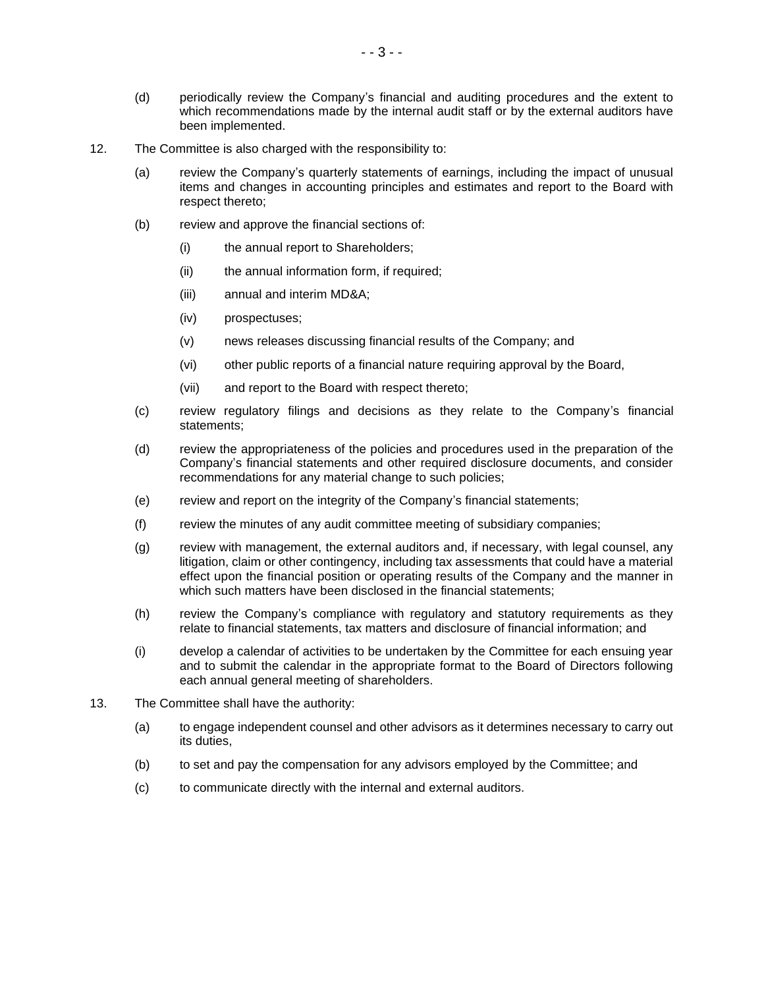- (d) periodically review the Company's financial and auditing procedures and the extent to which recommendations made by the internal audit staff or by the external auditors have been implemented.
- 12. The Committee is also charged with the responsibility to:
	- (a) review the Company's quarterly statements of earnings, including the impact of unusual items and changes in accounting principles and estimates and report to the Board with respect thereto;
	- (b) review and approve the financial sections of:
		- (i) the annual report to Shareholders;
		- (ii) the annual information form, if required;
		- (iii) annual and interim MD&A;
		- (iv) prospectuses;
		- (v) news releases discussing financial results of the Company; and
		- (vi) other public reports of a financial nature requiring approval by the Board,
		- (vii) and report to the Board with respect thereto;
	- (c) review regulatory filings and decisions as they relate to the Company's financial statements;
	- (d) review the appropriateness of the policies and procedures used in the preparation of the Company's financial statements and other required disclosure documents, and consider recommendations for any material change to such policies;
	- (e) review and report on the integrity of the Company's financial statements;
	- (f) review the minutes of any audit committee meeting of subsidiary companies;
	- (g) review with management, the external auditors and, if necessary, with legal counsel, any litigation, claim or other contingency, including tax assessments that could have a material effect upon the financial position or operating results of the Company and the manner in which such matters have been disclosed in the financial statements;
	- (h) review the Company's compliance with regulatory and statutory requirements as they relate to financial statements, tax matters and disclosure of financial information; and
	- (i) develop a calendar of activities to be undertaken by the Committee for each ensuing year and to submit the calendar in the appropriate format to the Board of Directors following each annual general meeting of shareholders.
- 13. The Committee shall have the authority:
	- (a) to engage independent counsel and other advisors as it determines necessary to carry out its duties,
	- (b) to set and pay the compensation for any advisors employed by the Committee; and
	- (c) to communicate directly with the internal and external auditors.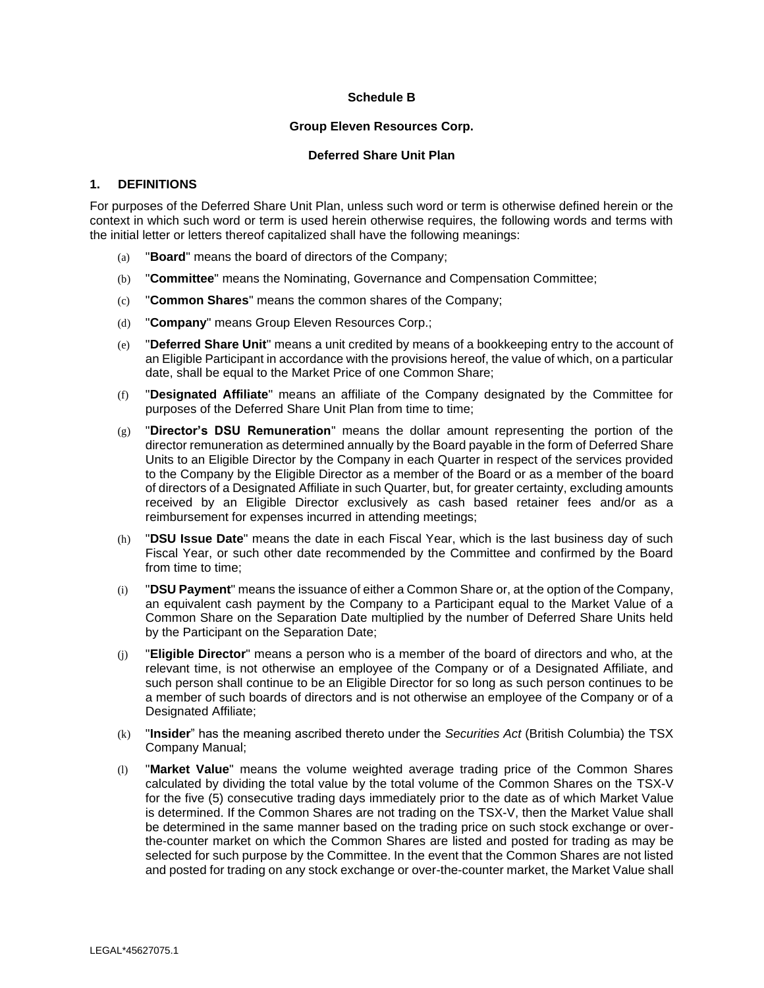# **Schedule B**

## **Group Eleven Resources Corp.**

### **Deferred Share Unit Plan**

# **1. DEFINITIONS**

For purposes of the Deferred Share Unit Plan, unless such word or term is otherwise defined herein or the context in which such word or term is used herein otherwise requires, the following words and terms with the initial letter or letters thereof capitalized shall have the following meanings:

- (a) "**Board**" means the board of directors of the Company;
- (b) "**Committee**" means the Nominating, Governance and Compensation Committee;
- (c) "**Common Shares**" means the common shares of the Company;
- (d) "**Company**" means Group Eleven Resources Corp.;
- (e) "**Deferred Share Unit**" means a unit credited by means of a bookkeeping entry to the account of an Eligible Participant in accordance with the provisions hereof, the value of which, on a particular date, shall be equal to the Market Price of one Common Share;
- (f) "**Designated Affiliate**" means an affiliate of the Company designated by the Committee for purposes of the Deferred Share Unit Plan from time to time;
- (g) "**Director's DSU Remuneration**" means the dollar amount representing the portion of the director remuneration as determined annually by the Board payable in the form of Deferred Share Units to an Eligible Director by the Company in each Quarter in respect of the services provided to the Company by the Eligible Director as a member of the Board or as a member of the board of directors of a Designated Affiliate in such Quarter, but, for greater certainty, excluding amounts received by an Eligible Director exclusively as cash based retainer fees and/or as a reimbursement for expenses incurred in attending meetings;
- (h) "**DSU Issue Date**" means the date in each Fiscal Year, which is the last business day of such Fiscal Year, or such other date recommended by the Committee and confirmed by the Board from time to time;
- (i) "**DSU Payment**" means the issuance of either a Common Share or, at the option of the Company, an equivalent cash payment by the Company to a Participant equal to the Market Value of a Common Share on the Separation Date multiplied by the number of Deferred Share Units held by the Participant on the Separation Date;
- (j) "**Eligible Director**" means a person who is a member of the board of directors and who, at the relevant time, is not otherwise an employee of the Company or of a Designated Affiliate, and such person shall continue to be an Eligible Director for so long as such person continues to be a member of such boards of directors and is not otherwise an employee of the Company or of a Designated Affiliate;
- (k) "**Insider**" has the meaning ascribed thereto under the *Securities Act* (British Columbia) the TSX Company Manual;
- (l) "**Market Value**" means the volume weighted average trading price of the Common Shares calculated by dividing the total value by the total volume of the Common Shares on the TSX-V for the five (5) consecutive trading days immediately prior to the date as of which Market Value is determined. If the Common Shares are not trading on the TSX-V, then the Market Value shall be determined in the same manner based on the trading price on such stock exchange or overthe-counter market on which the Common Shares are listed and posted for trading as may be selected for such purpose by the Committee. In the event that the Common Shares are not listed and posted for trading on any stock exchange or over-the-counter market, the Market Value shall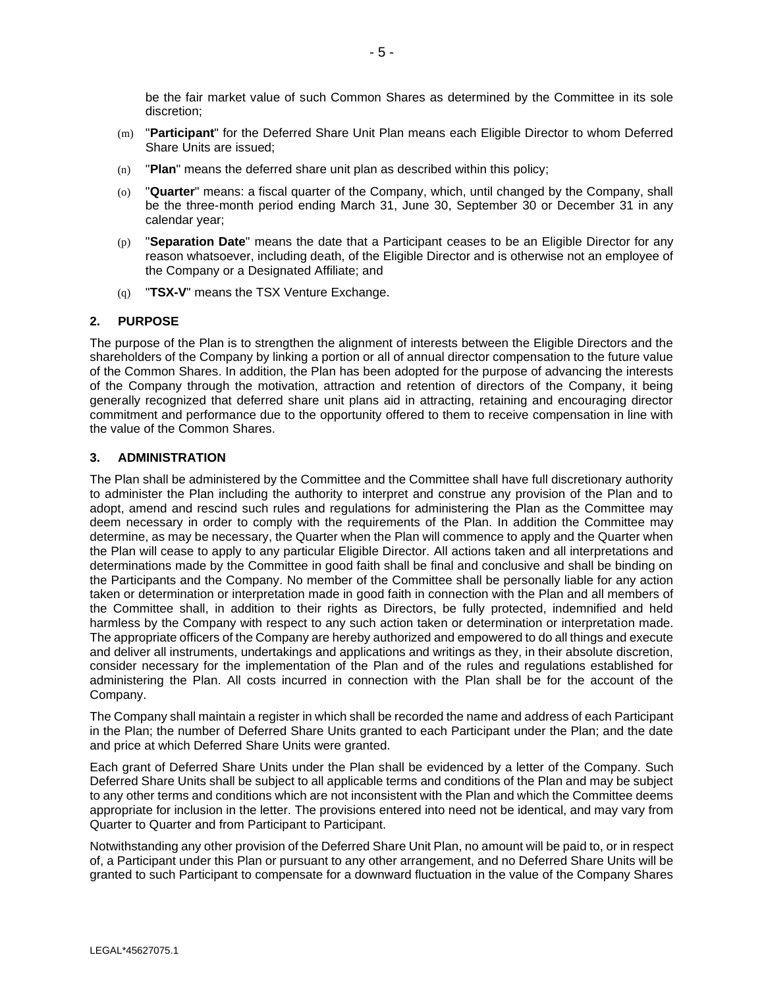be the fair market value of such Common Shares as determined by the Committee in its sole discretion;

- (m) "**Participant**" for the Deferred Share Unit Plan means each Eligible Director to whom Deferred Share Units are issued;
- (n) "**Plan**" means the deferred share unit plan as described within this policy;
- (o) "**Quarter**" means: a fiscal quarter of the Company, which, until changed by the Company, shall be the three-month period ending March 31, June 30, September 30 or December 31 in any calendar year;
- (p) "**Separation Date**" means the date that a Participant ceases to be an Eligible Director for any reason whatsoever, including death, of the Eligible Director and is otherwise not an employee of the Company or a Designated Affiliate; and
- (q) "**TSX-V**" means the TSX Venture Exchange.

### **2. PURPOSE**

The purpose of the Plan is to strengthen the alignment of interests between the Eligible Directors and the shareholders of the Company by linking a portion or all of annual director compensation to the future value of the Common Shares. In addition, the Plan has been adopted for the purpose of advancing the interests of the Company through the motivation, attraction and retention of directors of the Company, it being generally recognized that deferred share unit plans aid in attracting, retaining and encouraging director commitment and performance due to the opportunity offered to them to receive compensation in line with the value of the Common Shares.

### **3. ADMINISTRATION**

The Plan shall be administered by the Committee and the Committee shall have full discretionary authority to administer the Plan including the authority to interpret and construe any provision of the Plan and to adopt, amend and rescind such rules and regulations for administering the Plan as the Committee may deem necessary in order to comply with the requirements of the Plan. In addition the Committee may determine, as may be necessary, the Quarter when the Plan will commence to apply and the Quarter when the Plan will cease to apply to any particular Eligible Director. All actions taken and all interpretations and determinations made by the Committee in good faith shall be final and conclusive and shall be binding on the Participants and the Company. No member of the Committee shall be personally liable for any action taken or determination or interpretation made in good faith in connection with the Plan and all members of the Committee shall, in addition to their rights as Directors, be fully protected, indemnified and held harmless by the Company with respect to any such action taken or determination or interpretation made. The appropriate officers of the Company are hereby authorized and empowered to do all things and execute and deliver all instruments, undertakings and applications and writings as they, in their absolute discretion, consider necessary for the implementation of the Plan and of the rules and regulations established for administering the Plan. All costs incurred in connection with the Plan shall be for the account of the Company.

The Company shall maintain a register in which shall be recorded the name and address of each Participant in the Plan; the number of Deferred Share Units granted to each Participant under the Plan; and the date and price at which Deferred Share Units were granted.

Each grant of Deferred Share Units under the Plan shall be evidenced by a letter of the Company. Such Deferred Share Units shall be subject to all applicable terms and conditions of the Plan and may be subject to any other terms and conditions which are not inconsistent with the Plan and which the Committee deems appropriate for inclusion in the letter. The provisions entered into need not be identical, and may vary from Quarter to Quarter and from Participant to Participant.

Notwithstanding any other provision of the Deferred Share Unit Plan, no amount will be paid to, or in respect of, a Participant under this Plan or pursuant to any other arrangement, and no Deferred Share Units will be granted to such Participant to compensate for a downward fluctuation in the value of the Company Shares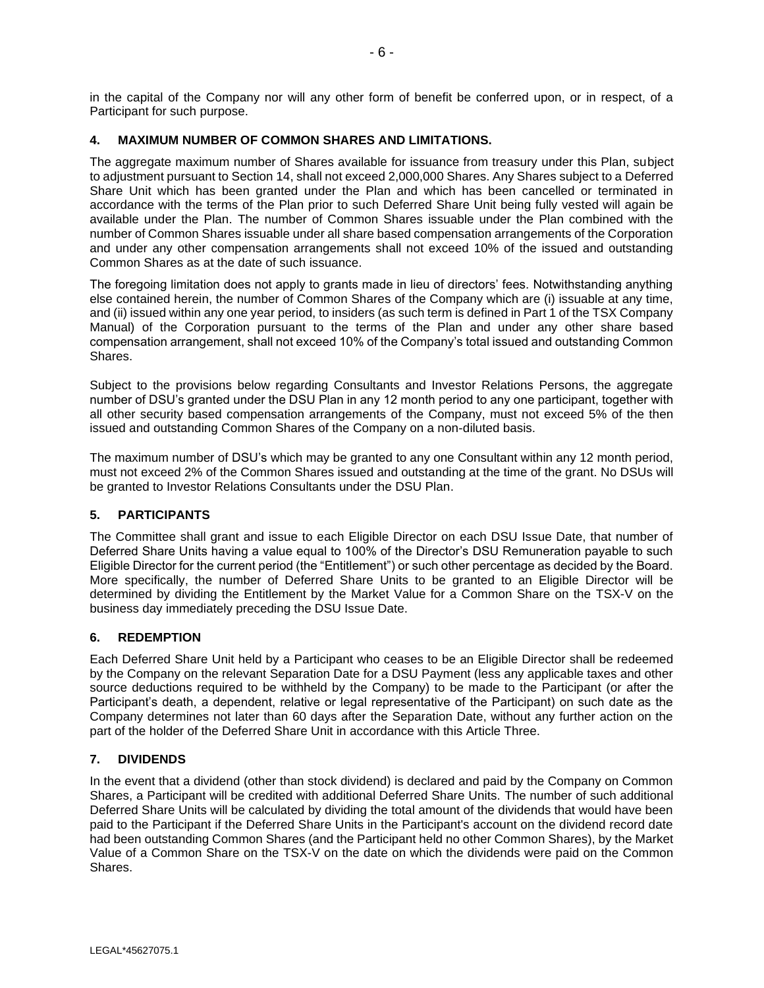in the capital of the Company nor will any other form of benefit be conferred upon, or in respect, of a Participant for such purpose.

# **4. MAXIMUM NUMBER OF COMMON SHARES AND LIMITATIONS.**

The aggregate maximum number of Shares available for issuance from treasury under this Plan, subject to adjustment pursuant to Section 14, shall not exceed 2,000,000 Shares. Any Shares subject to a Deferred Share Unit which has been granted under the Plan and which has been cancelled or terminated in accordance with the terms of the Plan prior to such Deferred Share Unit being fully vested will again be available under the Plan. The number of Common Shares issuable under the Plan combined with the number of Common Shares issuable under all share based compensation arrangements of the Corporation and under any other compensation arrangements shall not exceed 10% of the issued and outstanding Common Shares as at the date of such issuance.

The foregoing limitation does not apply to grants made in lieu of directors' fees. Notwithstanding anything else contained herein, the number of Common Shares of the Company which are (i) issuable at any time, and (ii) issued within any one year period, to insiders (as such term is defined in Part 1 of the TSX Company Manual) of the Corporation pursuant to the terms of the Plan and under any other share based compensation arrangement, shall not exceed 10% of the Company's total issued and outstanding Common Shares.

Subject to the provisions below regarding Consultants and Investor Relations Persons, the aggregate number of DSU's granted under the DSU Plan in any 12 month period to any one participant, together with all other security based compensation arrangements of the Company, must not exceed 5% of the then issued and outstanding Common Shares of the Company on a non-diluted basis.

The maximum number of DSU's which may be granted to any one Consultant within any 12 month period, must not exceed 2% of the Common Shares issued and outstanding at the time of the grant. No DSUs will be granted to Investor Relations Consultants under the DSU Plan.

# **5. PARTICIPANTS**

The Committee shall grant and issue to each Eligible Director on each DSU Issue Date, that number of Deferred Share Units having a value equal to 100% of the Director's DSU Remuneration payable to such Eligible Director for the current period (the "Entitlement") or such other percentage as decided by the Board. More specifically, the number of Deferred Share Units to be granted to an Eligible Director will be determined by dividing the Entitlement by the Market Value for a Common Share on the TSX-V on the business day immediately preceding the DSU Issue Date.

# **6. REDEMPTION**

Each Deferred Share Unit held by a Participant who ceases to be an Eligible Director shall be redeemed by the Company on the relevant Separation Date for a DSU Payment (less any applicable taxes and other source deductions required to be withheld by the Company) to be made to the Participant (or after the Participant's death, a dependent, relative or legal representative of the Participant) on such date as the Company determines not later than 60 days after the Separation Date, without any further action on the part of the holder of the Deferred Share Unit in accordance with this Article Three.

# **7. DIVIDENDS**

In the event that a dividend (other than stock dividend) is declared and paid by the Company on Common Shares, a Participant will be credited with additional Deferred Share Units. The number of such additional Deferred Share Units will be calculated by dividing the total amount of the dividends that would have been paid to the Participant if the Deferred Share Units in the Participant's account on the dividend record date had been outstanding Common Shares (and the Participant held no other Common Shares), by the Market Value of a Common Share on the TSX-V on the date on which the dividends were paid on the Common Shares.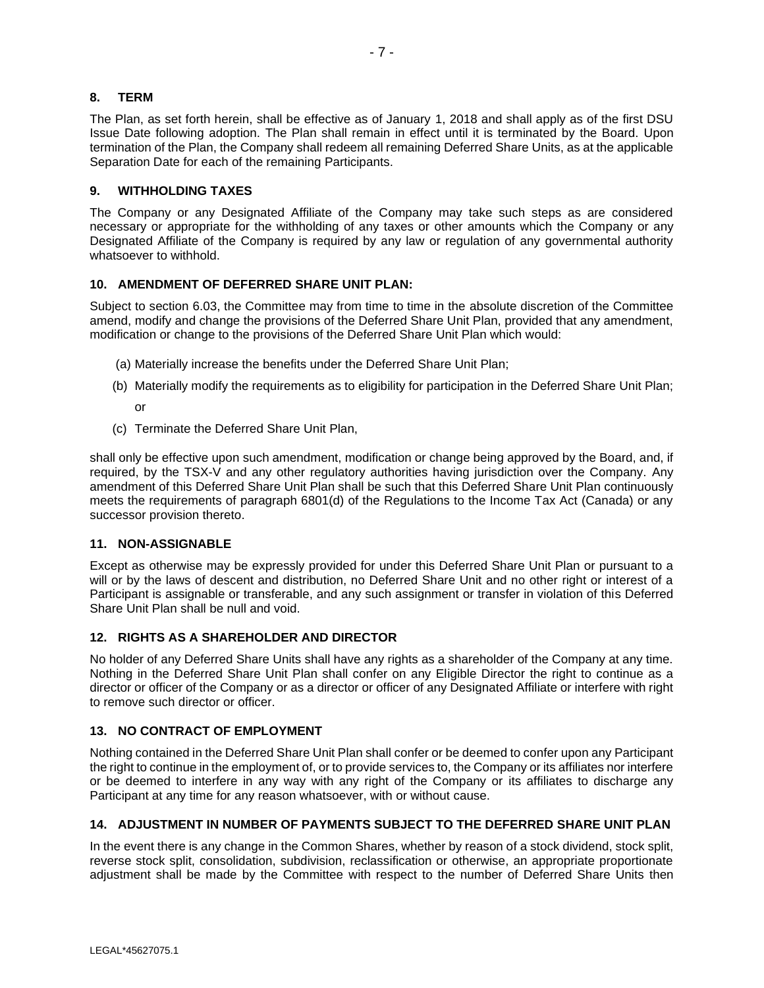# **8. TERM**

The Plan, as set forth herein, shall be effective as of January 1, 2018 and shall apply as of the first DSU Issue Date following adoption. The Plan shall remain in effect until it is terminated by the Board. Upon termination of the Plan, the Company shall redeem all remaining Deferred Share Units, as at the applicable Separation Date for each of the remaining Participants.

## **9. WITHHOLDING TAXES**

The Company or any Designated Affiliate of the Company may take such steps as are considered necessary or appropriate for the withholding of any taxes or other amounts which the Company or any Designated Affiliate of the Company is required by any law or regulation of any governmental authority whatsoever to withhold.

# **10. AMENDMENT OF DEFERRED SHARE UNIT PLAN:**

Subject to section 6.03, the Committee may from time to time in the absolute discretion of the Committee amend, modify and change the provisions of the Deferred Share Unit Plan, provided that any amendment, modification or change to the provisions of the Deferred Share Unit Plan which would:

- (a) Materially increase the benefits under the Deferred Share Unit Plan;
- (b) Materially modify the requirements as to eligibility for participation in the Deferred Share Unit Plan;

or

(c) Terminate the Deferred Share Unit Plan,

shall only be effective upon such amendment, modification or change being approved by the Board, and, if required, by the TSX-V and any other regulatory authorities having jurisdiction over the Company. Any amendment of this Deferred Share Unit Plan shall be such that this Deferred Share Unit Plan continuously meets the requirements of paragraph 6801(d) of the Regulations to the Income Tax Act (Canada) or any successor provision thereto.

### **11. NON-ASSIGNABLE**

Except as otherwise may be expressly provided for under this Deferred Share Unit Plan or pursuant to a will or by the laws of descent and distribution, no Deferred Share Unit and no other right or interest of a Participant is assignable or transferable, and any such assignment or transfer in violation of this Deferred Share Unit Plan shall be null and void.

# **12. RIGHTS AS A SHAREHOLDER AND DIRECTOR**

No holder of any Deferred Share Units shall have any rights as a shareholder of the Company at any time. Nothing in the Deferred Share Unit Plan shall confer on any Eligible Director the right to continue as a director or officer of the Company or as a director or officer of any Designated Affiliate or interfere with right to remove such director or officer.

# **13. NO CONTRACT OF EMPLOYMENT**

Nothing contained in the Deferred Share Unit Plan shall confer or be deemed to confer upon any Participant the right to continue in the employment of, or to provide services to, the Company or its affiliates nor interfere or be deemed to interfere in any way with any right of the Company or its affiliates to discharge any Participant at any time for any reason whatsoever, with or without cause.

# **14. ADJUSTMENT IN NUMBER OF PAYMENTS SUBJECT TO THE DEFERRED SHARE UNIT PLAN**

In the event there is any change in the Common Shares, whether by reason of a stock dividend, stock split, reverse stock split, consolidation, subdivision, reclassification or otherwise, an appropriate proportionate adjustment shall be made by the Committee with respect to the number of Deferred Share Units then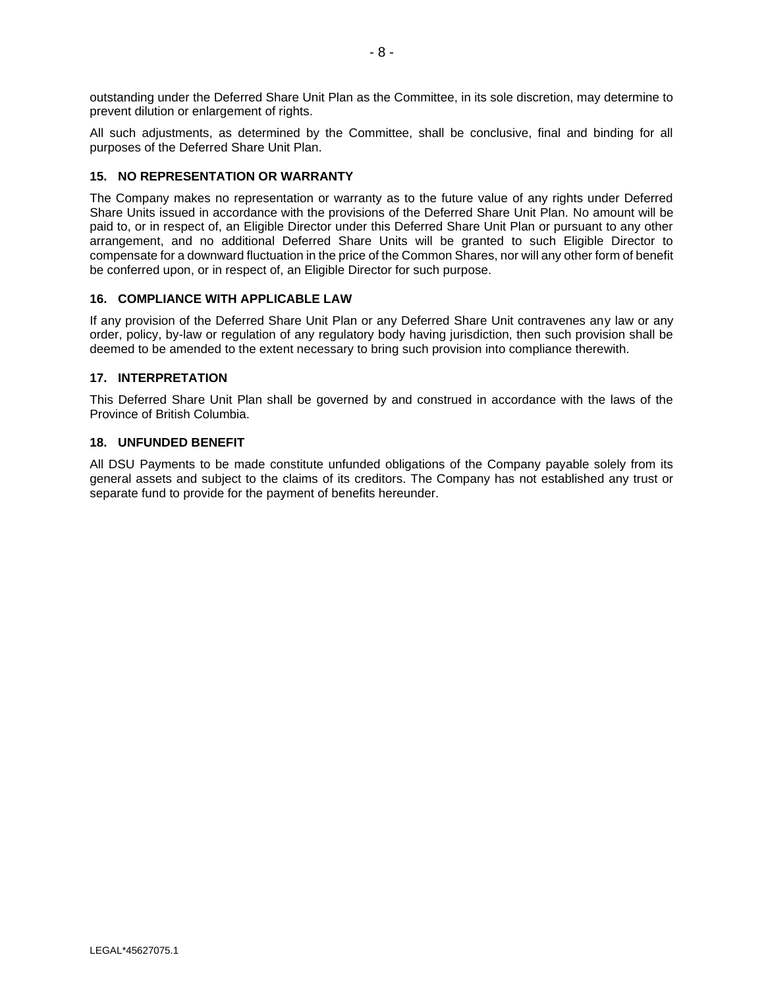outstanding under the Deferred Share Unit Plan as the Committee, in its sole discretion, may determine to prevent dilution or enlargement of rights.

All such adjustments, as determined by the Committee, shall be conclusive, final and binding for all purposes of the Deferred Share Unit Plan.

## **15. NO REPRESENTATION OR WARRANTY**

The Company makes no representation or warranty as to the future value of any rights under Deferred Share Units issued in accordance with the provisions of the Deferred Share Unit Plan. No amount will be paid to, or in respect of, an Eligible Director under this Deferred Share Unit Plan or pursuant to any other arrangement, and no additional Deferred Share Units will be granted to such Eligible Director to compensate for a downward fluctuation in the price of the Common Shares, nor will any other form of benefit be conferred upon, or in respect of, an Eligible Director for such purpose.

### **16. COMPLIANCE WITH APPLICABLE LAW**

If any provision of the Deferred Share Unit Plan or any Deferred Share Unit contravenes any law or any order, policy, by-law or regulation of any regulatory body having jurisdiction, then such provision shall be deemed to be amended to the extent necessary to bring such provision into compliance therewith.

# **17. INTERPRETATION**

This Deferred Share Unit Plan shall be governed by and construed in accordance with the laws of the Province of British Columbia.

# **18. UNFUNDED BENEFIT**

All DSU Payments to be made constitute unfunded obligations of the Company payable solely from its general assets and subject to the claims of its creditors. The Company has not established any trust or separate fund to provide for the payment of benefits hereunder.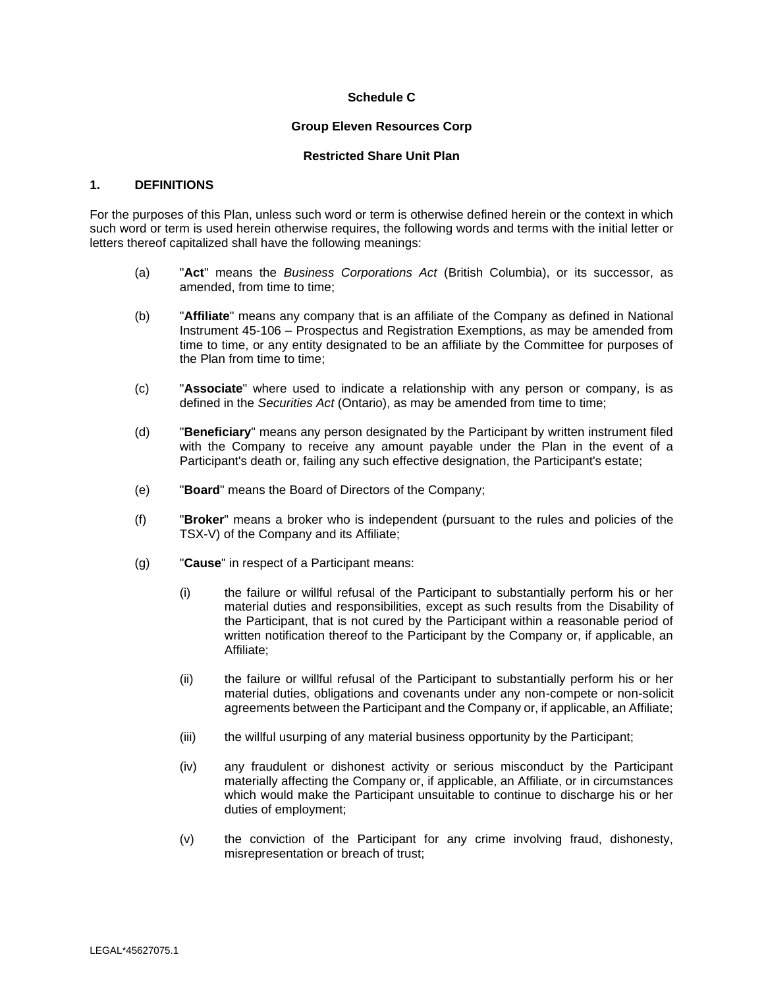## **Schedule C**

#### **Group Eleven Resources Corp**

### **Restricted Share Unit Plan**

### **1. DEFINITIONS**

For the purposes of this Plan, unless such word or term is otherwise defined herein or the context in which such word or term is used herein otherwise requires, the following words and terms with the initial letter or letters thereof capitalized shall have the following meanings:

- (a) "**Act**" means the *Business Corporations Act* (British Columbia), or its successor, as amended, from time to time;
- (b) "**Affiliate**" means any company that is an affiliate of the Company as defined in National Instrument 45-106 – Prospectus and Registration Exemptions, as may be amended from time to time, or any entity designated to be an affiliate by the Committee for purposes of the Plan from time to time;
- (c) "**Associate**" where used to indicate a relationship with any person or company, is as defined in the *Securities Act* (Ontario), as may be amended from time to time;
- (d) "**Beneficiary**" means any person designated by the Participant by written instrument filed with the Company to receive any amount payable under the Plan in the event of a Participant's death or, failing any such effective designation, the Participant's estate;
- (e) "**Board**" means the Board of Directors of the Company;
- (f) "**Broker**" means a broker who is independent (pursuant to the rules and policies of the TSX-V) of the Company and its Affiliate;
- (g) "**Cause**" in respect of a Participant means:
	- (i) the failure or willful refusal of the Participant to substantially perform his or her material duties and responsibilities, except as such results from the Disability of the Participant, that is not cured by the Participant within a reasonable period of written notification thereof to the Participant by the Company or, if applicable, an Affiliate;
	- (ii) the failure or willful refusal of the Participant to substantially perform his or her material duties, obligations and covenants under any non-compete or non-solicit agreements between the Participant and the Company or, if applicable, an Affiliate;
	- (iii) the willful usurping of any material business opportunity by the Participant;
	- (iv) any fraudulent or dishonest activity or serious misconduct by the Participant materially affecting the Company or, if applicable, an Affiliate, or in circumstances which would make the Participant unsuitable to continue to discharge his or her duties of employment;
	- (v) the conviction of the Participant for any crime involving fraud, dishonesty, misrepresentation or breach of trust;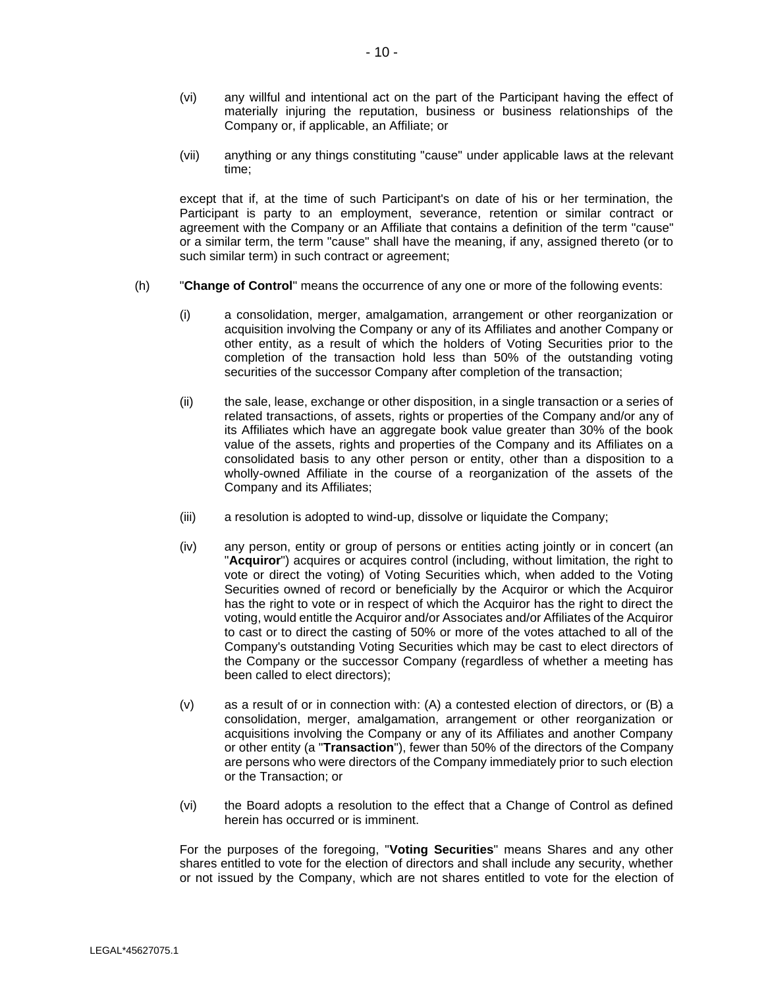- (vi) any willful and intentional act on the part of the Participant having the effect of materially injuring the reputation, business or business relationships of the Company or, if applicable, an Affiliate; or
- (vii) anything or any things constituting "cause" under applicable laws at the relevant time;

except that if, at the time of such Participant's on date of his or her termination, the Participant is party to an employment, severance, retention or similar contract or agreement with the Company or an Affiliate that contains a definition of the term "cause" or a similar term, the term "cause" shall have the meaning, if any, assigned thereto (or to such similar term) in such contract or agreement;

- (h) "**Change of Control**" means the occurrence of any one or more of the following events:
	- (i) a consolidation, merger, amalgamation, arrangement or other reorganization or acquisition involving the Company or any of its Affiliates and another Company or other entity, as a result of which the holders of Voting Securities prior to the completion of the transaction hold less than 50% of the outstanding voting securities of the successor Company after completion of the transaction;
	- (ii) the sale, lease, exchange or other disposition, in a single transaction or a series of related transactions, of assets, rights or properties of the Company and/or any of its Affiliates which have an aggregate book value greater than 30% of the book value of the assets, rights and properties of the Company and its Affiliates on a consolidated basis to any other person or entity, other than a disposition to a wholly-owned Affiliate in the course of a reorganization of the assets of the Company and its Affiliates;
	- (iii) a resolution is adopted to wind-up, dissolve or liquidate the Company;
	- (iv) any person, entity or group of persons or entities acting jointly or in concert (an "**Acquiror**") acquires or acquires control (including, without limitation, the right to vote or direct the voting) of Voting Securities which, when added to the Voting Securities owned of record or beneficially by the Acquiror or which the Acquiror has the right to vote or in respect of which the Acquiror has the right to direct the voting, would entitle the Acquiror and/or Associates and/or Affiliates of the Acquiror to cast or to direct the casting of 50% or more of the votes attached to all of the Company's outstanding Voting Securities which may be cast to elect directors of the Company or the successor Company (regardless of whether a meeting has been called to elect directors);
	- (v) as a result of or in connection with: (A) a contested election of directors, or (B) a consolidation, merger, amalgamation, arrangement or other reorganization or acquisitions involving the Company or any of its Affiliates and another Company or other entity (a "**Transaction**"), fewer than 50% of the directors of the Company are persons who were directors of the Company immediately prior to such election or the Transaction; or
	- (vi) the Board adopts a resolution to the effect that a Change of Control as defined herein has occurred or is imminent.

For the purposes of the foregoing, "**Voting Securities**" means Shares and any other shares entitled to vote for the election of directors and shall include any security, whether or not issued by the Company, which are not shares entitled to vote for the election of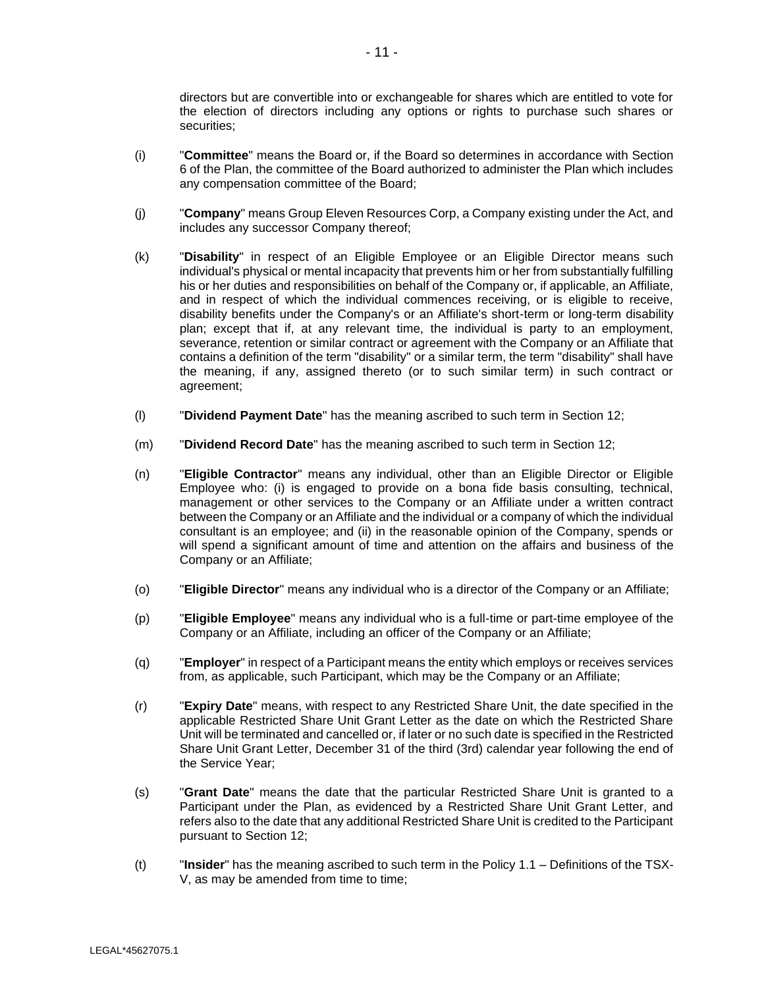directors but are convertible into or exchangeable for shares which are entitled to vote for the election of directors including any options or rights to purchase such shares or securities;

- (i) "**Committee**" means the Board or, if the Board so determines in accordance with Section 6 of the Plan, the committee of the Board authorized to administer the Plan which includes any compensation committee of the Board;
- (j) "**Company**" means Group Eleven Resources Corp, a Company existing under the Act, and includes any successor Company thereof;
- (k) "**Disability**" in respect of an Eligible Employee or an Eligible Director means such individual's physical or mental incapacity that prevents him or her from substantially fulfilling his or her duties and responsibilities on behalf of the Company or, if applicable, an Affiliate, and in respect of which the individual commences receiving, or is eligible to receive, disability benefits under the Company's or an Affiliate's short-term or long-term disability plan; except that if, at any relevant time, the individual is party to an employment, severance, retention or similar contract or agreement with the Company or an Affiliate that contains a definition of the term "disability" or a similar term, the term "disability" shall have the meaning, if any, assigned thereto (or to such similar term) in such contract or agreement;
- (l) "**Dividend Payment Date**" has the meaning ascribed to such term in Section 12;
- (m) "**Dividend Record Date**" has the meaning ascribed to such term in Section 12;
- (n) "**Eligible Contractor**" means any individual, other than an Eligible Director or Eligible Employee who: (i) is engaged to provide on a bona fide basis consulting, technical, management or other services to the Company or an Affiliate under a written contract between the Company or an Affiliate and the individual or a company of which the individual consultant is an employee; and (ii) in the reasonable opinion of the Company, spends or will spend a significant amount of time and attention on the affairs and business of the Company or an Affiliate;
- (o) "**Eligible Director**" means any individual who is a director of the Company or an Affiliate;
- (p) "**Eligible Employee**" means any individual who is a full-time or part-time employee of the Company or an Affiliate, including an officer of the Company or an Affiliate;
- (q) "**Employer**" in respect of a Participant means the entity which employs or receives services from, as applicable, such Participant, which may be the Company or an Affiliate;
- (r) "**Expiry Date**" means, with respect to any Restricted Share Unit, the date specified in the applicable Restricted Share Unit Grant Letter as the date on which the Restricted Share Unit will be terminated and cancelled or, if later or no such date is specified in the Restricted Share Unit Grant Letter, December 31 of the third (3rd) calendar year following the end of the Service Year;
- (s) "**Grant Date**" means the date that the particular Restricted Share Unit is granted to a Participant under the Plan, as evidenced by a Restricted Share Unit Grant Letter, and refers also to the date that any additional Restricted Share Unit is credited to the Participant pursuant to Section 12;
- (t) "**Insider**" has the meaning ascribed to such term in the Policy 1.1 Definitions of the TSX-V, as may be amended from time to time;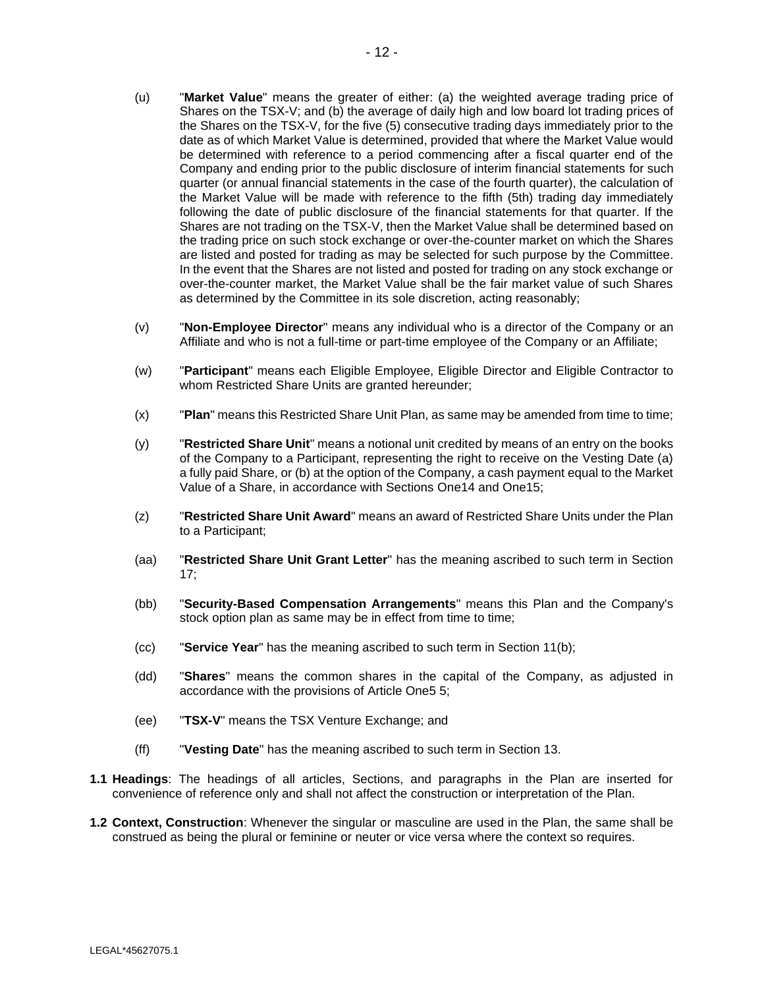- (u) "**Market Value**" means the greater of either: (a) the weighted average trading price of Shares on the TSX-V; and (b) the average of daily high and low board lot trading prices of the Shares on the TSX-V, for the five (5) consecutive trading days immediately prior to the date as of which Market Value is determined, provided that where the Market Value would be determined with reference to a period commencing after a fiscal quarter end of the Company and ending prior to the public disclosure of interim financial statements for such quarter (or annual financial statements in the case of the fourth quarter), the calculation of the Market Value will be made with reference to the fifth (5th) trading day immediately following the date of public disclosure of the financial statements for that quarter. If the Shares are not trading on the TSX-V, then the Market Value shall be determined based on the trading price on such stock exchange or over-the-counter market on which the Shares are listed and posted for trading as may be selected for such purpose by the Committee. In the event that the Shares are not listed and posted for trading on any stock exchange or over-the-counter market, the Market Value shall be the fair market value of such Shares as determined by the Committee in its sole discretion, acting reasonably;
- (v) "**Non-Employee Director**" means any individual who is a director of the Company or an Affiliate and who is not a full-time or part-time employee of the Company or an Affiliate;
- (w) "**Participant**" means each Eligible Employee, Eligible Director and Eligible Contractor to whom Restricted Share Units are granted hereunder;
- (x) "**Plan**" means this Restricted Share Unit Plan, as same may be amended from time to time;
- (y) "**Restricted Share Unit**" means a notional unit credited by means of an entry on the books of the Company to a Participant, representing the right to receive on the Vesting Date (a) a fully paid Share, or (b) at the option of the Company, a cash payment equal to the Market Value of a Share, in accordance with Sections [One14](#page-49-0) and [One15;](#page-50-0)
- (z) "**Restricted Share Unit Award**" means an award of Restricted Share Units under the Plan to a Participant;
- (aa) "**Restricted Share Unit Grant Letter**" has the meaning ascribed to such term in Section 17;
- (bb) "**Security-Based Compensation Arrangements**" means this Plan and the Company's stock option plan as same may be in effect from time to time;
- (cc) "**Service Year**" has the meaning ascribed to such term in Section 11(b);
- (dd) "**Shares**" means the common shares in the capital of the Company, as adjusted in accordance with the provisions of [Article One5](#page-47-0) 5;
- (ee) "**TSX-V**" means the TSX Venture Exchange; and
- (ff) "**Vesting Date**" has the meaning ascribed to such term in Section 13.
- **1.1 Headings**: The headings of all articles, Sections, and paragraphs in the Plan are inserted for convenience of reference only and shall not affect the construction or interpretation of the Plan.
- **1.2 Context, Construction**: Whenever the singular or masculine are used in the Plan, the same shall be construed as being the plural or feminine or neuter or vice versa where the context so requires.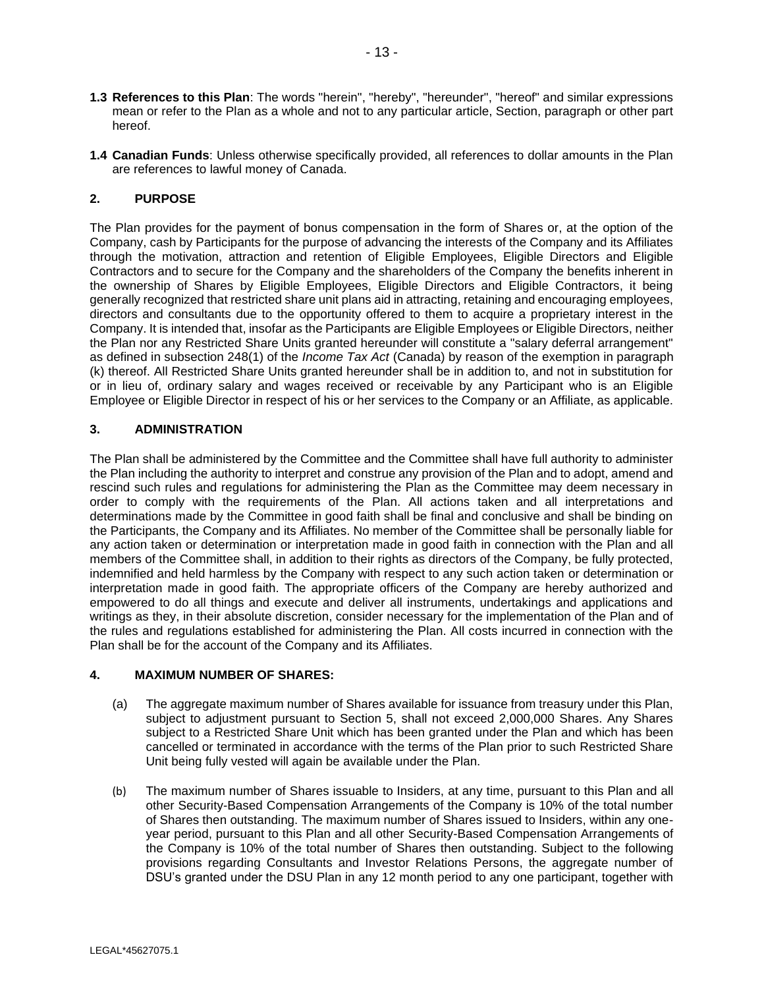- **1.3 References to this Plan**: The words "herein", "hereby", "hereunder", "hereof" and similar expressions mean or refer to the Plan as a whole and not to any particular article, Section, paragraph or other part hereof.
- **1.4 Canadian Funds**: Unless otherwise specifically provided, all references to dollar amounts in the Plan are references to lawful money of Canada.

# **2. PURPOSE**

The Plan provides for the payment of bonus compensation in the form of Shares or, at the option of the Company, cash by Participants for the purpose of advancing the interests of the Company and its Affiliates through the motivation, attraction and retention of Eligible Employees, Eligible Directors and Eligible Contractors and to secure for the Company and the shareholders of the Company the benefits inherent in the ownership of Shares by Eligible Employees, Eligible Directors and Eligible Contractors, it being generally recognized that restricted share unit plans aid in attracting, retaining and encouraging employees, directors and consultants due to the opportunity offered to them to acquire a proprietary interest in the Company. It is intended that, insofar as the Participants are Eligible Employees or Eligible Directors, neither the Plan nor any Restricted Share Units granted hereunder will constitute a "salary deferral arrangement" as defined in subsection 248(1) of the *Income Tax Act* (Canada) by reason of the exemption in paragraph (k) thereof. All Restricted Share Units granted hereunder shall be in addition to, and not in substitution for or in lieu of, ordinary salary and wages received or receivable by any Participant who is an Eligible Employee or Eligible Director in respect of his or her services to the Company or an Affiliate, as applicable.

# **3. ADMINISTRATION**

The Plan shall be administered by the Committee and the Committee shall have full authority to administer the Plan including the authority to interpret and construe any provision of the Plan and to adopt, amend and rescind such rules and regulations for administering the Plan as the Committee may deem necessary in order to comply with the requirements of the Plan. All actions taken and all interpretations and determinations made by the Committee in good faith shall be final and conclusive and shall be binding on the Participants, the Company and its Affiliates. No member of the Committee shall be personally liable for any action taken or determination or interpretation made in good faith in connection with the Plan and all members of the Committee shall, in addition to their rights as directors of the Company, be fully protected, indemnified and held harmless by the Company with respect to any such action taken or determination or interpretation made in good faith. The appropriate officers of the Company are hereby authorized and empowered to do all things and execute and deliver all instruments, undertakings and applications and writings as they, in their absolute discretion, consider necessary for the implementation of the Plan and of the rules and regulations established for administering the Plan. All costs incurred in connection with the Plan shall be for the account of the Company and its Affiliates.

# **4. MAXIMUM NUMBER OF SHARES:**

- (a) The aggregate maximum number of Shares available for issuance from treasury under this Plan, subject to adjustment pursuant to Section 5, shall not exceed 2,000,000 Shares. Any Shares subject to a Restricted Share Unit which has been granted under the Plan and which has been cancelled or terminated in accordance with the terms of the Plan prior to such Restricted Share Unit being fully vested will again be available under the Plan.
- (b) The maximum number of Shares issuable to Insiders, at any time, pursuant to this Plan and all other Security-Based Compensation Arrangements of the Company is 10% of the total number of Shares then outstanding. The maximum number of Shares issued to Insiders, within any oneyear period, pursuant to this Plan and all other Security-Based Compensation Arrangements of the Company is 10% of the total number of Shares then outstanding. Subject to the following provisions regarding Consultants and Investor Relations Persons, the aggregate number of DSU's granted under the DSU Plan in any 12 month period to any one participant, together with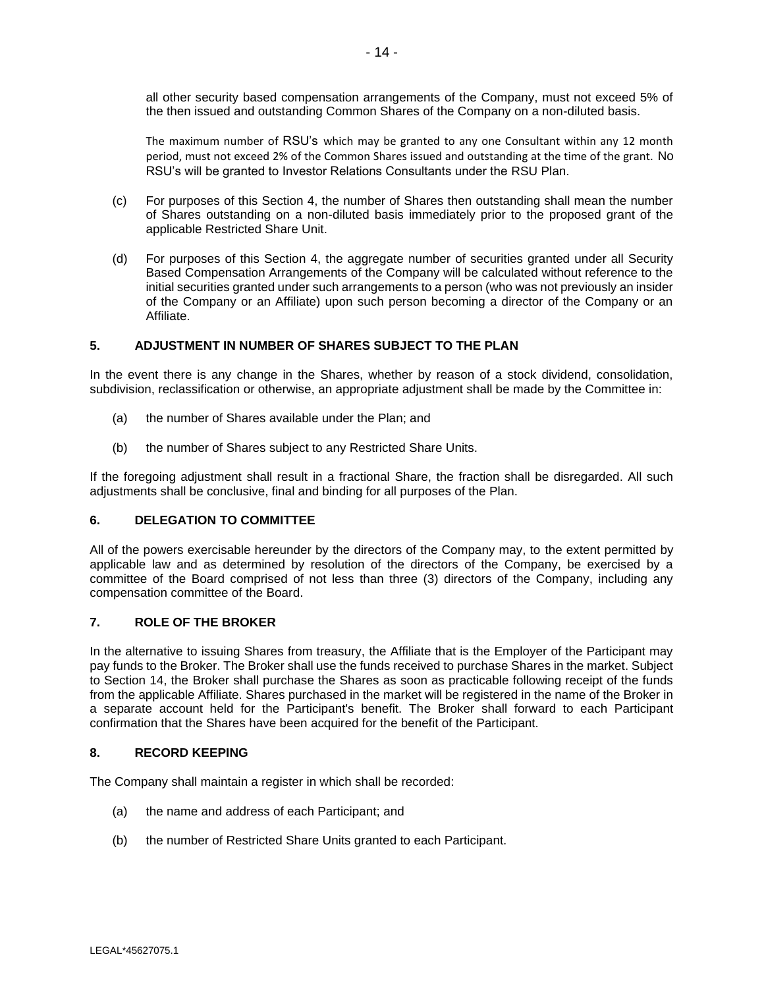all other security based compensation arrangements of the Company, must not exceed 5% of the then issued and outstanding Common Shares of the Company on a non-diluted basis.

The maximum number of RSU's which may be granted to any one Consultant within any 12 month period, must not exceed 2% of the Common Shares issued and outstanding at the time of the grant. No RSU's will be granted to Investor Relations Consultants under the RSU Plan.

- (c) For purposes of this Section 4, the number of Shares then outstanding shall mean the number of Shares outstanding on a non-diluted basis immediately prior to the proposed grant of the applicable Restricted Share Unit.
- (d) For purposes of this Section 4, the aggregate number of securities granted under all Security Based Compensation Arrangements of the Company will be calculated without reference to the initial securities granted under such arrangements to a person (who was not previously an insider of the Company or an Affiliate) upon such person becoming a director of the Company or an Affiliate.

# <span id="page-47-0"></span>**5. ADJUSTMENT IN NUMBER OF SHARES SUBJECT TO THE PLAN**

In the event there is any change in the Shares, whether by reason of a stock dividend, consolidation, subdivision, reclassification or otherwise, an appropriate adjustment shall be made by the Committee in:

- (a) the number of Shares available under the Plan; and
- (b) the number of Shares subject to any Restricted Share Units.

If the foregoing adjustment shall result in a fractional Share, the fraction shall be disregarded. All such adjustments shall be conclusive, final and binding for all purposes of the Plan.

### **6. DELEGATION TO COMMITTEE**

All of the powers exercisable hereunder by the directors of the Company may, to the extent permitted by applicable law and as determined by resolution of the directors of the Company, be exercised by a committee of the Board comprised of not less than three (3) directors of the Company, including any compensation committee of the Board.

### **7. ROLE OF THE BROKER**

In the alternative to issuing Shares from treasury, the Affiliate that is the Employer of the Participant may pay funds to the Broker. The Broker shall use the funds received to purchase Shares in the market. Subject to Section 14, the Broker shall purchase the Shares as soon as practicable following receipt of the funds from the applicable Affiliate. Shares purchased in the market will be registered in the name of the Broker in a separate account held for the Participant's benefit. The Broker shall forward to each Participant confirmation that the Shares have been acquired for the benefit of the Participant.

### **8. RECORD KEEPING**

The Company shall maintain a register in which shall be recorded:

- (a) the name and address of each Participant; and
- (b) the number of Restricted Share Units granted to each Participant.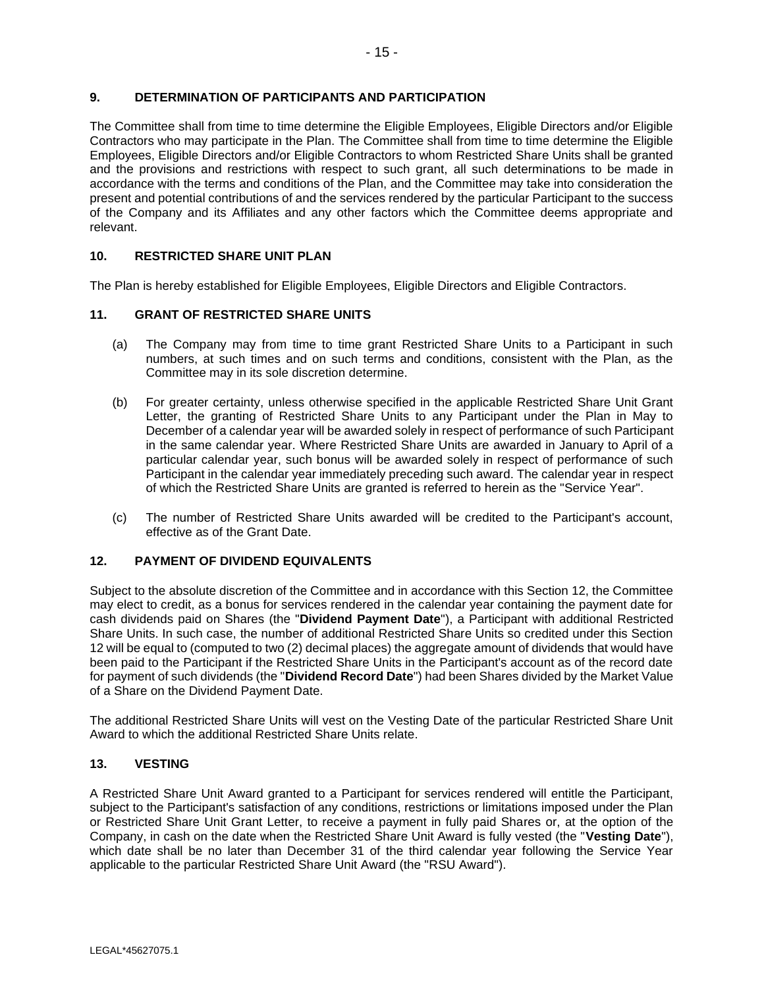# **9. DETERMINATION OF PARTICIPANTS AND PARTICIPATION**

The Committee shall from time to time determine the Eligible Employees, Eligible Directors and/or Eligible Contractors who may participate in the Plan. The Committee shall from time to time determine the Eligible Employees, Eligible Directors and/or Eligible Contractors to whom Restricted Share Units shall be granted and the provisions and restrictions with respect to such grant, all such determinations to be made in accordance with the terms and conditions of the Plan, and the Committee may take into consideration the present and potential contributions of and the services rendered by the particular Participant to the success of the Company and its Affiliates and any other factors which the Committee deems appropriate and relevant.

## **10. RESTRICTED SHARE UNIT PLAN**

The Plan is hereby established for Eligible Employees, Eligible Directors and Eligible Contractors.

# **11. GRANT OF RESTRICTED SHARE UNITS**

- (a) The Company may from time to time grant Restricted Share Units to a Participant in such numbers, at such times and on such terms and conditions, consistent with the Plan, as the Committee may in its sole discretion determine.
- (b) For greater certainty, unless otherwise specified in the applicable Restricted Share Unit Grant Letter, the granting of Restricted Share Units to any Participant under the Plan in May to December of a calendar year will be awarded solely in respect of performance of such Participant in the same calendar year. Where Restricted Share Units are awarded in January to April of a particular calendar year, such bonus will be awarded solely in respect of performance of such Participant in the calendar year immediately preceding such award. The calendar year in respect of which the Restricted Share Units are granted is referred to herein as the "Service Year".
- (c) The number of Restricted Share Units awarded will be credited to the Participant's account, effective as of the Grant Date.

### **12. PAYMENT OF DIVIDEND EQUIVALENTS**

Subject to the absolute discretion of the Committee and in accordance with this Section 12, the Committee may elect to credit, as a bonus for services rendered in the calendar year containing the payment date for cash dividends paid on Shares (the "**Dividend Payment Date**"), a Participant with additional Restricted Share Units. In such case, the number of additional Restricted Share Units so credited under this Section 12 will be equal to (computed to two (2) decimal places) the aggregate amount of dividends that would have been paid to the Participant if the Restricted Share Units in the Participant's account as of the record date for payment of such dividends (the "**Dividend Record Date**") had been Shares divided by the Market Value of a Share on the Dividend Payment Date.

The additional Restricted Share Units will vest on the Vesting Date of the particular Restricted Share Unit Award to which the additional Restricted Share Units relate.

### **13. VESTING**

A Restricted Share Unit Award granted to a Participant for services rendered will entitle the Participant, subject to the Participant's satisfaction of any conditions, restrictions or limitations imposed under the Plan or Restricted Share Unit Grant Letter, to receive a payment in fully paid Shares or, at the option of the Company, in cash on the date when the Restricted Share Unit Award is fully vested (the "**Vesting Date**"), which date shall be no later than December 31 of the third calendar year following the Service Year applicable to the particular Restricted Share Unit Award (the "RSU Award").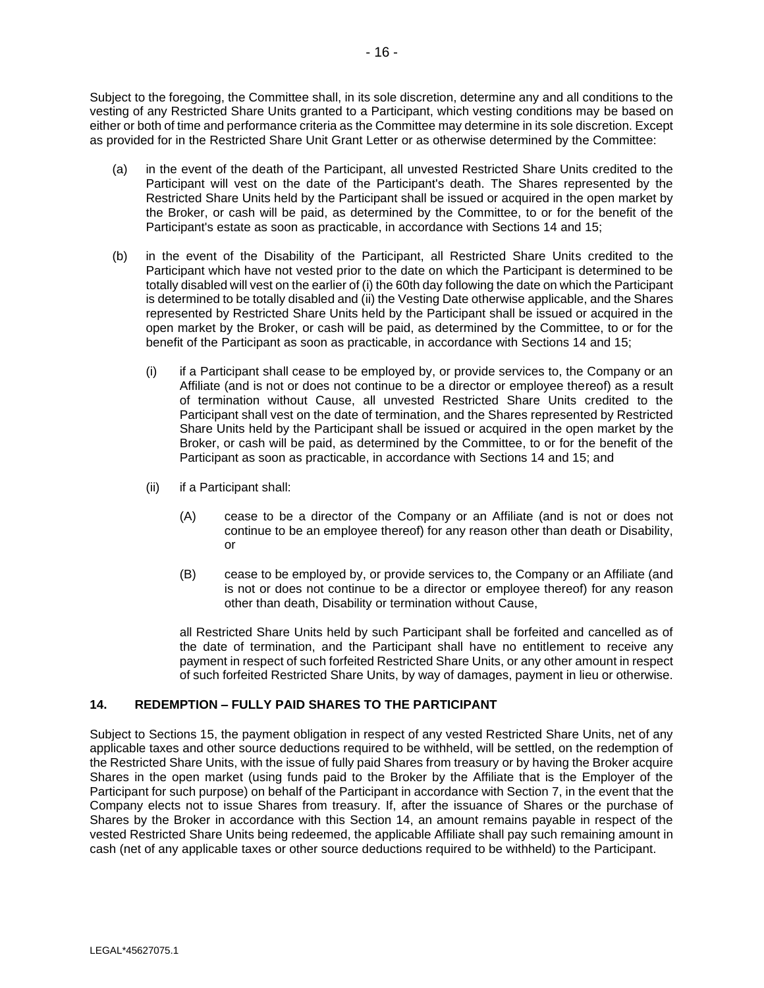Subject to the foregoing, the Committee shall, in its sole discretion, determine any and all conditions to the vesting of any Restricted Share Units granted to a Participant, which vesting conditions may be based on either or both of time and performance criteria as the Committee may determine in its sole discretion. Except as provided for in the Restricted Share Unit Grant Letter or as otherwise determined by the Committee:

- (a) in the event of the death of the Participant, all unvested Restricted Share Units credited to the Participant will vest on the date of the Participant's death. The Shares represented by the Restricted Share Units held by the Participant shall be issued or acquired in the open market by the Broker, or cash will be paid, as determined by the Committee, to or for the benefit of the Participant's estate as soon as practicable, in accordance with Sections 14 and 15;
- (b) in the event of the Disability of the Participant, all Restricted Share Units credited to the Participant which have not vested prior to the date on which the Participant is determined to be totally disabled will vest on the earlier of (i) the 60th day following the date on which the Participant is determined to be totally disabled and (ii) the Vesting Date otherwise applicable, and the Shares represented by Restricted Share Units held by the Participant shall be issued or acquired in the open market by the Broker, or cash will be paid, as determined by the Committee, to or for the benefit of the Participant as soon as practicable, in accordance with Sections 14 and 15;
	- (i) if a Participant shall cease to be employed by, or provide services to, the Company or an Affiliate (and is not or does not continue to be a director or employee thereof) as a result of termination without Cause, all unvested Restricted Share Units credited to the Participant shall vest on the date of termination, and the Shares represented by Restricted Share Units held by the Participant shall be issued or acquired in the open market by the Broker, or cash will be paid, as determined by the Committee, to or for the benefit of the Participant as soon as practicable, in accordance with Sections 14 and 15; and
	- (ii) if a Participant shall:
		- (A) cease to be a director of the Company or an Affiliate (and is not or does not continue to be an employee thereof) for any reason other than death or Disability, or
		- (B) cease to be employed by, or provide services to, the Company or an Affiliate (and is not or does not continue to be a director or employee thereof) for any reason other than death, Disability or termination without Cause,

all Restricted Share Units held by such Participant shall be forfeited and cancelled as of the date of termination, and the Participant shall have no entitlement to receive any payment in respect of such forfeited Restricted Share Units, or any other amount in respect of such forfeited Restricted Share Units, by way of damages, payment in lieu or otherwise.

# <span id="page-49-0"></span>**14. REDEMPTION – FULLY PAID SHARES TO THE PARTICIPANT**

Subject to Sections 15, the payment obligation in respect of any vested Restricted Share Units, net of any applicable taxes and other source deductions required to be withheld, will be settled, on the redemption of the Restricted Share Units, with the issue of fully paid Shares from treasury or by having the Broker acquire Shares in the open market (using funds paid to the Broker by the Affiliate that is the Employer of the Participant for such purpose) on behalf of the Participant in accordance with Section 7, in the event that the Company elects not to issue Shares from treasury. If, after the issuance of Shares or the purchase of Shares by the Broker in accordance with this Section 14, an amount remains payable in respect of the vested Restricted Share Units being redeemed, the applicable Affiliate shall pay such remaining amount in cash (net of any applicable taxes or other source deductions required to be withheld) to the Participant.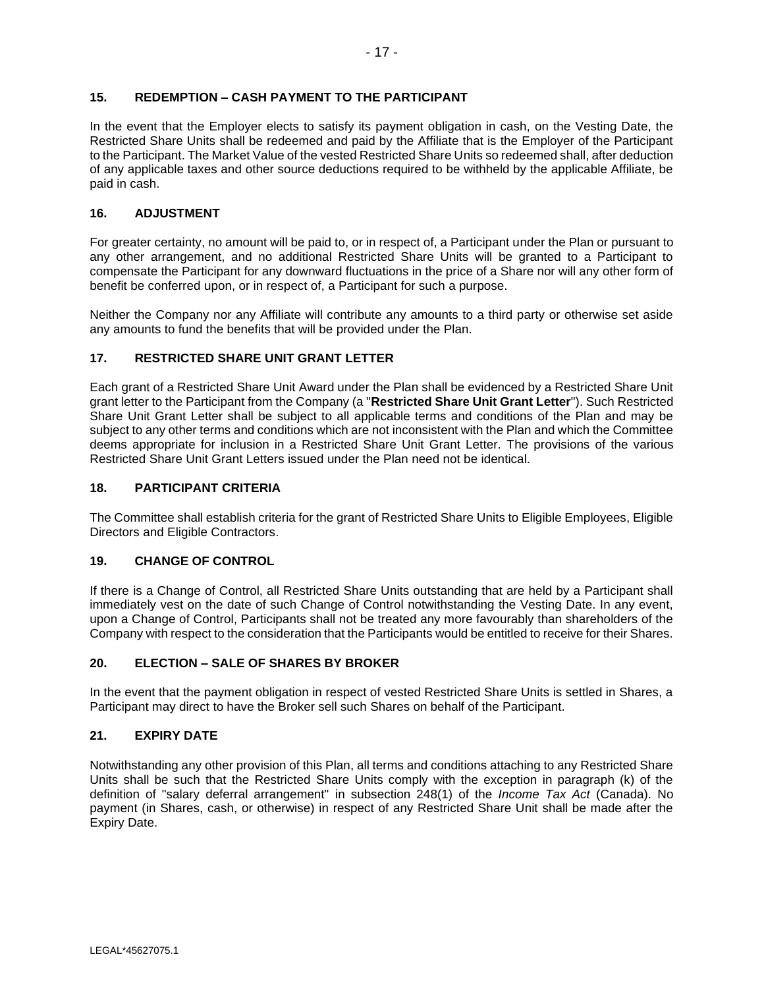# <span id="page-50-0"></span>**15. REDEMPTION – CASH PAYMENT TO THE PARTICIPANT**

In the event that the Employer elects to satisfy its payment obligation in cash, on the Vesting Date, the Restricted Share Units shall be redeemed and paid by the Affiliate that is the Employer of the Participant to the Participant. The Market Value of the vested Restricted Share Units so redeemed shall, after deduction of any applicable taxes and other source deductions required to be withheld by the applicable Affiliate, be paid in cash.

# **16. ADJUSTMENT**

For greater certainty, no amount will be paid to, or in respect of, a Participant under the Plan or pursuant to any other arrangement, and no additional Restricted Share Units will be granted to a Participant to compensate the Participant for any downward fluctuations in the price of a Share nor will any other form of benefit be conferred upon, or in respect of, a Participant for such a purpose.

Neither the Company nor any Affiliate will contribute any amounts to a third party or otherwise set aside any amounts to fund the benefits that will be provided under the Plan.

# **17. RESTRICTED SHARE UNIT GRANT LETTER**

Each grant of a Restricted Share Unit Award under the Plan shall be evidenced by a Restricted Share Unit grant letter to the Participant from the Company (a "**Restricted Share Unit Grant Letter**"). Such Restricted Share Unit Grant Letter shall be subject to all applicable terms and conditions of the Plan and may be subject to any other terms and conditions which are not inconsistent with the Plan and which the Committee deems appropriate for inclusion in a Restricted Share Unit Grant Letter. The provisions of the various Restricted Share Unit Grant Letters issued under the Plan need not be identical.

### **18. PARTICIPANT CRITERIA**

The Committee shall establish criteria for the grant of Restricted Share Units to Eligible Employees, Eligible Directors and Eligible Contractors.

### **19. CHANGE OF CONTROL**

If there is a Change of Control, all Restricted Share Units outstanding that are held by a Participant shall immediately vest on the date of such Change of Control notwithstanding the Vesting Date. In any event, upon a Change of Control, Participants shall not be treated any more favourably than shareholders of the Company with respect to the consideration that the Participants would be entitled to receive for their Shares.

### **20. ELECTION – SALE OF SHARES BY BROKER**

In the event that the payment obligation in respect of vested Restricted Share Units is settled in Shares, a Participant may direct to have the Broker sell such Shares on behalf of the Participant.

# **21. EXPIRY DATE**

Notwithstanding any other provision of this Plan, all terms and conditions attaching to any Restricted Share Units shall be such that the Restricted Share Units comply with the exception in paragraph (k) of the definition of "salary deferral arrangement" in subsection 248(1) of the *Income Tax Act* (Canada). No payment (in Shares, cash, or otherwise) in respect of any Restricted Share Unit shall be made after the Expiry Date.